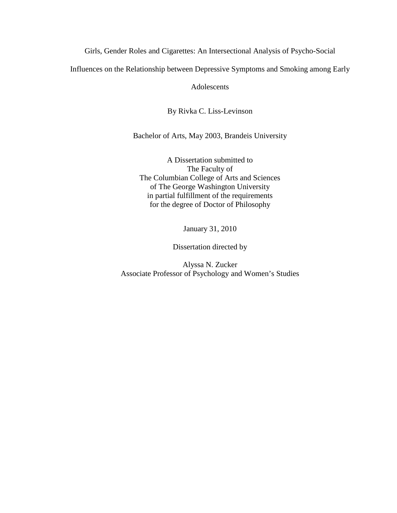Girls, Gender Roles and Cigarettes: An Intersectional Analysis of Psycho-Social

Influences on the Relationship between Depressive Symptoms and Smoking among Early

Adolescents

By Rivka C. Liss-Levinson

Bachelor of Arts, May 2003, Brandeis University

A Dissertation submitted to The Faculty of The Columbian College of Arts and Sciences of The George Washington University in partial fulfillment of the requirements for the degree of Doctor of Philosophy

January 31, 2010

Dissertation directed by

Alyssa N. Zucker Associate Professor of Psychology and Women's Studies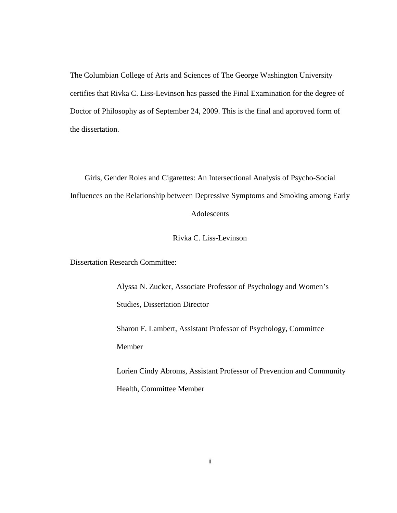The Columbian College of Arts and Sciences of The George Washington University certifies that Rivka C. Liss-Levinson has passed the Final Examination for the degree of Doctor of Philosophy as of September 24, 2009. This is the final and approved form of the dissertation.

Girls, Gender Roles and Cigarettes: An Intersectional Analysis of Psycho-Social Influences on the Relationship between Depressive Symptoms and Smoking among Early Adolescents

Rivka C. Liss-Levinson

Dissertation Research Committee:

Alyssa N. Zucker, Associate Professor of Psychology and Women's Studies, Dissertation Director

Sharon F. Lambert, Assistant Professor of Psychology, Committee Member

Lorien Cindy Abroms, Assistant Professor of Prevention and Community Health, Committee Member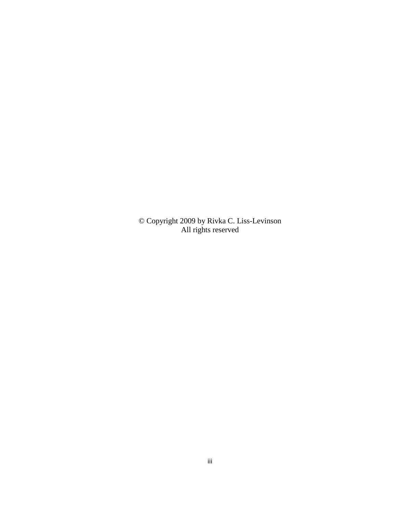© Copyright 2009 by Rivka C. Liss-Levinson All rights reserved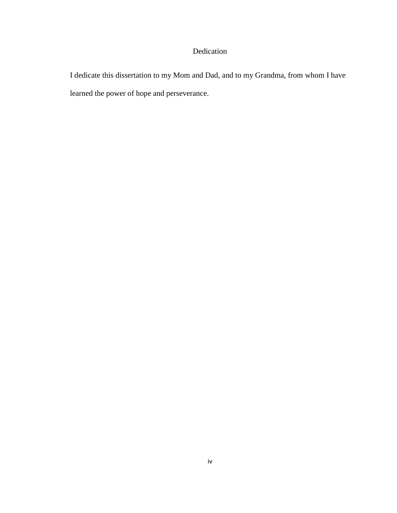## Dedication

I dedicate this dissertation to my Mom and Dad, and to my Grandma, from whom I have learned the power of hope and perseverance.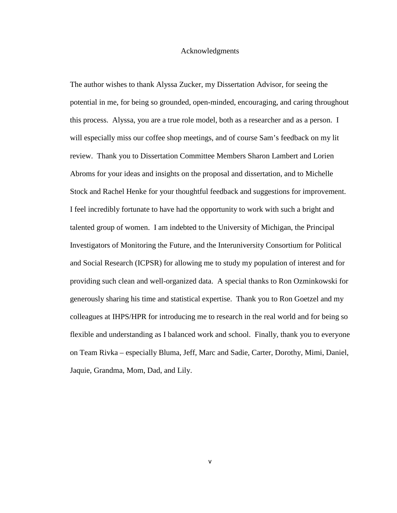#### Acknowledgments

The author wishes to thank Alyssa Zucker, my Dissertation Advisor, for seeing the potential in me, for being so grounded, open-minded, encouraging, and caring throughout this process. Alyssa, you are a true role model, both as a researcher and as a person. I will especially miss our coffee shop meetings, and of course Sam's feedback on my lit review. Thank you to Dissertation Committee Members Sharon Lambert and Lorien Abroms for your ideas and insights on the proposal and dissertation, and to Michelle Stock and Rachel Henke for your thoughtful feedback and suggestions for improvement. I feel incredibly fortunate to have had the opportunity to work with such a bright and talented group of women. I am indebted to the University of Michigan, the Principal Investigators of Monitoring the Future, and the Interuniversity Consortium for Political and Social Research (ICPSR) for allowing me to study my population of interest and for providing such clean and well-organized data. A special thanks to Ron Ozminkowski for generously sharing his time and statistical expertise. Thank you to Ron Goetzel and my colleagues at IHPS/HPR for introducing me to research in the real world and for being so flexible and understanding as I balanced work and school. Finally, thank you to everyone on Team Rivka – especially Bluma, Jeff, Marc and Sadie, Carter, Dorothy, Mimi, Daniel, Jaquie, Grandma, Mom, Dad, and Lily.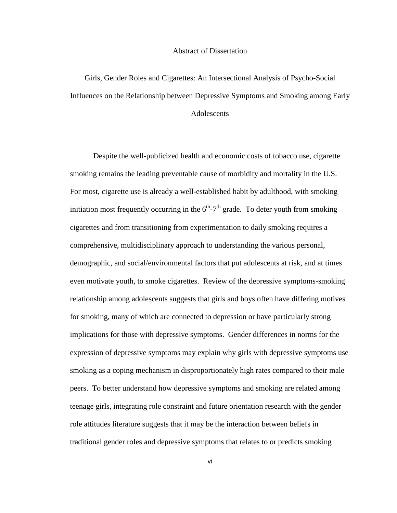#### Abstract of Dissertation

Girls, Gender Roles and Cigarettes: An Intersectional Analysis of Psycho-Social Influences on the Relationship between Depressive Symptoms and Smoking among Early

### Adolescents

Despite the well-publicized health and economic costs of tobacco use, cigarette smoking remains the leading preventable cause of morbidity and mortality in the U.S. For most, cigarette use is already a well-established habit by adulthood, with smoking initiation most frequently occurring in the  $6<sup>th</sup> - 7<sup>th</sup>$  grade. To deter youth from smoking cigarettes and from transitioning from experimentation to daily smoking requires a comprehensive, multidisciplinary approach to understanding the various personal, demographic, and social/environmental factors that put adolescents at risk, and at times even motivate youth, to smoke cigarettes. Review of the depressive symptoms-smoking relationship among adolescents suggests that girls and boys often have differing motives for smoking, many of which are connected to depression or have particularly strong implications for those with depressive symptoms. Gender differences in norms for the expression of depressive symptoms may explain why girls with depressive symptoms use smoking as a coping mechanism in disproportionately high rates compared to their male peers. To better understand how depressive symptoms and smoking are related among teenage girls, integrating role constraint and future orientation research with the gender role attitudes literature suggests that it may be the interaction between beliefs in traditional gender roles and depressive symptoms that relates to or predicts smoking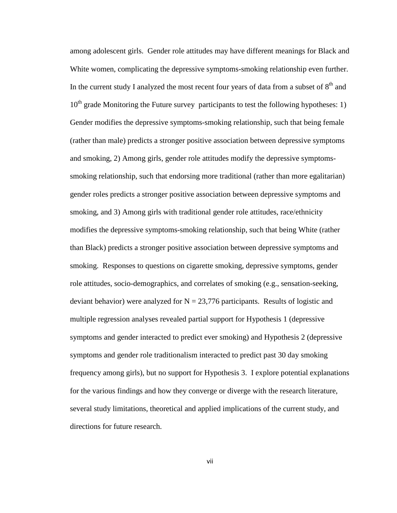among adolescent girls. Gender role attitudes may have different meanings for Black and White women, complicating the depressive symptoms-smoking relationship even further. In the current study I analyzed the most recent four years of data from a subset of  $8<sup>th</sup>$  and  $10<sup>th</sup>$  grade Monitoring the Future survey participants to test the following hypotheses: 1) Gender modifies the depressive symptoms-smoking relationship, such that being female (rather than male) predicts a stronger positive association between depressive symptoms and smoking, 2) Among girls, gender role attitudes modify the depressive symptomssmoking relationship, such that endorsing more traditional (rather than more egalitarian) gender roles predicts a stronger positive association between depressive symptoms and smoking, and 3) Among girls with traditional gender role attitudes, race/ethnicity modifies the depressive symptoms-smoking relationship, such that being White (rather than Black) predicts a stronger positive association between depressive symptoms and smoking. Responses to questions on cigarette smoking, depressive symptoms, gender role attitudes, socio-demographics, and correlates of smoking (e.g., sensation-seeking, deviant behavior) were analyzed for  $N = 23,776$  participants. Results of logistic and multiple regression analyses revealed partial support for Hypothesis 1 (depressive symptoms and gender interacted to predict ever smoking) and Hypothesis 2 (depressive symptoms and gender role traditionalism interacted to predict past 30 day smoking frequency among girls), but no support for Hypothesis 3. I explore potential explanations for the various findings and how they converge or diverge with the research literature, several study limitations, theoretical and applied implications of the current study, and directions for future research.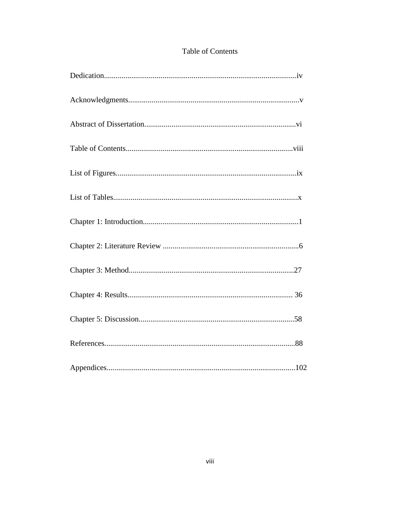## Table of Contents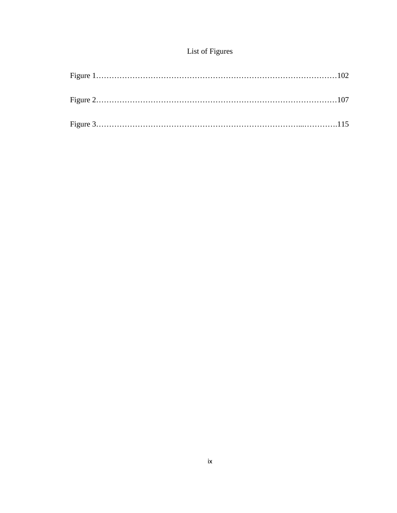## List of Figures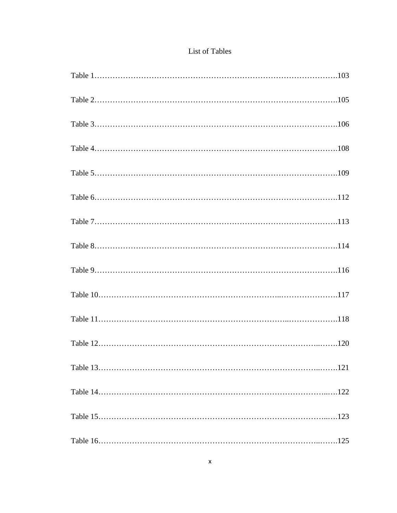### List of Tables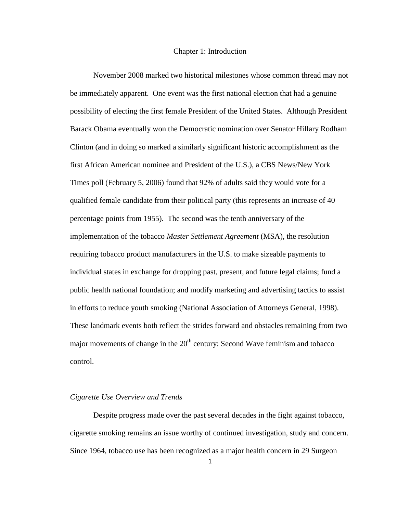#### Chapter 1: Introduction

November 2008 marked two historical milestones whose common thread may not be immediately apparent. One event was the first national election that had a genuine possibility of electing the first female President of the United States. Although President Barack Obama eventually won the Democratic nomination over Senator Hillary Rodham Clinton (and in doing so marked a similarly significant historic accomplishment as the first African American nominee and President of the U.S.), a CBS News/New York Times poll (February 5, 2006) found that 92% of adults said they would vote for a qualified female candidate from their political party (this represents an increase of 40 percentage points from 1955). The second was the tenth anniversary of the implementation of the tobacco *Master Settlement Agreement* (MSA), the resolution requiring tobacco product manufacturers in the U.S. to make sizeable payments to individual states in exchange for dropping past, present, and future legal claims; fund a public health national foundation; and modify marketing and advertising tactics to assist in efforts to reduce youth smoking (National Association of Attorneys General, 1998). These landmark events both reflect the strides forward and obstacles remaining from two major movements of change in the  $20<sup>th</sup>$  century: Second Wave feminism and tobacco control.

#### *Cigarette Use Overview and Trends*

Despite progress made over the past several decades in the fight against tobacco, cigarette smoking remains an issue worthy of continued investigation, study and concern. Since 1964, tobacco use has been recognized as a major health concern in 29 Surgeon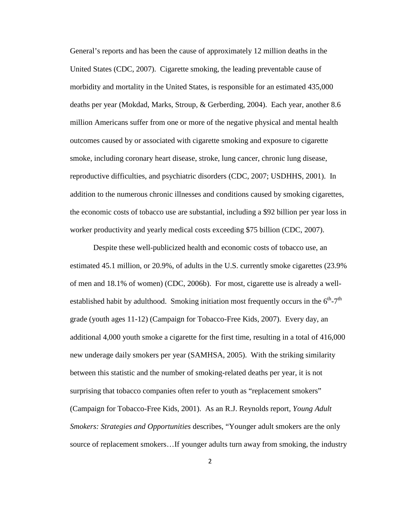General's reports and has been the cause of approximately 12 million deaths in the United States (CDC, 2007). Cigarette smoking, the leading preventable cause of morbidity and mortality in the United States, is responsible for an estimated 435,000 deaths per year (Mokdad, Marks, Stroup, & Gerberding, 2004). Each year, another 8.6 million Americans suffer from one or more of the negative physical and mental health outcomes caused by or associated with cigarette smoking and exposure to cigarette smoke, including coronary heart disease, stroke, lung cancer, chronic lung disease, reproductive difficulties, and psychiatric disorders (CDC, 2007; USDHHS, 2001). In addition to the numerous chronic illnesses and conditions caused by smoking cigarettes, the economic costs of tobacco use are substantial, including a \$92 billion per year loss in worker productivity and yearly medical costs exceeding \$75 billion (CDC, 2007).

Despite these well-publicized health and economic costs of tobacco use, an estimated 45.1 million, or 20.9%, of adults in the U.S. currently smoke cigarettes (23.9% of men and 18.1% of women) (CDC, 2006b). For most, cigarette use is already a wellestablished habit by adulthood. Smoking initiation most frequently occurs in the  $6<sup>th</sup> - 7<sup>th</sup>$ grade (youth ages 11-12) (Campaign for Tobacco-Free Kids, 2007). Every day, an additional 4,000 youth smoke a cigarette for the first time, resulting in a total of 416,000 new underage daily smokers per year (SAMHSA, 2005). With the striking similarity between this statistic and the number of smoking-related deaths per year, it is not surprising that tobacco companies often refer to youth as "replacement smokers" (Campaign for Tobacco-Free Kids, 2001). As an R.J. Reynolds report, *Young Adult Smokers: Strategies and Opportunities* describes, "Younger adult smokers are the only source of replacement smokers…If younger adults turn away from smoking, the industry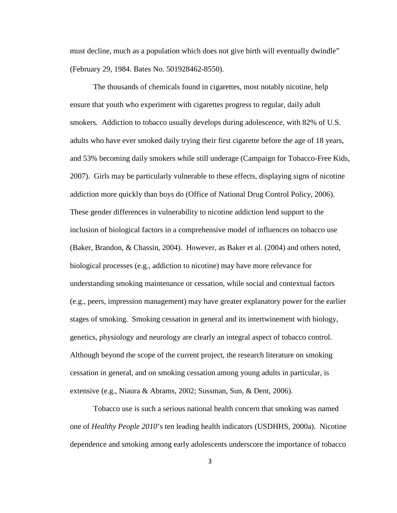must decline, much as a population which does not give birth will eventually dwindle" (February 29, 1984. Bates No. 501928462-8550).

The thousands of chemicals found in cigarettes, most notably nicotine, help ensure that youth who experiment with cigarettes progress to regular, daily adult smokers. Addiction to tobacco usually develops during adolescence, with 82% of U.S. adults who have ever smoked daily trying their first cigarette before the age of 18 years, and 53% becoming daily smokers while still underage (Campaign for Tobacco-Free Kids, 2007). Girls may be particularly vulnerable to these effects, displaying signs of nicotine addiction more quickly than boys do (Office of National Drug Control Policy, 2006). These gender differences in vulnerability to nicotine addiction lend support to the inclusion of biological factors in a comprehensive model of influences on tobacco use (Baker, Brandon, & Chassin, 2004). However, as Baker et al. (2004) and others noted, biological processes (e.g., addiction to nicotine) may have more relevance for understanding smoking maintenance or cessation, while social and contextual factors (e.g., peers, impression management) may have greater explanatory power for the earlier stages of smoking. Smoking cessation in general and its intertwinement with biology, genetics, physiology and neurology are clearly an integral aspect of tobacco control. Although beyond the scope of the current project, the research literature on smoking cessation in general, and on smoking cessation among young adults in particular, is extensive (e.g., Niaura & Abrams, 2002; Sussman, Sun, & Dent, 2006).

Tobacco use is such a serious national health concern that smoking was named one of *Healthy People 2010*'s ten leading health indicators (USDHHS, 2000a). Nicotine dependence and smoking among early adolescents underscore the importance of tobacco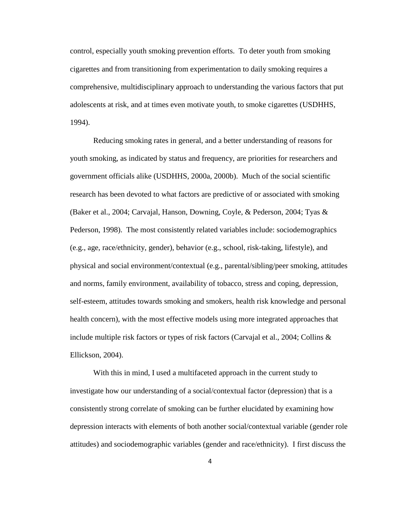control, especially youth smoking prevention efforts. To deter youth from smoking cigarettes and from transitioning from experimentation to daily smoking requires a comprehensive, multidisciplinary approach to understanding the various factors that put adolescents at risk, and at times even motivate youth, to smoke cigarettes (USDHHS, 1994).

Reducing smoking rates in general, and a better understanding of reasons for youth smoking, as indicated by status and frequency, are priorities for researchers and government officials alike (USDHHS, 2000a, 2000b). Much of the social scientific research has been devoted to what factors are predictive of or associated with smoking (Baker et al., 2004; Carvajal, Hanson, Downing, Coyle, & Pederson, 2004; Tyas & Pederson, 1998). The most consistently related variables include: sociodemographics (e.g., age, race/ethnicity, gender), behavior (e.g., school, risk-taking, lifestyle), and physical and social environment/contextual (e.g., parental/sibling/peer smoking, attitudes and norms, family environment, availability of tobacco, stress and coping, depression, self-esteem, attitudes towards smoking and smokers, health risk knowledge and personal health concern), with the most effective models using more integrated approaches that include multiple risk factors or types of risk factors (Carvajal et al., 2004; Collins  $\&$ Ellickson, 2004).

With this in mind, I used a multifaceted approach in the current study to investigate how our understanding of a social/contextual factor (depression) that is a consistently strong correlate of smoking can be further elucidated by examining how depression interacts with elements of both another social/contextual variable (gender role attitudes) and sociodemographic variables (gender and race/ethnicity). I first discuss the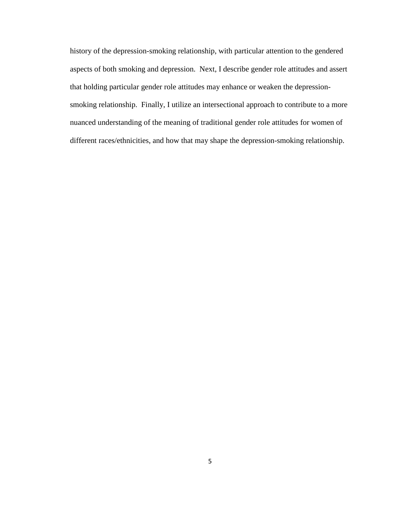history of the depression-smoking relationship, with particular attention to the gendered aspects of both smoking and depression. Next, I describe gender role attitudes and assert that holding particular gender role attitudes may enhance or weaken the depressionsmoking relationship. Finally, I utilize an intersectional approach to contribute to a more nuanced understanding of the meaning of traditional gender role attitudes for women of different races/ethnicities, and how that may shape the depression-smoking relationship.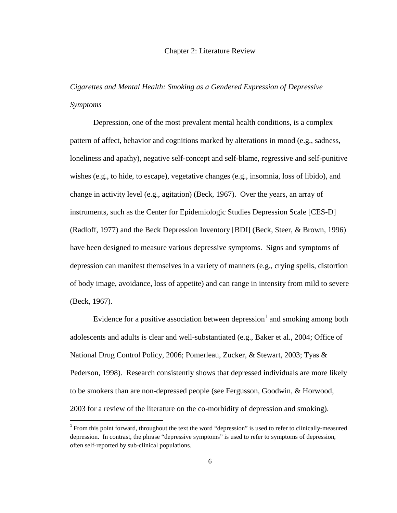#### Chapter 2: Literature Review

*Cigarettes and Mental Health: Smoking as a Gendered Expression of Depressive Symptoms* 

Depression, one of the most prevalent mental health conditions, is a complex pattern of affect, behavior and cognitions marked by alterations in mood (e.g., sadness, loneliness and apathy), negative self-concept and self-blame, regressive and self-punitive wishes (e.g., to hide, to escape), vegetative changes (e.g., insomnia, loss of libido), and change in activity level (e.g., agitation) (Beck, 1967). Over the years, an array of instruments, such as the Center for Epidemiologic Studies Depression Scale [CES-D] (Radloff, 1977) and the Beck Depression Inventory [BDI] (Beck, Steer, & Brown, 1996) have been designed to measure various depressive symptoms. Signs and symptoms of depression can manifest themselves in a variety of manners (e.g., crying spells, distortion of body image, avoidance, loss of appetite) and can range in intensity from mild to severe (Beck, 1967).

Evidence for a positive association between depression<sup>1</sup> and smoking among both adolescents and adults is clear and well-substantiated (e.g., Baker et al., 2004; Office of National Drug Control Policy, 2006; Pomerleau, Zucker, & Stewart, 2003; Tyas & Pederson, 1998). Research consistently shows that depressed individuals are more likely to be smokers than are non-depressed people (see Fergusson, Goodwin, & Horwood, 2003 for a review of the literature on the co-morbidity of depression and smoking).

 $\overline{a}$ 

<sup>&</sup>lt;sup>1</sup> From this point forward, throughout the text the word "depression" is used to refer to clinically-measured depression. In contrast, the phrase "depressive symptoms" is used to refer to symptoms of depression, often self-reported by sub-clinical populations.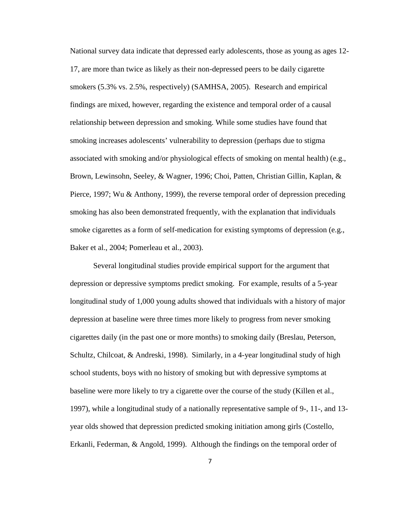National survey data indicate that depressed early adolescents, those as young as ages 12- 17, are more than twice as likely as their non-depressed peers to be daily cigarette smokers (5.3% vs. 2.5%, respectively) (SAMHSA, 2005). Research and empirical findings are mixed, however, regarding the existence and temporal order of a causal relationship between depression and smoking. While some studies have found that smoking increases adolescents' vulnerability to depression (perhaps due to stigma associated with smoking and/or physiological effects of smoking on mental health) (e.g., Brown, Lewinsohn, Seeley, & Wagner, 1996; Choi, Patten, Christian Gillin, Kaplan, & Pierce, 1997; Wu & Anthony, 1999), the reverse temporal order of depression preceding smoking has also been demonstrated frequently, with the explanation that individuals smoke cigarettes as a form of self-medication for existing symptoms of depression (e.g., Baker et al., 2004; Pomerleau et al., 2003).

Several longitudinal studies provide empirical support for the argument that depression or depressive symptoms predict smoking. For example, results of a 5-year longitudinal study of 1,000 young adults showed that individuals with a history of major depression at baseline were three times more likely to progress from never smoking cigarettes daily (in the past one or more months) to smoking daily (Breslau, Peterson, Schultz, Chilcoat, & Andreski, 1998). Similarly, in a 4-year longitudinal study of high school students, boys with no history of smoking but with depressive symptoms at baseline were more likely to try a cigarette over the course of the study (Killen et al., 1997), while a longitudinal study of a nationally representative sample of 9-, 11-, and 13 year olds showed that depression predicted smoking initiation among girls (Costello, Erkanli, Federman, & Angold, 1999). Although the findings on the temporal order of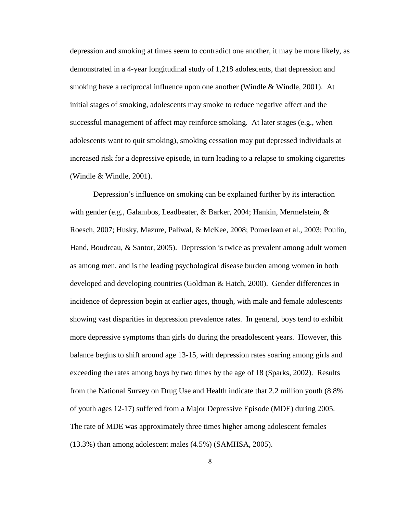depression and smoking at times seem to contradict one another, it may be more likely, as demonstrated in a 4-year longitudinal study of 1,218 adolescents, that depression and smoking have a reciprocal influence upon one another (Windle & Windle, 2001). At initial stages of smoking, adolescents may smoke to reduce negative affect and the successful management of affect may reinforce smoking. At later stages (e.g., when adolescents want to quit smoking), smoking cessation may put depressed individuals at increased risk for a depressive episode, in turn leading to a relapse to smoking cigarettes (Windle & Windle, 2001).

Depression's influence on smoking can be explained further by its interaction with gender (e.g., Galambos, Leadbeater, & Barker, 2004; Hankin, Mermelstein, & Roesch, 2007; Husky, Mazure, Paliwal, & McKee, 2008; Pomerleau et al., 2003; Poulin, Hand, Boudreau, & Santor, 2005). Depression is twice as prevalent among adult women as among men, and is the leading psychological disease burden among women in both developed and developing countries (Goldman & Hatch, 2000). Gender differences in incidence of depression begin at earlier ages, though, with male and female adolescents showing vast disparities in depression prevalence rates. In general, boys tend to exhibit more depressive symptoms than girls do during the preadolescent years. However, this balance begins to shift around age 13-15, with depression rates soaring among girls and exceeding the rates among boys by two times by the age of 18 (Sparks, 2002). Results from the National Survey on Drug Use and Health indicate that 2.2 million youth (8.8% of youth ages 12-17) suffered from a Major Depressive Episode (MDE) during 2005. The rate of MDE was approximately three times higher among adolescent females (13.3%) than among adolescent males (4.5%) (SAMHSA, 2005).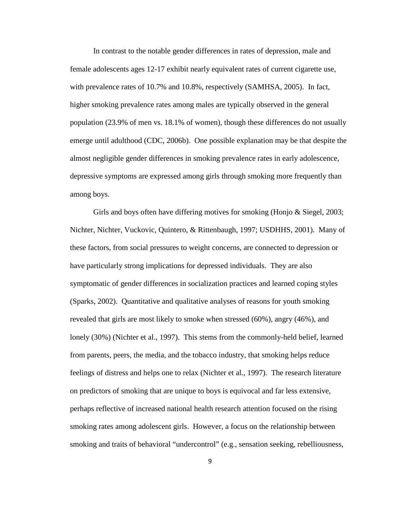In contrast to the notable gender differences in rates of depression, male and female adolescents ages 12-17 exhibit nearly equivalent rates of current cigarette use, with prevalence rates of 10.7% and 10.8%, respectively (SAMHSA, 2005). In fact, higher smoking prevalence rates among males are typically observed in the general population (23.9% of men vs. 18.1% of women), though these differences do not usually emerge until adulthood (CDC, 2006b). One possible explanation may be that despite the almost negligible gender differences in smoking prevalence rates in early adolescence, depressive symptoms are expressed among girls through smoking more frequently than among boys.

Girls and boys often have differing motives for smoking (Honjo & Siegel, 2003; Nichter, Nichter, Vuckovic, Quintero, & Rittenbaugh, 1997; USDHHS, 2001). Many of these factors, from social pressures to weight concerns, are connected to depression or have particularly strong implications for depressed individuals. They are also symptomatic of gender differences in socialization practices and learned coping styles (Sparks, 2002). Quantitative and qualitative analyses of reasons for youth smoking revealed that girls are most likely to smoke when stressed (60%), angry (46%), and lonely (30%) (Nichter et al., 1997). This stems from the commonly-held belief, learned from parents, peers, the media, and the tobacco industry, that smoking helps reduce feelings of distress and helps one to relax (Nichter et al., 1997). The research literature on predictors of smoking that are unique to boys is equivocal and far less extensive, perhaps reflective of increased national health research attention focused on the rising smoking rates among adolescent girls. However, a focus on the relationship between smoking and traits of behavioral "undercontrol" (e.g., sensation seeking, rebelliousness,

9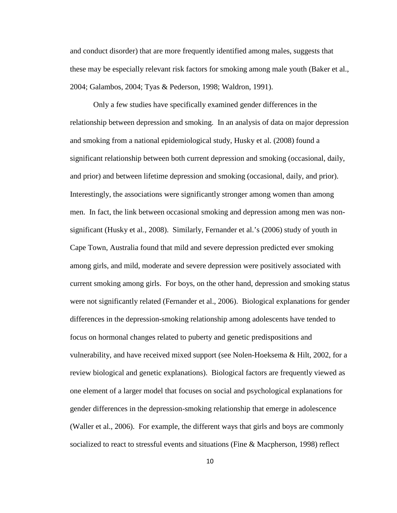and conduct disorder) that are more frequently identified among males, suggests that these may be especially relevant risk factors for smoking among male youth (Baker et al., 2004; Galambos, 2004; Tyas & Pederson, 1998; Waldron, 1991).

Only a few studies have specifically examined gender differences in the relationship between depression and smoking. In an analysis of data on major depression and smoking from a national epidemiological study, Husky et al. (2008) found a significant relationship between both current depression and smoking (occasional, daily, and prior) and between lifetime depression and smoking (occasional, daily, and prior). Interestingly, the associations were significantly stronger among women than among men. In fact, the link between occasional smoking and depression among men was nonsignificant (Husky et al., 2008). Similarly, Fernander et al.'s (2006) study of youth in Cape Town, Australia found that mild and severe depression predicted ever smoking among girls, and mild, moderate and severe depression were positively associated with current smoking among girls. For boys, on the other hand, depression and smoking status were not significantly related (Fernander et al., 2006). Biological explanations for gender differences in the depression-smoking relationship among adolescents have tended to focus on hormonal changes related to puberty and genetic predispositions and vulnerability, and have received mixed support (see Nolen-Hoeksema & Hilt, 2002, for a review biological and genetic explanations). Biological factors are frequently viewed as one element of a larger model that focuses on social and psychological explanations for gender differences in the depression-smoking relationship that emerge in adolescence (Waller et al., 2006). For example, the different ways that girls and boys are commonly socialized to react to stressful events and situations (Fine & Macpherson, 1998) reflect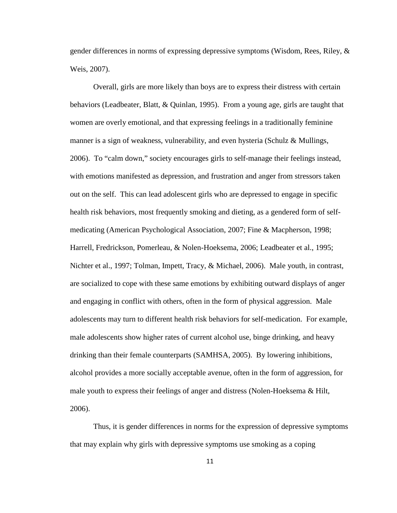gender differences in norms of expressing depressive symptoms (Wisdom, Rees, Riley, & Weis, 2007).

Overall, girls are more likely than boys are to express their distress with certain behaviors (Leadbeater, Blatt, & Quinlan, 1995). From a young age, girls are taught that women are overly emotional, and that expressing feelings in a traditionally feminine manner is a sign of weakness, vulnerability, and even hysteria (Schulz & Mullings, 2006). To "calm down," society encourages girls to self-manage their feelings instead, with emotions manifested as depression, and frustration and anger from stressors taken out on the self. This can lead adolescent girls who are depressed to engage in specific health risk behaviors, most frequently smoking and dieting, as a gendered form of selfmedicating (American Psychological Association, 2007; Fine & Macpherson, 1998; Harrell, Fredrickson, Pomerleau, & Nolen-Hoeksema, 2006; Leadbeater et al., 1995; Nichter et al., 1997; Tolman, Impett, Tracy, & Michael, 2006). Male youth, in contrast, are socialized to cope with these same emotions by exhibiting outward displays of anger and engaging in conflict with others, often in the form of physical aggression. Male adolescents may turn to different health risk behaviors for self-medication. For example, male adolescents show higher rates of current alcohol use, binge drinking, and heavy drinking than their female counterparts (SAMHSA, 2005). By lowering inhibitions, alcohol provides a more socially acceptable avenue, often in the form of aggression, for male youth to express their feelings of anger and distress (Nolen-Hoeksema & Hilt, 2006).

Thus, it is gender differences in norms for the expression of depressive symptoms that may explain why girls with depressive symptoms use smoking as a coping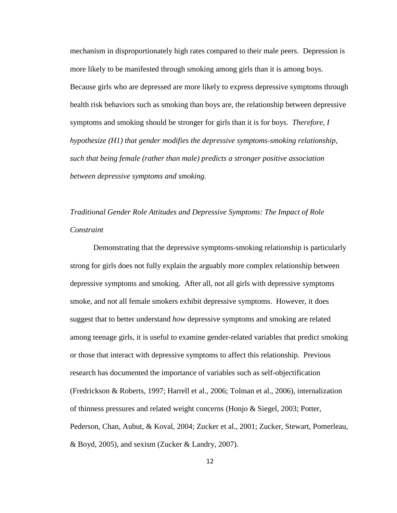mechanism in disproportionately high rates compared to their male peers. Depression is more likely to be manifested through smoking among girls than it is among boys. Because girls who are depressed are more likely to express depressive symptoms through health risk behaviors such as smoking than boys are, the relationship between depressive symptoms and smoking should be stronger for girls than it is for boys. *Therefore, I hypothesize (H1) that gender modifies the depressive symptoms-smoking relationship, such that being female (rather than male) predicts a stronger positive association between depressive symptoms and smoking.*

## *Traditional Gender Role Attitudes and Depressive Symptoms: The Impact of Role Constraint*

Demonstrating that the depressive symptoms-smoking relationship is particularly strong for girls does not fully explain the arguably more complex relationship between depressive symptoms and smoking. After all, not all girls with depressive symptoms smoke, and not all female smokers exhibit depressive symptoms. However, it does suggest that to better understand *how* depressive symptoms and smoking are related among teenage girls, it is useful to examine gender-related variables that predict smoking or those that interact with depressive symptoms to affect this relationship. Previous research has documented the importance of variables such as self-objectification (Fredrickson & Roberts, 1997; Harrell et al., 2006; Tolman et al., 2006), internalization of thinness pressures and related weight concerns (Honjo & Siegel, 2003; Potter, Pederson, Chan, Aubut, & Koval, 2004; Zucker et al., 2001; Zucker, Stewart, Pomerleau, & Boyd, 2005), and sexism (Zucker & Landry, 2007).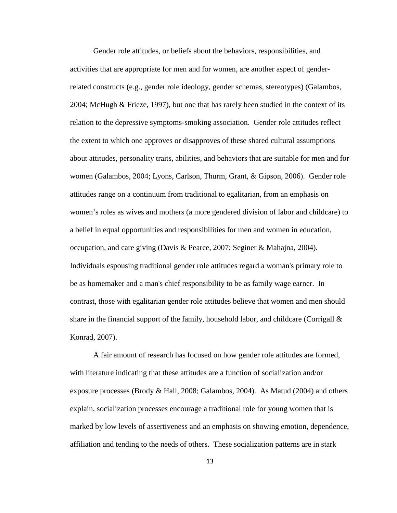Gender role attitudes, or beliefs about the behaviors, responsibilities, and activities that are appropriate for men and for women, are another aspect of genderrelated constructs (e.g., gender role ideology, gender schemas, stereotypes) (Galambos, 2004; McHugh & Frieze, 1997), but one that has rarely been studied in the context of its relation to the depressive symptoms-smoking association. Gender role attitudes reflect the extent to which one approves or disapproves of these shared cultural assumptions about attitudes, personality traits, abilities, and behaviors that are suitable for men and for women (Galambos, 2004; Lyons, Carlson, Thurm, Grant, & Gipson, 2006). Gender role attitudes range on a continuum from traditional to egalitarian, from an emphasis on women's roles as wives and mothers (a more gendered division of labor and childcare) to a belief in equal opportunities and responsibilities for men and women in education, occupation, and care giving (Davis & Pearce, 2007; Seginer & Mahajna, 2004). Individuals espousing traditional gender role attitudes regard a woman's primary role to be as homemaker and a man's chief responsibility to be as family wage earner. In contrast, those with egalitarian gender role attitudes believe that women and men should share in the financial support of the family, household labor, and childcare (Corrigall  $\&$ Konrad, 2007).

A fair amount of research has focused on how gender role attitudes are formed, with literature indicating that these attitudes are a function of socialization and/or exposure processes (Brody & Hall, 2008; Galambos, 2004). As Matud (2004) and others explain, socialization processes encourage a traditional role for young women that is marked by low levels of assertiveness and an emphasis on showing emotion, dependence, affiliation and tending to the needs of others. These socialization patterns are in stark

13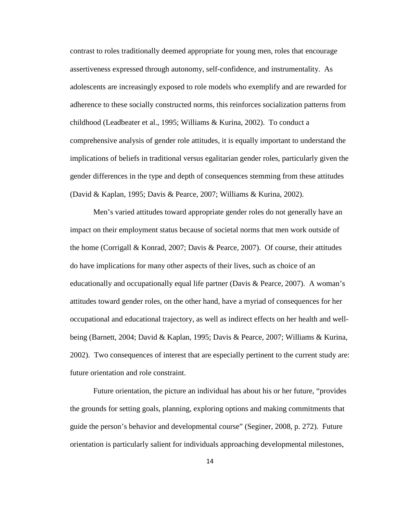contrast to roles traditionally deemed appropriate for young men, roles that encourage assertiveness expressed through autonomy, self-confidence, and instrumentality. As adolescents are increasingly exposed to role models who exemplify and are rewarded for adherence to these socially constructed norms, this reinforces socialization patterns from childhood (Leadbeater et al., 1995; Williams & Kurina, 2002). To conduct a comprehensive analysis of gender role attitudes, it is equally important to understand the implications of beliefs in traditional versus egalitarian gender roles, particularly given the gender differences in the type and depth of consequences stemming from these attitudes (David & Kaplan, 1995; Davis & Pearce, 2007; Williams & Kurina, 2002).

Men's varied attitudes toward appropriate gender roles do not generally have an impact on their employment status because of societal norms that men work outside of the home (Corrigall & Konrad, 2007; Davis & Pearce, 2007). Of course, their attitudes do have implications for many other aspects of their lives, such as choice of an educationally and occupationally equal life partner (Davis & Pearce, 2007). A woman's attitudes toward gender roles, on the other hand, have a myriad of consequences for her occupational and educational trajectory, as well as indirect effects on her health and wellbeing (Barnett, 2004; David & Kaplan, 1995; Davis & Pearce, 2007; Williams & Kurina, 2002). Two consequences of interest that are especially pertinent to the current study are: future orientation and role constraint.

Future orientation, the picture an individual has about his or her future, "provides the grounds for setting goals, planning, exploring options and making commitments that guide the person's behavior and developmental course" (Seginer, 2008, p. 272). Future orientation is particularly salient for individuals approaching developmental milestones,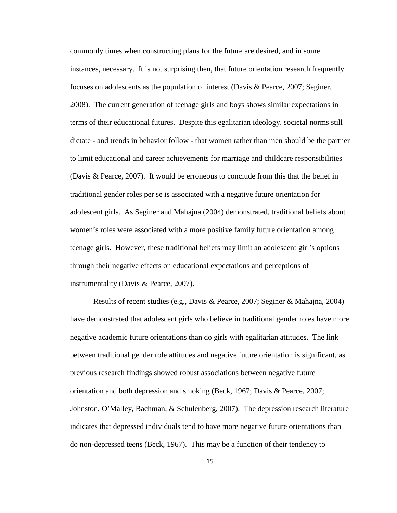commonly times when constructing plans for the future are desired, and in some instances, necessary. It is not surprising then, that future orientation research frequently focuses on adolescents as the population of interest (Davis & Pearce, 2007; Seginer, 2008). The current generation of teenage girls and boys shows similar expectations in terms of their educational futures. Despite this egalitarian ideology, societal norms still dictate - and trends in behavior follow - that women rather than men should be the partner to limit educational and career achievements for marriage and childcare responsibilities (Davis & Pearce, 2007). It would be erroneous to conclude from this that the belief in traditional gender roles per se is associated with a negative future orientation for adolescent girls. As Seginer and Mahajna (2004) demonstrated, traditional beliefs about women's roles were associated with a more positive family future orientation among teenage girls. However, these traditional beliefs may limit an adolescent girl's options through their negative effects on educational expectations and perceptions of instrumentality (Davis & Pearce, 2007).

Results of recent studies (e.g., Davis & Pearce, 2007; Seginer & Mahajna, 2004) have demonstrated that adolescent girls who believe in traditional gender roles have more negative academic future orientations than do girls with egalitarian attitudes. The link between traditional gender role attitudes and negative future orientation is significant, as previous research findings showed robust associations between negative future orientation and both depression and smoking (Beck, 1967; Davis & Pearce, 2007; Johnston, O'Malley, Bachman, & Schulenberg, 2007). The depression research literature indicates that depressed individuals tend to have more negative future orientations than do non-depressed teens (Beck, 1967). This may be a function of their tendency to

15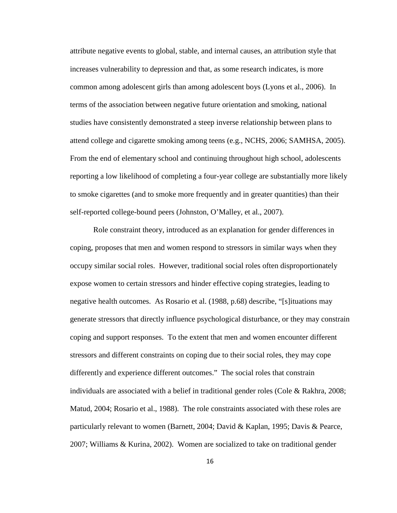attribute negative events to global, stable, and internal causes, an attribution style that increases vulnerability to depression and that, as some research indicates, is more common among adolescent girls than among adolescent boys (Lyons et al., 2006). In terms of the association between negative future orientation and smoking, national studies have consistently demonstrated a steep inverse relationship between plans to attend college and cigarette smoking among teens (e.g., NCHS, 2006; SAMHSA, 2005). From the end of elementary school and continuing throughout high school, adolescents reporting a low likelihood of completing a four-year college are substantially more likely to smoke cigarettes (and to smoke more frequently and in greater quantities) than their self-reported college-bound peers (Johnston, O'Malley, et al., 2007).

Role constraint theory, introduced as an explanation for gender differences in coping, proposes that men and women respond to stressors in similar ways when they occupy similar social roles. However, traditional social roles often disproportionately expose women to certain stressors and hinder effective coping strategies, leading to negative health outcomes. As Rosario et al. (1988, p.68) describe, "[s]ituations may generate stressors that directly influence psychological disturbance, or they may constrain coping and support responses. To the extent that men and women encounter different stressors and different constraints on coping due to their social roles, they may cope differently and experience different outcomes." The social roles that constrain individuals are associated with a belief in traditional gender roles (Cole & Rakhra, 2008; Matud, 2004; Rosario et al., 1988). The role constraints associated with these roles are particularly relevant to women (Barnett, 2004; David & Kaplan, 1995; Davis & Pearce, 2007; Williams & Kurina, 2002). Women are socialized to take on traditional gender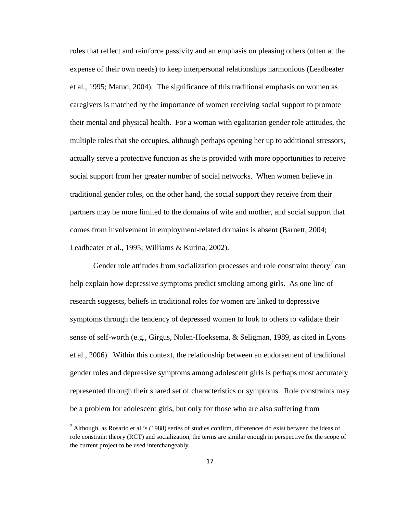roles that reflect and reinforce passivity and an emphasis on pleasing others (often at the expense of their own needs) to keep interpersonal relationships harmonious (Leadbeater et al., 1995; Matud, 2004). The significance of this traditional emphasis on women as caregivers is matched by the importance of women receiving social support to promote their mental and physical health. For a woman with egalitarian gender role attitudes, the multiple roles that she occupies, although perhaps opening her up to additional stressors, actually serve a protective function as she is provided with more opportunities to receive social support from her greater number of social networks. When women believe in traditional gender roles, on the other hand, the social support they receive from their partners may be more limited to the domains of wife and mother, and social support that comes from involvement in employment-related domains is absent (Barnett, 2004; Leadbeater et al., 1995; Williams & Kurina, 2002).

Gender role attitudes from socialization processes and role constraint theory<sup>2</sup> can help explain how depressive symptoms predict smoking among girls. As one line of research suggests, beliefs in traditional roles for women are linked to depressive symptoms through the tendency of depressed women to look to others to validate their sense of self-worth (e.g., Girgus, Nolen-Hoeksema, & Seligman, 1989, as cited in Lyons et al., 2006). Within this context, the relationship between an endorsement of traditional gender roles and depressive symptoms among adolescent girls is perhaps most accurately represented through their shared set of characteristics or symptoms. Role constraints may be a problem for adolescent girls, but only for those who are also suffering from

l

 $2$  Although, as Rosario et al.'s (1988) series of studies confirm, differences do exist between the ideas of role constraint theory (RCT) and socialization, the terms are similar enough in perspective for the scope of the current project to be used interchangeably.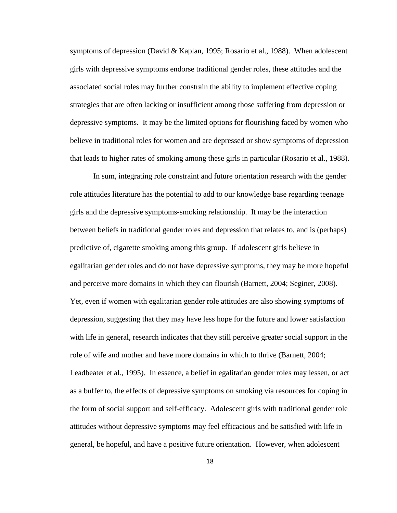symptoms of depression (David & Kaplan, 1995; Rosario et al., 1988). When adolescent girls with depressive symptoms endorse traditional gender roles, these attitudes and the associated social roles may further constrain the ability to implement effective coping strategies that are often lacking or insufficient among those suffering from depression or depressive symptoms. It may be the limited options for flourishing faced by women who believe in traditional roles for women and are depressed or show symptoms of depression that leads to higher rates of smoking among these girls in particular (Rosario et al., 1988).

In sum, integrating role constraint and future orientation research with the gender role attitudes literature has the potential to add to our knowledge base regarding teenage girls and the depressive symptoms-smoking relationship. It may be the interaction between beliefs in traditional gender roles and depression that relates to, and is (perhaps) predictive of, cigarette smoking among this group. If adolescent girls believe in egalitarian gender roles and do not have depressive symptoms, they may be more hopeful and perceive more domains in which they can flourish (Barnett, 2004; Seginer, 2008). Yet, even if women with egalitarian gender role attitudes are also showing symptoms of depression, suggesting that they may have less hope for the future and lower satisfaction with life in general, research indicates that they still perceive greater social support in the role of wife and mother and have more domains in which to thrive (Barnett, 2004; Leadbeater et al., 1995). In essence, a belief in egalitarian gender roles may lessen, or act as a buffer to, the effects of depressive symptoms on smoking via resources for coping in the form of social support and self-efficacy. Adolescent girls with traditional gender role attitudes without depressive symptoms may feel efficacious and be satisfied with life in general, be hopeful, and have a positive future orientation. However, when adolescent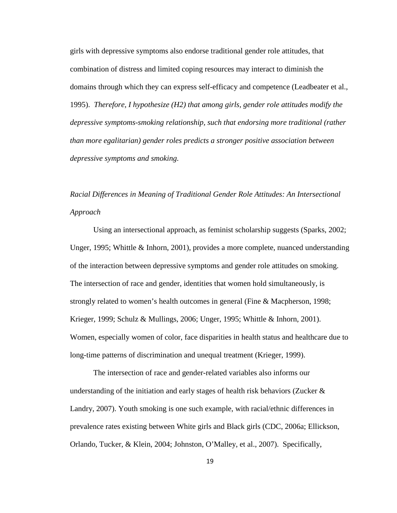girls with depressive symptoms also endorse traditional gender role attitudes, that combination of distress and limited coping resources may interact to diminish the domains through which they can express self-efficacy and competence (Leadbeater et al., 1995). *Therefore, I hypothesize (H2) that among girls, gender role attitudes modify the depressive symptoms-smoking relationship, such that endorsing more traditional (rather than more egalitarian) gender roles predicts a stronger positive association between depressive symptoms and smoking.*

# *Racial Differences in Meaning of Traditional Gender Role Attitudes: An Intersectional Approach*

Using an intersectional approach, as feminist scholarship suggests (Sparks, 2002; Unger, 1995; Whittle & Inhorn, 2001), provides a more complete, nuanced understanding of the interaction between depressive symptoms and gender role attitudes on smoking. The intersection of race and gender, identities that women hold simultaneously, is strongly related to women's health outcomes in general (Fine & Macpherson, 1998; Krieger, 1999; Schulz & Mullings, 2006; Unger, 1995; Whittle & Inhorn, 2001). Women, especially women of color, face disparities in health status and healthcare due to long-time patterns of discrimination and unequal treatment (Krieger, 1999).

The intersection of race and gender-related variables also informs our understanding of the initiation and early stages of health risk behaviors (Zucker  $\&$ Landry, 2007). Youth smoking is one such example, with racial/ethnic differences in prevalence rates existing between White girls and Black girls (CDC, 2006a; Ellickson, Orlando, Tucker, & Klein, 2004; Johnston, O'Malley, et al., 2007). Specifically,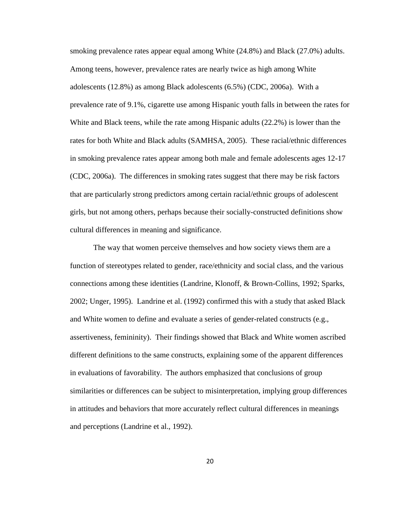smoking prevalence rates appear equal among White (24.8%) and Black (27.0%) adults. Among teens, however, prevalence rates are nearly twice as high among White adolescents (12.8%) as among Black adolescents (6.5%) (CDC, 2006a). With a prevalence rate of 9.1%, cigarette use among Hispanic youth falls in between the rates for White and Black teens, while the rate among Hispanic adults (22.2%) is lower than the rates for both White and Black adults (SAMHSA, 2005). These racial/ethnic differences in smoking prevalence rates appear among both male and female adolescents ages 12-17 (CDC, 2006a). The differences in smoking rates suggest that there may be risk factors that are particularly strong predictors among certain racial/ethnic groups of adolescent girls, but not among others, perhaps because their socially-constructed definitions show cultural differences in meaning and significance.

The way that women perceive themselves and how society views them are a function of stereotypes related to gender, race/ethnicity and social class, and the various connections among these identities (Landrine, Klonoff, & Brown-Collins, 1992; Sparks, 2002; Unger, 1995). Landrine et al. (1992) confirmed this with a study that asked Black and White women to define and evaluate a series of gender-related constructs (e.g., assertiveness, femininity). Their findings showed that Black and White women ascribed different definitions to the same constructs, explaining some of the apparent differences in evaluations of favorability. The authors emphasized that conclusions of group similarities or differences can be subject to misinterpretation, implying group differences in attitudes and behaviors that more accurately reflect cultural differences in meanings and perceptions (Landrine et al., 1992).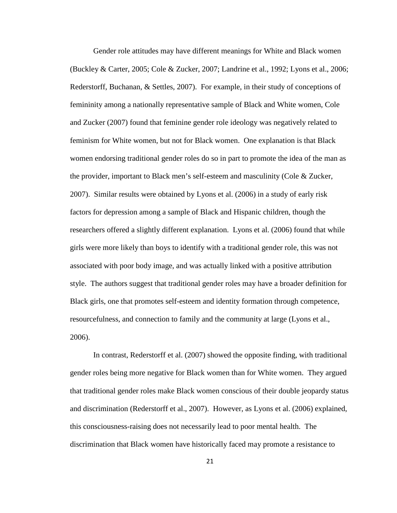Gender role attitudes may have different meanings for White and Black women (Buckley & Carter, 2005; Cole & Zucker, 2007; Landrine et al., 1992; Lyons et al., 2006; Rederstorff, Buchanan, & Settles, 2007). For example, in their study of conceptions of femininity among a nationally representative sample of Black and White women, Cole and Zucker (2007) found that feminine gender role ideology was negatively related to feminism for White women, but not for Black women. One explanation is that Black women endorsing traditional gender roles do so in part to promote the idea of the man as the provider, important to Black men's self-esteem and masculinity (Cole & Zucker, 2007). Similar results were obtained by Lyons et al. (2006) in a study of early risk factors for depression among a sample of Black and Hispanic children, though the researchers offered a slightly different explanation. Lyons et al. (2006) found that while girls were more likely than boys to identify with a traditional gender role, this was not associated with poor body image, and was actually linked with a positive attribution style. The authors suggest that traditional gender roles may have a broader definition for Black girls, one that promotes self-esteem and identity formation through competence, resourcefulness, and connection to family and the community at large (Lyons et al., 2006).

In contrast, Rederstorff et al. (2007) showed the opposite finding, with traditional gender roles being more negative for Black women than for White women. They argued that traditional gender roles make Black women conscious of their double jeopardy status and discrimination (Rederstorff et al., 2007). However, as Lyons et al. (2006) explained, this consciousness-raising does not necessarily lead to poor mental health. The discrimination that Black women have historically faced may promote a resistance to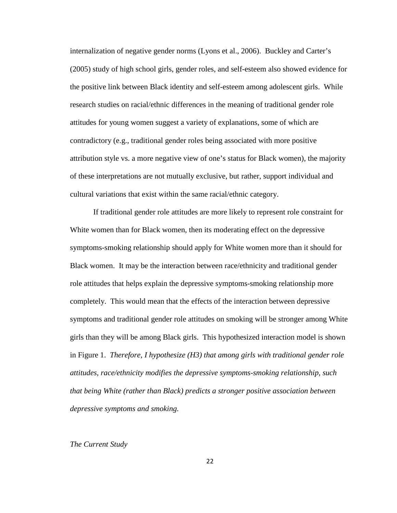internalization of negative gender norms (Lyons et al., 2006). Buckley and Carter's (2005) study of high school girls, gender roles, and self-esteem also showed evidence for the positive link between Black identity and self-esteem among adolescent girls. While research studies on racial/ethnic differences in the meaning of traditional gender role attitudes for young women suggest a variety of explanations, some of which are contradictory (e.g., traditional gender roles being associated with more positive attribution style vs. a more negative view of one's status for Black women), the majority of these interpretations are not mutually exclusive, but rather, support individual and cultural variations that exist within the same racial/ethnic category.

If traditional gender role attitudes are more likely to represent role constraint for White women than for Black women, then its moderating effect on the depressive symptoms-smoking relationship should apply for White women more than it should for Black women. It may be the interaction between race/ethnicity and traditional gender role attitudes that helps explain the depressive symptoms-smoking relationship more completely. This would mean that the effects of the interaction between depressive symptoms and traditional gender role attitudes on smoking will be stronger among White girls than they will be among Black girls. This hypothesized interaction model is shown in Figure 1. *Therefore, I hypothesize (H3) that among girls with traditional gender role attitudes, race/ethnicity modifies the depressive symptoms-smoking relationship, such that being White (rather than Black) predicts a stronger positive association between depressive symptoms and smoking.*

#### *The Current Study*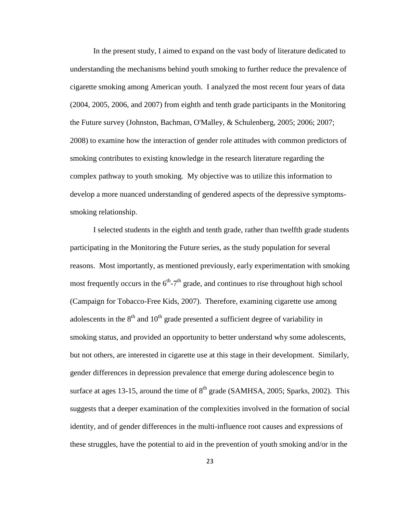In the present study, I aimed to expand on the vast body of literature dedicated to understanding the mechanisms behind youth smoking to further reduce the prevalence of cigarette smoking among American youth. I analyzed the most recent four years of data (2004, 2005, 2006, and 2007) from eighth and tenth grade participants in the Monitoring the Future survey (Johnston, Bachman, O'Malley, & Schulenberg, 2005; 2006; 2007; 2008) to examine how the interaction of gender role attitudes with common predictors of smoking contributes to existing knowledge in the research literature regarding the complex pathway to youth smoking. My objective was to utilize this information to develop a more nuanced understanding of gendered aspects of the depressive symptomssmoking relationship.

I selected students in the eighth and tenth grade, rather than twelfth grade students participating in the Monitoring the Future series, as the study population for several reasons. Most importantly, as mentioned previously, early experimentation with smoking most frequently occurs in the  $6<sup>th</sup> - 7<sup>th</sup>$  grade, and continues to rise throughout high school (Campaign for Tobacco-Free Kids, 2007). Therefore, examining cigarette use among adolescents in the  $8<sup>th</sup>$  and  $10<sup>th</sup>$  grade presented a sufficient degree of variability in smoking status, and provided an opportunity to better understand why some adolescents, but not others, are interested in cigarette use at this stage in their development. Similarly, gender differences in depression prevalence that emerge during adolescence begin to surface at ages 13-15, around the time of  $8<sup>th</sup>$  grade (SAMHSA, 2005; Sparks, 2002). This suggests that a deeper examination of the complexities involved in the formation of social identity, and of gender differences in the multi-influence root causes and expressions of these struggles, have the potential to aid in the prevention of youth smoking and/or in the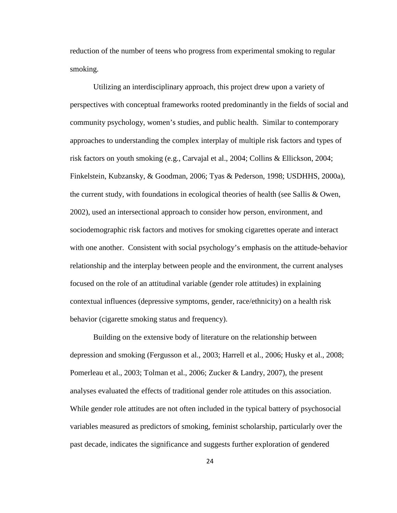reduction of the number of teens who progress from experimental smoking to regular smoking.

Utilizing an interdisciplinary approach, this project drew upon a variety of perspectives with conceptual frameworks rooted predominantly in the fields of social and community psychology, women's studies, and public health. Similar to contemporary approaches to understanding the complex interplay of multiple risk factors and types of risk factors on youth smoking (e.g., Carvajal et al., 2004; Collins & Ellickson, 2004; Finkelstein, Kubzansky, & Goodman, 2006; Tyas & Pederson, 1998; USDHHS, 2000a), the current study, with foundations in ecological theories of health (see Sallis & Owen, 2002), used an intersectional approach to consider how person, environment, and sociodemographic risk factors and motives for smoking cigarettes operate and interact with one another. Consistent with social psychology's emphasis on the attitude-behavior relationship and the interplay between people and the environment, the current analyses focused on the role of an attitudinal variable (gender role attitudes) in explaining contextual influences (depressive symptoms, gender, race/ethnicity) on a health risk behavior (cigarette smoking status and frequency).

Building on the extensive body of literature on the relationship between depression and smoking (Fergusson et al., 2003; Harrell et al., 2006; Husky et al., 2008; Pomerleau et al., 2003; Tolman et al., 2006; Zucker & Landry, 2007), the present analyses evaluated the effects of traditional gender role attitudes on this association. While gender role attitudes are not often included in the typical battery of psychosocial variables measured as predictors of smoking, feminist scholarship, particularly over the past decade, indicates the significance and suggests further exploration of gendered

24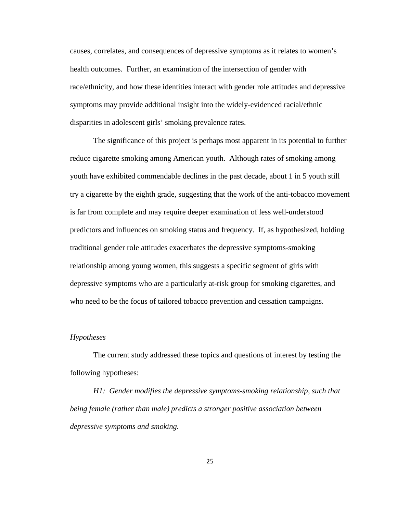causes, correlates, and consequences of depressive symptoms as it relates to women's health outcomes. Further, an examination of the intersection of gender with race/ethnicity, and how these identities interact with gender role attitudes and depressive symptoms may provide additional insight into the widely-evidenced racial/ethnic disparities in adolescent girls' smoking prevalence rates.

The significance of this project is perhaps most apparent in its potential to further reduce cigarette smoking among American youth. Although rates of smoking among youth have exhibited commendable declines in the past decade, about 1 in 5 youth still try a cigarette by the eighth grade, suggesting that the work of the anti-tobacco movement is far from complete and may require deeper examination of less well-understood predictors and influences on smoking status and frequency. If, as hypothesized, holding traditional gender role attitudes exacerbates the depressive symptoms-smoking relationship among young women, this suggests a specific segment of girls with depressive symptoms who are a particularly at-risk group for smoking cigarettes, and who need to be the focus of tailored tobacco prevention and cessation campaigns.

#### *Hypotheses*

The current study addressed these topics and questions of interest by testing the following hypotheses:

*H1: Gender modifies the depressive symptoms-smoking relationship, such that being female (rather than male) predicts a stronger positive association between depressive symptoms and smoking.*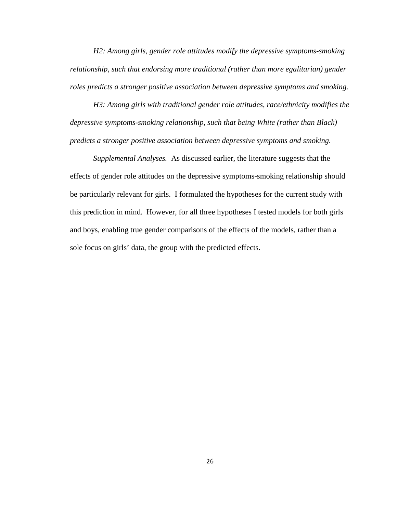*H2: Among girls, gender role attitudes modify the depressive symptoms-smoking relationship, such that endorsing more traditional (rather than more egalitarian) gender roles predicts a stronger positive association between depressive symptoms and smoking.*

*H3: Among girls with traditional gender role attitudes, race/ethnicity modifies the depressive symptoms-smoking relationship, such that being White (rather than Black) predicts a stronger positive association between depressive symptoms and smoking.* 

*Supplemental Analyses.* As discussed earlier, the literature suggests that the effects of gender role attitudes on the depressive symptoms-smoking relationship should be particularly relevant for girls. I formulated the hypotheses for the current study with this prediction in mind. However, for all three hypotheses I tested models for both girls and boys, enabling true gender comparisons of the effects of the models, rather than a sole focus on girls' data, the group with the predicted effects.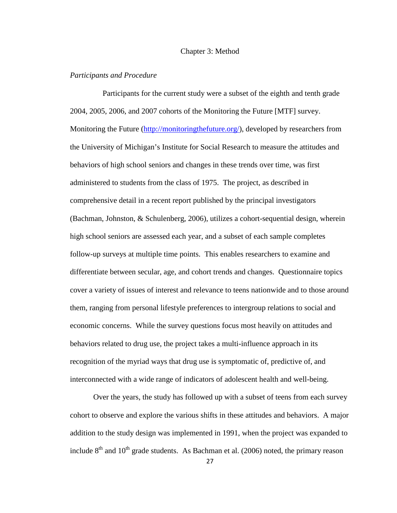#### Chapter 3: Method

#### *Participants and Procedure*

 Participants for the current study were a subset of the eighth and tenth grade 2004, 2005, 2006, and 2007 cohorts of the Monitoring the Future [MTF] survey. Monitoring the Future (http://monitoringthefuture.org/), developed by researchers from the University of Michigan's Institute for Social Research to measure the attitudes and behaviors of high school seniors and changes in these trends over time, was first administered to students from the class of 1975. The project, as described in comprehensive detail in a recent report published by the principal investigators (Bachman, Johnston, & Schulenberg, 2006), utilizes a cohort-sequential design, wherein high school seniors are assessed each year, and a subset of each sample completes follow-up surveys at multiple time points. This enables researchers to examine and differentiate between secular, age, and cohort trends and changes. Questionnaire topics cover a variety of issues of interest and relevance to teens nationwide and to those around them, ranging from personal lifestyle preferences to intergroup relations to social and economic concerns. While the survey questions focus most heavily on attitudes and behaviors related to drug use, the project takes a multi-influence approach in its recognition of the myriad ways that drug use is symptomatic of, predictive of, and interconnected with a wide range of indicators of adolescent health and well-being.

Over the years, the study has followed up with a subset of teens from each survey cohort to observe and explore the various shifts in these attitudes and behaviors. A major addition to the study design was implemented in 1991, when the project was expanded to include  $8<sup>th</sup>$  and  $10<sup>th</sup>$  grade students. As Bachman et al. (2006) noted, the primary reason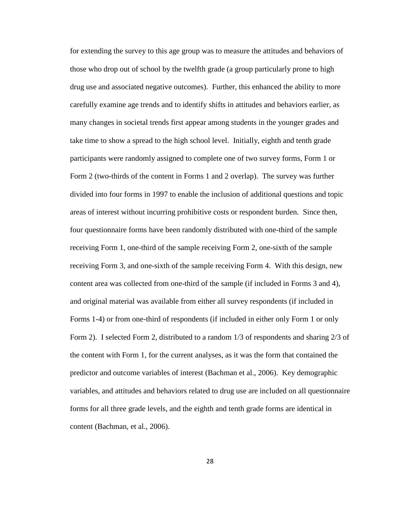for extending the survey to this age group was to measure the attitudes and behaviors of those who drop out of school by the twelfth grade (a group particularly prone to high drug use and associated negative outcomes). Further, this enhanced the ability to more carefully examine age trends and to identify shifts in attitudes and behaviors earlier, as many changes in societal trends first appear among students in the younger grades and take time to show a spread to the high school level. Initially, eighth and tenth grade participants were randomly assigned to complete one of two survey forms, Form 1 or Form 2 (two-thirds of the content in Forms 1 and 2 overlap). The survey was further divided into four forms in 1997 to enable the inclusion of additional questions and topic areas of interest without incurring prohibitive costs or respondent burden. Since then, four questionnaire forms have been randomly distributed with one-third of the sample receiving Form 1, one-third of the sample receiving Form 2, one-sixth of the sample receiving Form 3, and one-sixth of the sample receiving Form 4. With this design, new content area was collected from one-third of the sample (if included in Forms 3 and 4), and original material was available from either all survey respondents (if included in Forms 1-4) or from one-third of respondents (if included in either only Form 1 or only Form 2). I selected Form 2, distributed to a random 1/3 of respondents and sharing 2/3 of the content with Form 1, for the current analyses, as it was the form that contained the predictor and outcome variables of interest (Bachman et al., 2006). Key demographic variables, and attitudes and behaviors related to drug use are included on all questionnaire forms for all three grade levels, and the eighth and tenth grade forms are identical in content (Bachman, et al., 2006).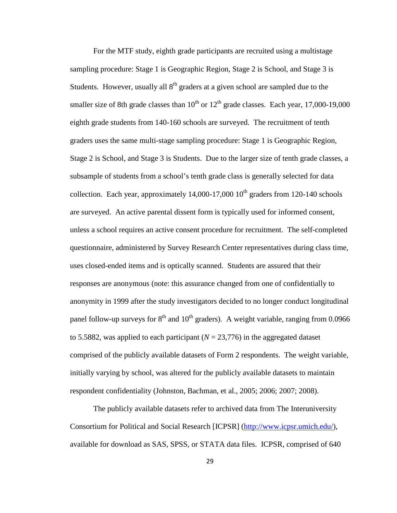For the MTF study, eighth grade participants are recruited using a multistage sampling procedure: Stage 1 is Geographic Region, Stage 2 is School, and Stage 3 is Students. However, usually all  $8<sup>th</sup>$  graders at a given school are sampled due to the smaller size of 8th grade classes than  $10^{th}$  or  $12^{th}$  grade classes. Each year, 17,000-19,000 eighth grade students from 140-160 schools are surveyed. The recruitment of tenth graders uses the same multi-stage sampling procedure: Stage 1 is Geographic Region, Stage 2 is School, and Stage 3 is Students. Due to the larger size of tenth grade classes, a subsample of students from a school's tenth grade class is generally selected for data collection. Each year, approximately  $14,000-17,000$   $10<sup>th</sup>$  graders from 120-140 schools are surveyed. An active parental dissent form is typically used for informed consent, unless a school requires an active consent procedure for recruitment. The self-completed questionnaire, administered by Survey Research Center representatives during class time, uses closed-ended items and is optically scanned. Students are assured that their responses are anonymous (note: this assurance changed from one of confidentially to anonymity in 1999 after the study investigators decided to no longer conduct longitudinal panel follow-up surveys for  $8<sup>th</sup>$  and  $10<sup>th</sup>$  graders). A weight variable, ranging from 0.0966 to 5.5882, was applied to each participant  $(N = 23,776)$  in the aggregated dataset comprised of the publicly available datasets of Form 2 respondents. The weight variable, initially varying by school, was altered for the publicly available datasets to maintain respondent confidentiality (Johnston, Bachman, et al., 2005; 2006; 2007; 2008).

The publicly available datasets refer to archived data from The Interuniversity Consortium for Political and Social Research [ICPSR] (http://www.icpsr.umich.edu/), available for download as SAS, SPSS, or STATA data files. ICPSR, comprised of 640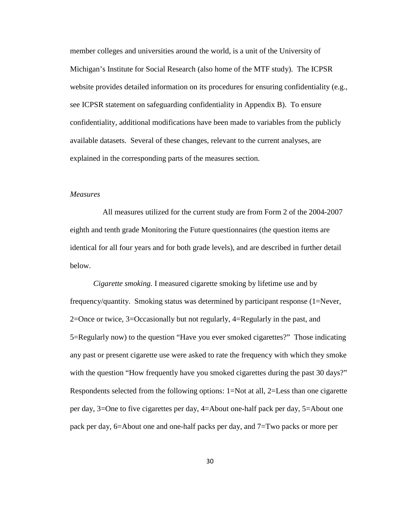member colleges and universities around the world, is a unit of the University of Michigan's Institute for Social Research (also home of the MTF study). The ICPSR website provides detailed information on its procedures for ensuring confidentiality (e.g., see ICPSR statement on safeguarding confidentiality in Appendix B). To ensure confidentiality, additional modifications have been made to variables from the publicly available datasets. Several of these changes, relevant to the current analyses, are explained in the corresponding parts of the measures section.

### *Measures*

 All measures utilized for the current study are from Form 2 of the 2004-2007 eighth and tenth grade Monitoring the Future questionnaires (the question items are identical for all four years and for both grade levels), and are described in further detail below.

*Cigarette smoking.* I measured cigarette smoking by lifetime use and by frequency/quantity. Smoking status was determined by participant response (1=Never, 2=Once or twice, 3=Occasionally but not regularly, 4=Regularly in the past, and 5=Regularly now) to the question "Have you ever smoked cigarettes?" Those indicating any past or present cigarette use were asked to rate the frequency with which they smoke with the question "How frequently have you smoked cigarettes during the past 30 days?" Respondents selected from the following options: 1=Not at all, 2=Less than one cigarette per day, 3=One to five cigarettes per day, 4=About one-half pack per day, 5=About one pack per day, 6=About one and one-half packs per day, and 7=Two packs or more per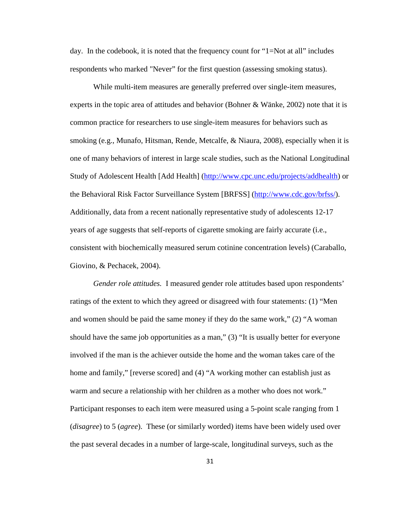day. In the codebook, it is noted that the frequency count for "1=Not at all" includes respondents who marked "Never" for the first question (assessing smoking status).

While multi-item measures are generally preferred over single-item measures, experts in the topic area of attitudes and behavior (Bohner & Wänke, 2002) note that it is common practice for researchers to use single-item measures for behaviors such as smoking (e.g., Munafo, Hitsman, Rende, Metcalfe, & Niaura, 2008), especially when it is one of many behaviors of interest in large scale studies, such as the National Longitudinal Study of Adolescent Health [Add Health] (http://www.cpc.unc.edu/projects/addhealth) or the Behavioral Risk Factor Surveillance System [BRFSS] (http://www.cdc.gov/brfss/). Additionally, data from a recent nationally representative study of adolescents 12-17 years of age suggests that self-reports of cigarette smoking are fairly accurate (i.e., consistent with biochemically measured serum cotinine concentration levels) (Caraballo, Giovino, & Pechacek, 2004).

*Gender role attitudes.* I measured gender role attitudes based upon respondents' ratings of the extent to which they agreed or disagreed with four statements: (1) "Men and women should be paid the same money if they do the same work," (2) "A woman should have the same job opportunities as a man," (3) "It is usually better for everyone involved if the man is the achiever outside the home and the woman takes care of the home and family," [reverse scored] and (4) "A working mother can establish just as warm and secure a relationship with her children as a mother who does not work." Participant responses to each item were measured using a 5-point scale ranging from 1 (*disagree*) to 5 (*agree*). These (or similarly worded) items have been widely used over the past several decades in a number of large-scale, longitudinal surveys, such as the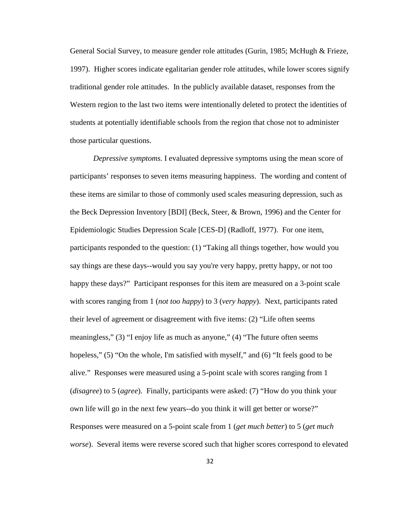General Social Survey, to measure gender role attitudes (Gurin, 1985; McHugh & Frieze, 1997). Higher scores indicate egalitarian gender role attitudes, while lower scores signify traditional gender role attitudes. In the publicly available dataset, responses from the Western region to the last two items were intentionally deleted to protect the identities of students at potentially identifiable schools from the region that chose not to administer those particular questions.

*Depressive symptoms.* I evaluated depressive symptoms using the mean score of participants' responses to seven items measuring happiness. The wording and content of these items are similar to those of commonly used scales measuring depression, such as the Beck Depression Inventory [BDI] (Beck, Steer, & Brown, 1996) and the Center for Epidemiologic Studies Depression Scale [CES-D] (Radloff, 1977). For one item, participants responded to the question: (1) "Taking all things together, how would you say things are these days--would you say you're very happy, pretty happy, or not too happy these days?" Participant responses for this item are measured on a 3-point scale with scores ranging from 1 (*not too happy*) to 3 (*very happy*). Next, participants rated their level of agreement or disagreement with five items: (2) "Life often seems meaningless," (3) "I enjoy life as much as anyone," (4) "The future often seems hopeless," (5) "On the whole, I'm satisfied with myself," and (6) "It feels good to be alive." Responses were measured using a 5-point scale with scores ranging from 1 (*disagree*) to 5 (*agree*). Finally, participants were asked: (7) "How do you think your own life will go in the next few years--do you think it will get better or worse?" Responses were measured on a 5-point scale from 1 (*get much better*) to 5 (*get much worse*). Several items were reverse scored such that higher scores correspond to elevated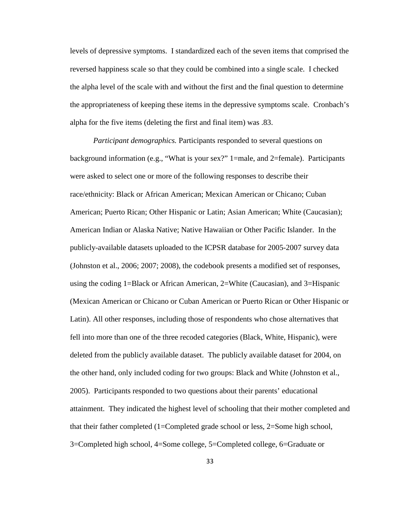levels of depressive symptoms. I standardized each of the seven items that comprised the reversed happiness scale so that they could be combined into a single scale. I checked the alpha level of the scale with and without the first and the final question to determine the appropriateness of keeping these items in the depressive symptoms scale. Cronbach's alpha for the five items (deleting the first and final item) was .83.

*Participant demographics.* Participants responded to several questions on background information (e.g., "What is your sex?" 1=male, and 2=female). Participants were asked to select one or more of the following responses to describe their race/ethnicity: Black or African American; Mexican American or Chicano; Cuban American; Puerto Rican; Other Hispanic or Latin; Asian American; White (Caucasian); American Indian or Alaska Native; Native Hawaiian or Other Pacific Islander. In the publicly-available datasets uploaded to the ICPSR database for 2005-2007 survey data (Johnston et al., 2006; 2007; 2008), the codebook presents a modified set of responses, using the coding 1=Black or African American, 2=White (Caucasian), and 3=Hispanic (Mexican American or Chicano or Cuban American or Puerto Rican or Other Hispanic or Latin). All other responses, including those of respondents who chose alternatives that fell into more than one of the three recoded categories (Black, White, Hispanic), were deleted from the publicly available dataset. The publicly available dataset for 2004, on the other hand, only included coding for two groups: Black and White (Johnston et al., 2005). Participants responded to two questions about their parents' educational attainment. They indicated the highest level of schooling that their mother completed and that their father completed (1=Completed grade school or less, 2=Some high school, 3=Completed high school, 4=Some college, 5=Completed college, 6=Graduate or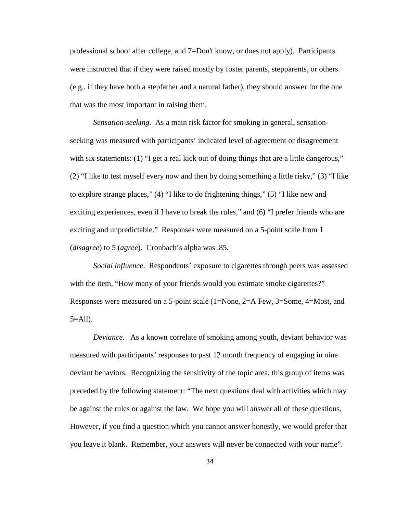professional school after college, and 7=Don't know, or does not apply). Participants were instructed that if they were raised mostly by foster parents, stepparents, or others (e.g., if they have both a stepfather and a natural father), they should answer for the one that was the most important in raising them.

*Sensation-seeking.* As a main risk factor for smoking in general, sensationseeking was measured with participants' indicated level of agreement or disagreement with six statements: (1) "I get a real kick out of doing things that are a little dangerous," (2) "I like to test myself every now and then by doing something a little risky," (3) "I like to explore strange places," (4) "I like to do frightening things," (5) "I like new and exciting experiences, even if I have to break the rules," and (6) "I prefer friends who are exciting and unpredictable." Responses were measured on a 5-point scale from 1 (*disagree*) to 5 (*agree*). Cronbach's alpha was .85.

*Social influence*. Respondents' exposure to cigarettes through peers was assessed with the item, "How many of your friends would you estimate smoke cigarettes?" Responses were measured on a 5-point scale (1=None, 2=A Few, 3=Some, 4=Most, and  $5 =$ All).

*Deviance*. As a known correlate of smoking among youth, deviant behavior was measured with participants' responses to past 12 month frequency of engaging in nine deviant behaviors. Recognizing the sensitivity of the topic area, this group of items was preceded by the following statement: "The next questions deal with activities which may be against the rules or against the law. We hope you will answer all of these questions. However, if you find a question which you cannot answer honestly, we would prefer that you leave it blank. Remember, your answers will never be connected with your name".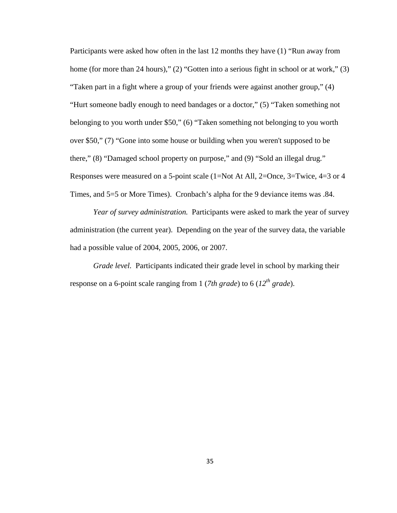Participants were asked how often in the last 12 months they have (1) "Run away from home (for more than 24 hours)," (2) "Gotten into a serious fight in school or at work," (3) "Taken part in a fight where a group of your friends were against another group," (4) "Hurt someone badly enough to need bandages or a doctor," (5) "Taken something not belonging to you worth under \$50," (6) "Taken something not belonging to you worth over \$50," (7) "Gone into some house or building when you weren't supposed to be there," (8) "Damaged school property on purpose," and (9) "Sold an illegal drug." Responses were measured on a 5-point scale (1=Not At All, 2=Once, 3=Twice, 4=3 or 4 Times, and 5=5 or More Times). Cronbach's alpha for the 9 deviance items was .84.

*Year of survey administration.* Participants were asked to mark the year of survey administration (the current year). Depending on the year of the survey data, the variable had a possible value of 2004, 2005, 2006, or 2007.

*Grade level.* Participants indicated their grade level in school by marking their response on a 6-point scale ranging from 1 (*7th grade*) to 6 (*12th grade*).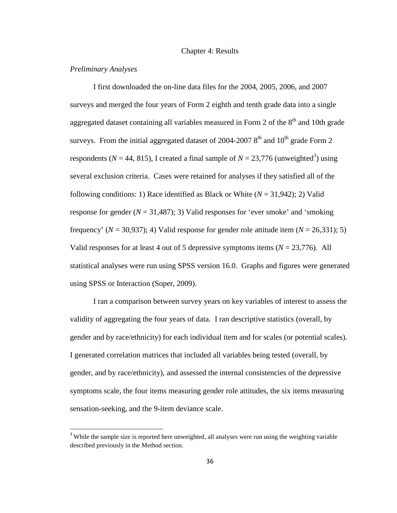#### Chapter 4: Results

## *Preliminary Analyses*

 $\overline{a}$ 

I first downloaded the on-line data files for the 2004, 2005, 2006, and 2007 surveys and merged the four years of Form 2 eighth and tenth grade data into a single aggregated dataset containing all variables measured in Form 2 of the  $8<sup>th</sup>$  and 10th grade surveys. From the initial aggregated dataset of 2004-2007  $8<sup>th</sup>$  and  $10<sup>th</sup>$  grade Form 2 respondents ( $N = 44$ , 815), I created a final sample of  $N = 23,776$  (unweighted<sup>3</sup>) using several exclusion criteria. Cases were retained for analyses if they satisfied all of the following conditions: 1) Race identified as Black or White  $(N = 31,942)$ ; 2) Valid response for gender  $(N = 31,487)$ ; 3) Valid responses for 'ever smoke' and 'smoking frequency' ( $N = 30,937$ ); 4) Valid response for gender role attitude item ( $N = 26,331$ ); 5) Valid responses for at least 4 out of 5 depressive symptoms items  $(N = 23,776)$ . All statistical analyses were run using SPSS version 16.0. Graphs and figures were generated using SPSS or Interaction (Soper, 2009).

I ran a comparison between survey years on key variables of interest to assess the validity of aggregating the four years of data. I ran descriptive statistics (overall, by gender and by race/ethnicity) for each individual item and for scales (or potential scales). I generated correlation matrices that included all variables being tested (overall, by gender, and by race/ethnicity), and assessed the internal consistencies of the depressive symptoms scale, the four items measuring gender role attitudes, the six items measuring sensation-seeking, and the 9-item deviance scale.

<sup>&</sup>lt;sup>3</sup> While the sample size is reported here unweighted, all analyses were run using the weighting variable described previously in the Method section.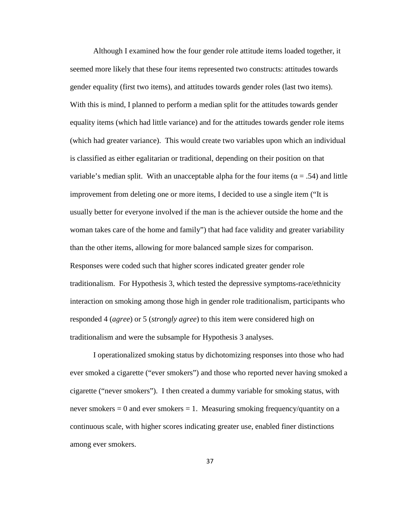Although I examined how the four gender role attitude items loaded together, it seemed more likely that these four items represented two constructs: attitudes towards gender equality (first two items), and attitudes towards gender roles (last two items). With this is mind, I planned to perform a median split for the attitudes towards gender equality items (which had little variance) and for the attitudes towards gender role items (which had greater variance). This would create two variables upon which an individual is classified as either egalitarian or traditional, depending on their position on that variable's median split. With an unacceptable alpha for the four items ( $\alpha = .54$ ) and little improvement from deleting one or more items, I decided to use a single item ("It is usually better for everyone involved if the man is the achiever outside the home and the woman takes care of the home and family") that had face validity and greater variability than the other items, allowing for more balanced sample sizes for comparison. Responses were coded such that higher scores indicated greater gender role traditionalism. For Hypothesis 3, which tested the depressive symptoms-race/ethnicity interaction on smoking among those high in gender role traditionalism, participants who responded 4 (*agree*) or 5 (*strongly agree*) to this item were considered high on traditionalism and were the subsample for Hypothesis 3 analyses.

I operationalized smoking status by dichotomizing responses into those who had ever smoked a cigarette ("ever smokers") and those who reported never having smoked a cigarette ("never smokers"). I then created a dummy variable for smoking status, with never smokers  $= 0$  and ever smokers  $= 1$ . Measuring smoking frequency/quantity on a continuous scale, with higher scores indicating greater use, enabled finer distinctions among ever smokers.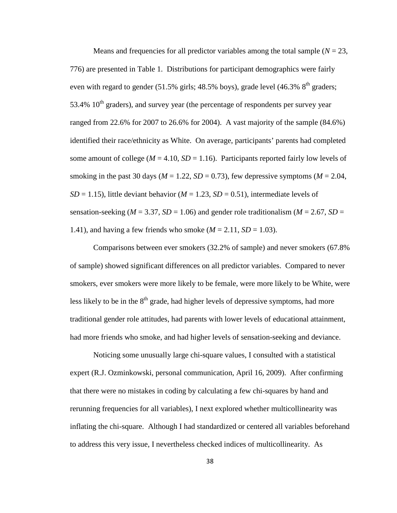Means and frequencies for all predictor variables among the total sample  $(N = 23$ , 776) are presented in Table 1. Distributions for participant demographics were fairly even with regard to gender  $(51.5\%$  girls; 48.5% boys), grade level  $(46.3\%$  8<sup>th</sup> graders; 53.4%  $10^{th}$  graders), and survey year (the percentage of respondents per survey year ranged from 22.6% for 2007 to 26.6% for 2004). A vast majority of the sample (84.6%) identified their race/ethnicity as White. On average, participants' parents had completed some amount of college ( $M = 4.10$ ,  $SD = 1.16$ ). Participants reported fairly low levels of smoking in the past 30 days ( $M = 1.22$ ,  $SD = 0.73$ ), few depressive symptoms ( $M = 2.04$ ,  $SD = 1.15$ ), little deviant behavior ( $M = 1.23$ ,  $SD = 0.51$ ), intermediate levels of sensation-seeking ( $M = 3.37$ ,  $SD = 1.06$ ) and gender role traditionalism ( $M = 2.67$ ,  $SD =$ 1.41), and having a few friends who smoke  $(M = 2.11, SD = 1.03)$ .

Comparisons between ever smokers (32.2% of sample) and never smokers (67.8% of sample) showed significant differences on all predictor variables. Compared to never smokers, ever smokers were more likely to be female, were more likely to be White, were less likely to be in the  $8<sup>th</sup>$  grade, had higher levels of depressive symptoms, had more traditional gender role attitudes, had parents with lower levels of educational attainment, had more friends who smoke, and had higher levels of sensation-seeking and deviance.

Noticing some unusually large chi-square values, I consulted with a statistical expert (R.J. Ozminkowski, personal communication, April 16, 2009). After confirming that there were no mistakes in coding by calculating a few chi-squares by hand and rerunning frequencies for all variables), I next explored whether multicollinearity was inflating the chi-square. Although I had standardized or centered all variables beforehand to address this very issue, I nevertheless checked indices of multicollinearity. As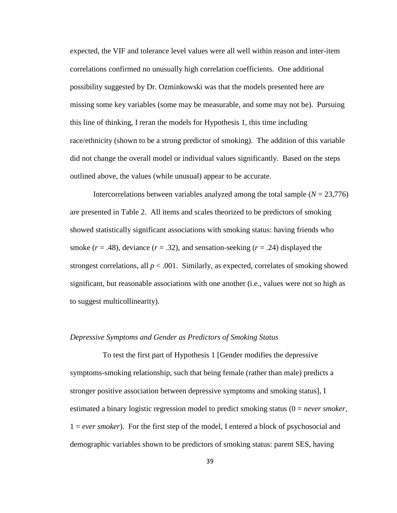expected, the VIF and tolerance level values were all well within reason and inter-item correlations confirmed no unusually high correlation coefficients. One additional possibility suggested by Dr. Ozminkowski was that the models presented here are missing some key variables (some may be measurable, and some may not be). Pursuing this line of thinking, I reran the models for Hypothesis 1, this time including race/ethnicity (shown to be a strong predictor of smoking). The addition of this variable did not change the overall model or individual values significantly. Based on the steps outlined above, the values (while unusual) appear to be accurate.

Intercorrelations between variables analyzed among the total sample  $(N = 23,776)$ are presented in Table 2. All items and scales theorized to be predictors of smoking showed statistically significant associations with smoking status: having friends who smoke  $(r = .48)$ , deviance  $(r = .32)$ , and sensation-seeking  $(r = .24)$  displayed the strongest correlations, all  $p < .001$ . Similarly, as expected, correlates of smoking showed significant, but reasonable associations with one another (i.e., values were not so high as to suggest multicollinearity).

#### *Depressive Symptoms and Gender as Predictors of Smoking Status*

 To test the first part of Hypothesis 1 [Gender modifies the depressive symptoms-smoking relationship, such that being female (rather than male) predicts a stronger positive association between depressive symptoms and smoking status], I estimated a binary logistic regression model to predict smoking status (0 = *never smoker*, 1 = *ever smoker*). For the first step of the model, I entered a block of psychosocial and demographic variables shown to be predictors of smoking status: parent SES, having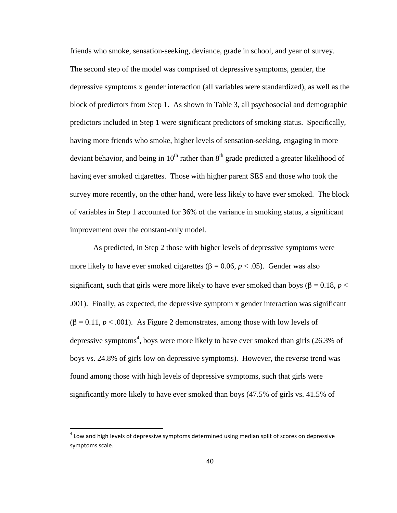friends who smoke, sensation-seeking, deviance, grade in school, and year of survey. The second step of the model was comprised of depressive symptoms, gender, the depressive symptoms x gender interaction (all variables were standardized), as well as the block of predictors from Step 1. As shown in Table 3, all psychosocial and demographic predictors included in Step 1 were significant predictors of smoking status. Specifically, having more friends who smoke, higher levels of sensation-seeking, engaging in more deviant behavior, and being in  $10^{th}$  rather than  $8^{th}$  grade predicted a greater likelihood of having ever smoked cigarettes. Those with higher parent SES and those who took the survey more recently, on the other hand, were less likely to have ever smoked. The block of variables in Step 1 accounted for 36% of the variance in smoking status, a significant improvement over the constant-only model.

As predicted, in Step 2 those with higher levels of depressive symptoms were more likely to have ever smoked cigarettes ( $β = 0.06, p < .05$ ). Gender was also significant, such that girls were more likely to have ever smoked than boys ( $\beta = 0.18$ ,  $p <$ .001). Finally, as expected, the depressive symptom x gender interaction was significant  $(β = 0.11, p < .001)$ . As Figure 2 demonstrates, among those with low levels of depressive symptoms<sup>4</sup>, boys were more likely to have ever smoked than girls  $(26.3\%$  of boys vs. 24.8% of girls low on depressive symptoms). However, the reverse trend was found among those with high levels of depressive symptoms, such that girls were significantly more likely to have ever smoked than boys (47.5% of girls vs. 41.5% of

l

 $<sup>4</sup>$  Low and high levels of depressive symptoms determined using median split of scores on depressive</sup> symptoms scale.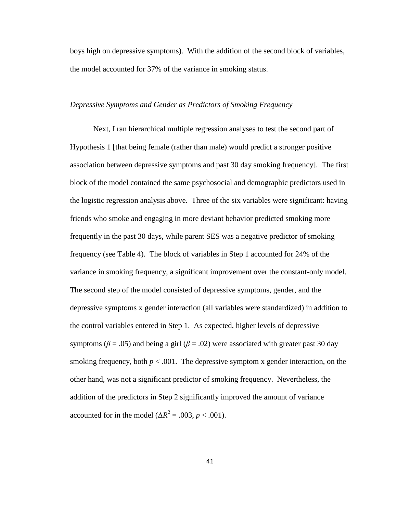boys high on depressive symptoms). With the addition of the second block of variables, the model accounted for 37% of the variance in smoking status.

### *Depressive Symptoms and Gender as Predictors of Smoking Frequency*

Next, I ran hierarchical multiple regression analyses to test the second part of Hypothesis 1 [that being female (rather than male) would predict a stronger positive association between depressive symptoms and past 30 day smoking frequency]. The first block of the model contained the same psychosocial and demographic predictors used in the logistic regression analysis above. Three of the six variables were significant: having friends who smoke and engaging in more deviant behavior predicted smoking more frequently in the past 30 days, while parent SES was a negative predictor of smoking frequency (see Table 4). The block of variables in Step 1 accounted for 24% of the variance in smoking frequency, a significant improvement over the constant-only model. The second step of the model consisted of depressive symptoms, gender, and the depressive symptoms x gender interaction (all variables were standardized) in addition to the control variables entered in Step 1. As expected, higher levels of depressive symptoms ( $\beta$  = .05) and being a girl ( $\beta$  = .02) were associated with greater past 30 day smoking frequency, both  $p < .001$ . The depressive symptom x gender interaction, on the other hand, was not a significant predictor of smoking frequency. Nevertheless, the addition of the predictors in Step 2 significantly improved the amount of variance accounted for in the model ( $\Delta R^2 = .003$ ,  $p < .001$ ).

41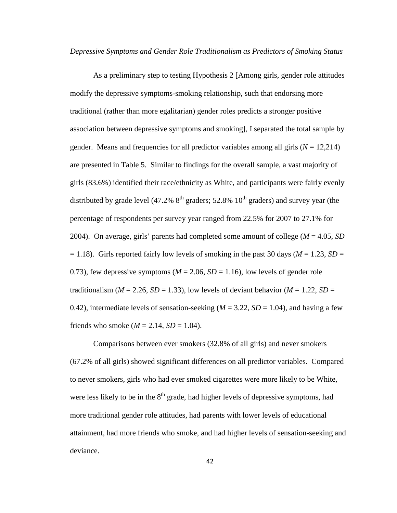*Depressive Symptoms and Gender Role Traditionalism as Predictors of Smoking Status*

As a preliminary step to testing Hypothesis 2 [Among girls, gender role attitudes modify the depressive symptoms-smoking relationship, such that endorsing more traditional (rather than more egalitarian) gender roles predicts a stronger positive association between depressive symptoms and smoking], I separated the total sample by gender. Means and frequencies for all predictor variables among all girls  $(N = 12,214)$ are presented in Table 5. Similar to findings for the overall sample, a vast majority of girls (83.6%) identified their race/ethnicity as White, and participants were fairly evenly distributed by grade level (47.2%  $8<sup>th</sup>$  graders; 52.8%  $10<sup>th</sup>$  graders) and survey year (the percentage of respondents per survey year ranged from 22.5% for 2007 to 27.1% for 2004). On average, girls' parents had completed some amount of college (*M* = 4.05, *SD*  $= 1.18$ ). Girls reported fairly low levels of smoking in the past 30 days ( $M = 1.23$ ,  $SD = 1.18$ ) 0.73), few depressive symptoms ( $M = 2.06$ ,  $SD = 1.16$ ), low levels of gender role traditionalism ( $M = 2.26$ ,  $SD = 1.33$ ), low levels of deviant behavior ( $M = 1.22$ ,  $SD =$ 0.42), intermediate levels of sensation-seeking  $(M = 3.22, SD = 1.04)$ , and having a few friends who smoke ( $M = 2.14$ ,  $SD = 1.04$ ).

Comparisons between ever smokers (32.8% of all girls) and never smokers (67.2% of all girls) showed significant differences on all predictor variables. Compared to never smokers, girls who had ever smoked cigarettes were more likely to be White, were less likely to be in the  $8<sup>th</sup>$  grade, had higher levels of depressive symptoms, had more traditional gender role attitudes, had parents with lower levels of educational attainment, had more friends who smoke, and had higher levels of sensation-seeking and deviance.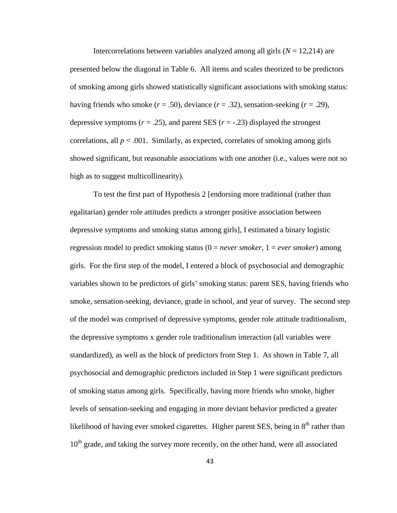Intercorrelations between variables analyzed among all girls  $(N = 12,214)$  are presented below the diagonal in Table 6. All items and scales theorized to be predictors of smoking among girls showed statistically significant associations with smoking status: having friends who smoke  $(r = .50)$ , deviance  $(r = .32)$ , sensation-seeking  $(r = .29)$ , depressive symptoms  $(r = .25)$ , and parent SES  $(r = .23)$  displayed the strongest correlations, all  $p < .001$ . Similarly, as expected, correlates of smoking among girls showed significant, but reasonable associations with one another (i.e., values were not so high as to suggest multicollinearity).

To test the first part of Hypothesis 2 [endorsing more traditional (rather than egalitarian) gender role attitudes predicts a stronger positive association between depressive symptoms and smoking status among girls], I estimated a binary logistic regression model to predict smoking status (0 = *never smoker*, 1 = *ever smoker*) among girls. For the first step of the model, I entered a block of psychosocial and demographic variables shown to be predictors of girls' smoking status: parent SES, having friends who smoke, sensation-seeking, deviance, grade in school, and year of survey. The second step of the model was comprised of depressive symptoms, gender role attitude traditionalism, the depressive symptoms x gender role traditionalism interaction (all variables were standardized), as well as the block of predictors from Step 1. As shown in Table 7, all psychosocial and demographic predictors included in Step 1 were significant predictors of smoking status among girls. Specifically, having more friends who smoke, higher levels of sensation-seeking and engaging in more deviant behavior predicted a greater likelihood of having ever smoked cigarettes. Higher parent SES, being in  $8<sup>th</sup>$  rather than  $10<sup>th</sup>$  grade, and taking the survey more recently, on the other hand, were all associated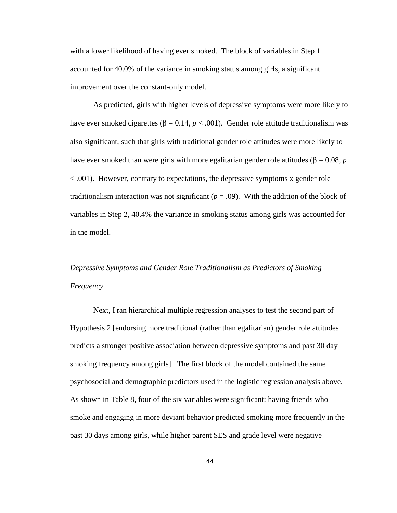with a lower likelihood of having ever smoked. The block of variables in Step 1 accounted for 40.0% of the variance in smoking status among girls, a significant improvement over the constant-only model.

As predicted, girls with higher levels of depressive symptoms were more likely to have ever smoked cigarettes (β = 0.14,  $p < .001$ ). Gender role attitude traditionalism was also significant, such that girls with traditional gender role attitudes were more likely to have ever smoked than were girls with more egalitarian gender role attitudes (β = 0.08, *p* < .001). However, contrary to expectations, the depressive symptoms x gender role traditionalism interaction was not significant ( $p = .09$ ). With the addition of the block of variables in Step 2, 40.4% the variance in smoking status among girls was accounted for in the model.

# *Depressive Symptoms and Gender Role Traditionalism as Predictors of Smoking Frequency*

Next, I ran hierarchical multiple regression analyses to test the second part of Hypothesis 2 [endorsing more traditional (rather than egalitarian) gender role attitudes predicts a stronger positive association between depressive symptoms and past 30 day smoking frequency among girls]. The first block of the model contained the same psychosocial and demographic predictors used in the logistic regression analysis above. As shown in Table 8, four of the six variables were significant: having friends who smoke and engaging in more deviant behavior predicted smoking more frequently in the past 30 days among girls, while higher parent SES and grade level were negative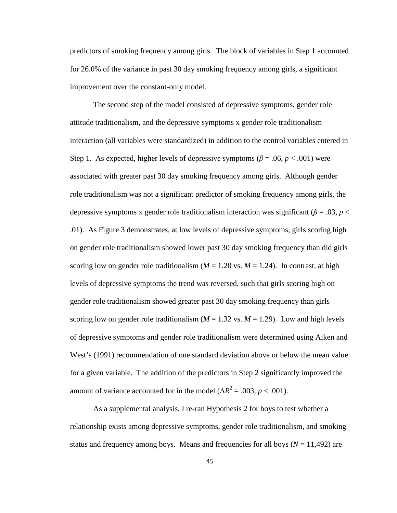predictors of smoking frequency among girls. The block of variables in Step 1 accounted for 26.0% of the variance in past 30 day smoking frequency among girls, a significant improvement over the constant-only model.

The second step of the model consisted of depressive symptoms, gender role attitude traditionalism, and the depressive symptoms x gender role traditionalism interaction (all variables were standardized) in addition to the control variables entered in Step 1. As expected, higher levels of depressive symptoms ( $\beta$  = .06,  $p$  < .001) were associated with greater past 30 day smoking frequency among girls. Although gender role traditionalism was not a significant predictor of smoking frequency among girls, the depressive symptoms x gender role traditionalism interaction was significant ( $\beta = .03$ ,  $p <$ .01). As Figure 3 demonstrates, at low levels of depressive symptoms, girls scoring high on gender role traditionalism showed lower past 30 day smoking frequency than did girls scoring low on gender role traditionalism ( $M = 1.20$  vs.  $M = 1.24$ ). In contrast, at high levels of depressive symptoms the trend was reversed, such that girls scoring high on gender role traditionalism showed greater past 30 day smoking frequency than girls scoring low on gender role traditionalism ( $M = 1.32$  vs.  $M = 1.29$ ). Low and high levels of depressive symptoms and gender role traditionalism were determined using Aiken and West's (1991) recommendation of one standard deviation above or below the mean value for a given variable. The addition of the predictors in Step 2 significantly improved the amount of variance accounted for in the model ( $\Delta R^2 = .003$ ,  $p < .001$ ).

As a supplemental analysis, I re-ran Hypothesis 2 for boys to test whether a relationship exists among depressive symptoms, gender role traditionalism, and smoking status and frequency among boys. Means and frequencies for all boys  $(N = 11,492)$  are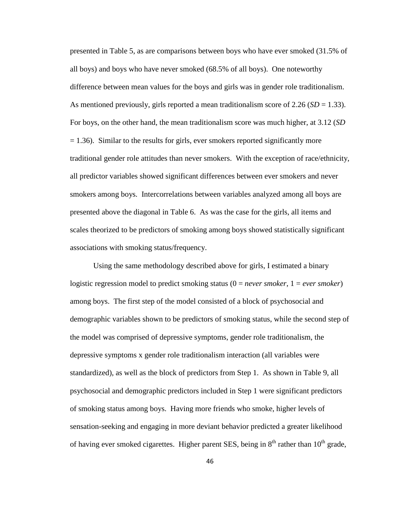presented in Table 5, as are comparisons between boys who have ever smoked (31.5% of all boys) and boys who have never smoked (68.5% of all boys). One noteworthy difference between mean values for the boys and girls was in gender role traditionalism. As mentioned previously, girls reported a mean traditionalism score of 2.26  $(SD = 1.33)$ . For boys, on the other hand, the mean traditionalism score was much higher, at 3.12 (*SD*  $= 1.36$ ). Similar to the results for girls, ever smokers reported significantly more traditional gender role attitudes than never smokers. With the exception of race/ethnicity, all predictor variables showed significant differences between ever smokers and never smokers among boys. Intercorrelations between variables analyzed among all boys are presented above the diagonal in Table 6. As was the case for the girls, all items and scales theorized to be predictors of smoking among boys showed statistically significant associations with smoking status/frequency.

Using the same methodology described above for girls, I estimated a binary logistic regression model to predict smoking status (0 = *never smoker*, 1 = *ever smoker*) among boys. The first step of the model consisted of a block of psychosocial and demographic variables shown to be predictors of smoking status, while the second step of the model was comprised of depressive symptoms, gender role traditionalism, the depressive symptoms x gender role traditionalism interaction (all variables were standardized), as well as the block of predictors from Step 1. As shown in Table 9, all psychosocial and demographic predictors included in Step 1 were significant predictors of smoking status among boys. Having more friends who smoke, higher levels of sensation-seeking and engaging in more deviant behavior predicted a greater likelihood of having ever smoked cigarettes. Higher parent SES, being in  $8<sup>th</sup>$  rather than  $10<sup>th</sup>$  grade,

46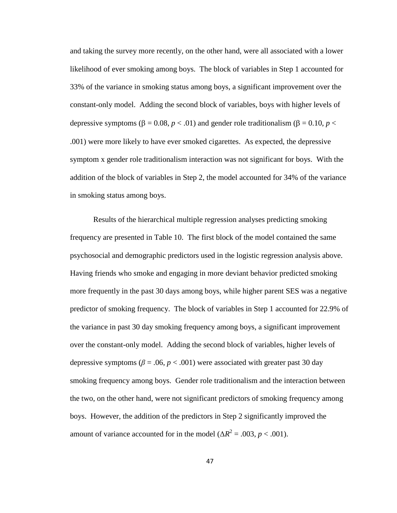and taking the survey more recently, on the other hand, were all associated with a lower likelihood of ever smoking among boys. The block of variables in Step 1 accounted for 33% of the variance in smoking status among boys, a significant improvement over the constant-only model. Adding the second block of variables, boys with higher levels of depressive symptoms (β = 0.08, *p* < .01) and gender role traditionalism (β = 0.10, *p* < .001) were more likely to have ever smoked cigarettes. As expected, the depressive symptom x gender role traditionalism interaction was not significant for boys. With the addition of the block of variables in Step 2, the model accounted for 34% of the variance in smoking status among boys.

Results of the hierarchical multiple regression analyses predicting smoking frequency are presented in Table 10. The first block of the model contained the same psychosocial and demographic predictors used in the logistic regression analysis above. Having friends who smoke and engaging in more deviant behavior predicted smoking more frequently in the past 30 days among boys, while higher parent SES was a negative predictor of smoking frequency. The block of variables in Step 1 accounted for 22.9% of the variance in past 30 day smoking frequency among boys, a significant improvement over the constant-only model. Adding the second block of variables, higher levels of depressive symptoms ( $\beta$  = .06, *p* < .001) were associated with greater past 30 day smoking frequency among boys. Gender role traditionalism and the interaction between the two, on the other hand, were not significant predictors of smoking frequency among boys. However, the addition of the predictors in Step 2 significantly improved the amount of variance accounted for in the model ( $\Delta R^2 = .003$ ,  $p < .001$ ).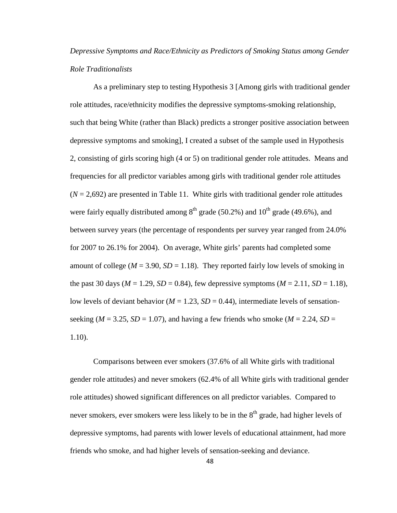## *Depressive Symptoms and Race/Ethnicity as Predictors of Smoking Status among Gender Role Traditionalists*

As a preliminary step to testing Hypothesis 3 [Among girls with traditional gender role attitudes, race/ethnicity modifies the depressive symptoms-smoking relationship, such that being White (rather than Black) predicts a stronger positive association between depressive symptoms and smoking], I created a subset of the sample used in Hypothesis 2, consisting of girls scoring high (4 or 5) on traditional gender role attitudes. Means and frequencies for all predictor variables among girls with traditional gender role attitudes  $(N = 2,692)$  are presented in Table 11. White girls with traditional gender role attitudes were fairly equally distributed among  $8<sup>th</sup>$  grade (50.2%) and 10<sup>th</sup> grade (49.6%), and between survey years (the percentage of respondents per survey year ranged from 24.0% for 2007 to 26.1% for 2004). On average, White girls' parents had completed some amount of college ( $M = 3.90$ ,  $SD = 1.18$ ). They reported fairly low levels of smoking in the past 30 days ( $M = 1.29$ ,  $SD = 0.84$ ), few depressive symptoms ( $M = 2.11$ ,  $SD = 1.18$ ), low levels of deviant behavior ( $M = 1.23$ ,  $SD = 0.44$ ), intermediate levels of sensationseeking ( $M = 3.25$ ,  $SD = 1.07$ ), and having a few friends who smoke ( $M = 2.24$ ,  $SD =$ 1.10).

Comparisons between ever smokers (37.6% of all White girls with traditional gender role attitudes) and never smokers (62.4% of all White girls with traditional gender role attitudes) showed significant differences on all predictor variables. Compared to never smokers, ever smokers were less likely to be in the  $8<sup>th</sup>$  grade, had higher levels of depressive symptoms, had parents with lower levels of educational attainment, had more friends who smoke, and had higher levels of sensation-seeking and deviance.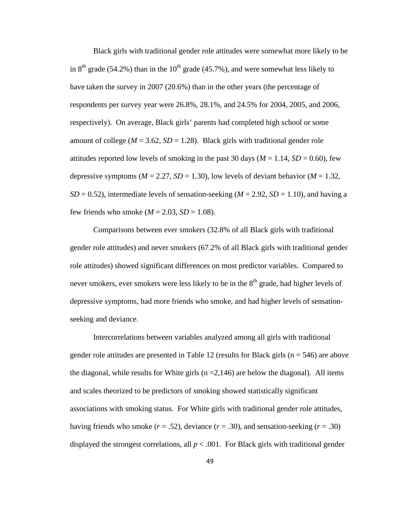Black girls with traditional gender role attitudes were somewhat more likely to be in  $8<sup>th</sup>$  grade (54.2%) than in the 10<sup>th</sup> grade (45.7%), and were somewhat less likely to have taken the survey in 2007 (20.6%) than in the other years (the percentage of respondents per survey year were 26.8%, 28.1%, and 24.5% for 2004, 2005, and 2006, respectively). On average, Black girls' parents had completed high school or some amount of college ( $M = 3.62$ ,  $SD = 1.28$ ). Black girls with traditional gender role attitudes reported low levels of smoking in the past 30 days ( $M = 1.14$ ,  $SD = 0.60$ ), few depressive symptoms ( $M = 2.27$ ,  $SD = 1.30$ ), low levels of deviant behavior ( $M = 1.32$ ,  $SD = 0.52$ ), intermediate levels of sensation-seeking (*M* = 2.92, *SD* = 1.10), and having a few friends who smoke  $(M = 2.03, SD = 1.08)$ .

Comparisons between ever smokers (32.8% of all Black girls with traditional gender role attitudes) and never smokers (67.2% of all Black girls with traditional gender role attitudes) showed significant differences on most predictor variables. Compared to never smokers, ever smokers were less likely to be in the  $8<sup>th</sup>$  grade, had higher levels of depressive symptoms, had more friends who smoke, and had higher levels of sensationseeking and deviance.

Intercorrelations between variables analyzed among all girls with traditional gender role attitudes are presented in Table 12 (results for Black girls ( $n = 546$ ) are above the diagonal, while results for White girls  $(n = 2,146)$  are below the diagonal). All items and scales theorized to be predictors of smoking showed statistically significant associations with smoking status. For White girls with traditional gender role attitudes, having friends who smoke  $(r = .52)$ , deviance  $(r = .30)$ , and sensation-seeking  $(r = .30)$ displayed the strongest correlations, all  $p < .001$ . For Black girls with traditional gender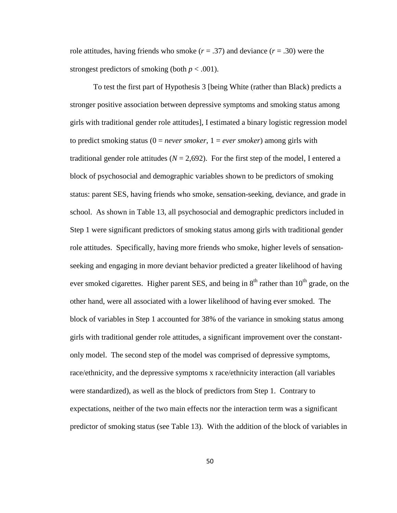role attitudes, having friends who smoke  $(r = .37)$  and deviance  $(r = .30)$  were the strongest predictors of smoking (both  $p < .001$ ).

To test the first part of Hypothesis 3 [being White (rather than Black) predicts a stronger positive association between depressive symptoms and smoking status among girls with traditional gender role attitudes], I estimated a binary logistic regression model to predict smoking status  $(0 = never smoker, 1 = ever smoker)$  among girls with traditional gender role attitudes ( $N = 2,692$ ). For the first step of the model, I entered a block of psychosocial and demographic variables shown to be predictors of smoking status: parent SES, having friends who smoke, sensation-seeking, deviance, and grade in school. As shown in Table 13, all psychosocial and demographic predictors included in Step 1 were significant predictors of smoking status among girls with traditional gender role attitudes. Specifically, having more friends who smoke, higher levels of sensationseeking and engaging in more deviant behavior predicted a greater likelihood of having ever smoked cigarettes. Higher parent SES, and being in  $8<sup>th</sup>$  rather than  $10<sup>th</sup>$  grade, on the other hand, were all associated with a lower likelihood of having ever smoked. The block of variables in Step 1 accounted for 38% of the variance in smoking status among girls with traditional gender role attitudes, a significant improvement over the constantonly model. The second step of the model was comprised of depressive symptoms, race/ethnicity, and the depressive symptoms x race/ethnicity interaction (all variables were standardized), as well as the block of predictors from Step 1. Contrary to expectations, neither of the two main effects nor the interaction term was a significant predictor of smoking status (see Table 13). With the addition of the block of variables in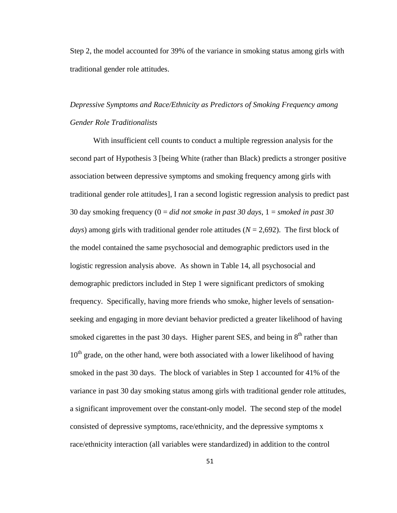Step 2, the model accounted for 39% of the variance in smoking status among girls with traditional gender role attitudes.

# *Depressive Symptoms and Race/Ethnicity as Predictors of Smoking Frequency among Gender Role Traditionalists*

With insufficient cell counts to conduct a multiple regression analysis for the second part of Hypothesis 3 [being White (rather than Black) predicts a stronger positive association between depressive symptoms and smoking frequency among girls with traditional gender role attitudes], I ran a second logistic regression analysis to predict past 30 day smoking frequency (0 = *did not smoke in past 30 days*, 1 = *smoked in past 30 days*) among girls with traditional gender role attitudes (*N* = 2,692). The first block of the model contained the same psychosocial and demographic predictors used in the logistic regression analysis above. As shown in Table 14, all psychosocial and demographic predictors included in Step 1 were significant predictors of smoking frequency. Specifically, having more friends who smoke, higher levels of sensationseeking and engaging in more deviant behavior predicted a greater likelihood of having smoked cigarettes in the past 30 days. Higher parent SES, and being in  $8<sup>th</sup>$  rather than  $10<sup>th</sup>$  grade, on the other hand, were both associated with a lower likelihood of having smoked in the past 30 days. The block of variables in Step 1 accounted for 41% of the variance in past 30 day smoking status among girls with traditional gender role attitudes, a significant improvement over the constant-only model. The second step of the model consisted of depressive symptoms, race/ethnicity, and the depressive symptoms x race/ethnicity interaction (all variables were standardized) in addition to the control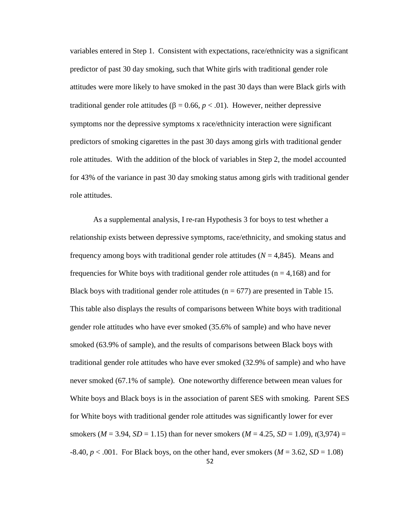variables entered in Step 1. Consistent with expectations, race/ethnicity was a significant predictor of past 30 day smoking, such that White girls with traditional gender role attitudes were more likely to have smoked in the past 30 days than were Black girls with traditional gender role attitudes (β = 0.66, *p* < .01). However, neither depressive symptoms nor the depressive symptoms x race/ethnicity interaction were significant predictors of smoking cigarettes in the past 30 days among girls with traditional gender role attitudes. With the addition of the block of variables in Step 2, the model accounted for 43% of the variance in past 30 day smoking status among girls with traditional gender role attitudes.

As a supplemental analysis, I re-ran Hypothesis 3 for boys to test whether a relationship exists between depressive symptoms, race/ethnicity, and smoking status and frequency among boys with traditional gender role attitudes  $(N = 4,845)$ . Means and frequencies for White boys with traditional gender role attitudes ( $n = 4,168$ ) and for Black boys with traditional gender role attitudes ( $n = 677$ ) are presented in Table 15. This table also displays the results of comparisons between White boys with traditional gender role attitudes who have ever smoked (35.6% of sample) and who have never smoked (63.9% of sample), and the results of comparisons between Black boys with traditional gender role attitudes who have ever smoked (32.9% of sample) and who have never smoked (67.1% of sample). One noteworthy difference between mean values for White boys and Black boys is in the association of parent SES with smoking. Parent SES for White boys with traditional gender role attitudes was significantly lower for ever smokers ( $M = 3.94$ ,  $SD = 1.15$ ) than for never smokers ( $M = 4.25$ ,  $SD = 1.09$ ),  $t(3.974) =$  $-8.40, p < .001$ . For Black boys, on the other hand, ever smokers ( $M = 3.62$ ,  $SD = 1.08$ )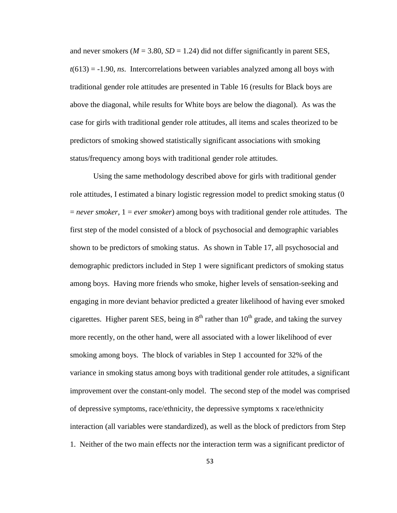and never smokers ( $M = 3.80$ ,  $SD = 1.24$ ) did not differ significantly in parent SES,  $t(613) = -1.90$ , *ns*. Intercorrelations between variables analyzed among all boys with traditional gender role attitudes are presented in Table 16 (results for Black boys are above the diagonal, while results for White boys are below the diagonal). As was the case for girls with traditional gender role attitudes, all items and scales theorized to be predictors of smoking showed statistically significant associations with smoking status/frequency among boys with traditional gender role attitudes.

Using the same methodology described above for girls with traditional gender role attitudes, I estimated a binary logistic regression model to predict smoking status (0 = *never smoker*, 1 = *ever smoker*) among boys with traditional gender role attitudes. The first step of the model consisted of a block of psychosocial and demographic variables shown to be predictors of smoking status. As shown in Table 17, all psychosocial and demographic predictors included in Step 1 were significant predictors of smoking status among boys. Having more friends who smoke, higher levels of sensation-seeking and engaging in more deviant behavior predicted a greater likelihood of having ever smoked cigarettes. Higher parent SES, being in  $8<sup>th</sup>$  rather than  $10<sup>th</sup>$  grade, and taking the survey more recently, on the other hand, were all associated with a lower likelihood of ever smoking among boys. The block of variables in Step 1 accounted for 32% of the variance in smoking status among boys with traditional gender role attitudes, a significant improvement over the constant-only model. The second step of the model was comprised of depressive symptoms, race/ethnicity, the depressive symptoms x race/ethnicity interaction (all variables were standardized), as well as the block of predictors from Step 1. Neither of the two main effects nor the interaction term was a significant predictor of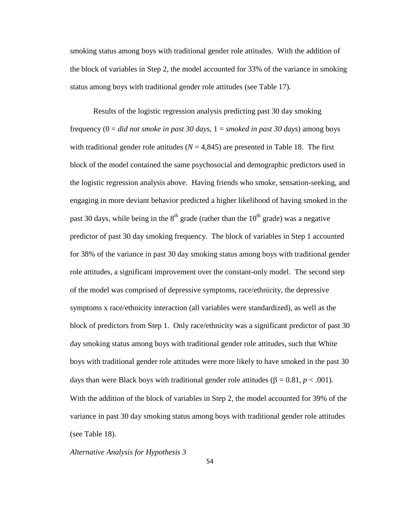smoking status among boys with traditional gender role attitudes. With the addition of the block of variables in Step 2, the model accounted for 33% of the variance in smoking status among boys with traditional gender role attitudes (see Table 17).

Results of the logistic regression analysis predicting past 30 day smoking frequency (0 = *did not smoke in past 30 days*, 1 = *smoked in past 30 days*) among boys with traditional gender role attitudes  $(N = 4,845)$  are presented in Table 18. The first block of the model contained the same psychosocial and demographic predictors used in the logistic regression analysis above. Having friends who smoke, sensation-seeking, and engaging in more deviant behavior predicted a higher likelihood of having smoked in the past 30 days, while being in the  $8<sup>th</sup>$  grade (rather than the  $10<sup>th</sup>$  grade) was a negative predictor of past 30 day smoking frequency. The block of variables in Step 1 accounted for 38% of the variance in past 30 day smoking status among boys with traditional gender role attitudes, a significant improvement over the constant-only model. The second step of the model was comprised of depressive symptoms, race/ethnicity, the depressive symptoms x race/ethnicity interaction (all variables were standardized), as well as the block of predictors from Step 1. Only race/ethnicity was a significant predictor of past 30 day smoking status among boys with traditional gender role attitudes, such that White boys with traditional gender role attitudes were more likely to have smoked in the past 30 days than were Black boys with traditional gender role attitudes ( $β = 0.81, p < .001$ ). With the addition of the block of variables in Step 2, the model accounted for 39% of the variance in past 30 day smoking status among boys with traditional gender role attitudes (see Table 18).

*Alternative Analysis for Hypothesis 3* 

54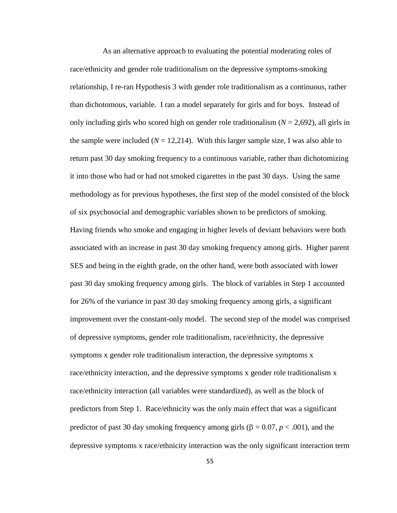As an alternative approach to evaluating the potential moderating roles of race/ethnicity and gender role traditionalism on the depressive symptoms-smoking relationship, I re-ran Hypothesis 3 with gender role traditionalism as a continuous, rather than dichotomous, variable. I ran a model separately for girls and for boys. Instead of only including girls who scored high on gender role traditionalism  $(N = 2,692)$ , all girls in the sample were included  $(N = 12,214)$ . With this larger sample size, I was also able to return past 30 day smoking frequency to a continuous variable, rather than dichotomizing it into those who had or had not smoked cigarettes in the past 30 days. Using the same methodology as for previous hypotheses, the first step of the model consisted of the block of six psychosocial and demographic variables shown to be predictors of smoking. Having friends who smoke and engaging in higher levels of deviant behaviors were both associated with an increase in past 30 day smoking frequency among girls. Higher parent SES and being in the eighth grade, on the other hand, were both associated with lower past 30 day smoking frequency among girls. The block of variables in Step 1 accounted for 26% of the variance in past 30 day smoking frequency among girls, a significant improvement over the constant-only model. The second step of the model was comprised of depressive symptoms, gender role traditionalism, race/ethnicity, the depressive symptoms x gender role traditionalism interaction, the depressive symptoms x race/ethnicity interaction, and the depressive symptoms x gender role traditionalism x race/ethnicity interaction (all variables were standardized), as well as the block of predictors from Step 1. Race/ethnicity was the only main effect that was a significant predictor of past 30 day smoking frequency among girls ( $\beta = 0.07$ ,  $p < .001$ ), and the depressive symptoms x race/ethnicity interaction was the only significant interaction term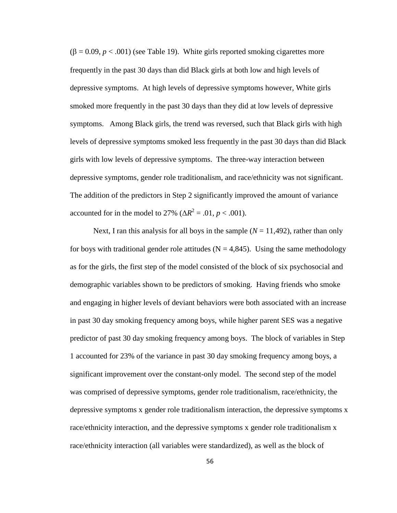(β = 0.09, *p* < .001) (see Table 19). White girls reported smoking cigarettes more frequently in the past 30 days than did Black girls at both low and high levels of depressive symptoms. At high levels of depressive symptoms however, White girls smoked more frequently in the past 30 days than they did at low levels of depressive symptoms. Among Black girls, the trend was reversed, such that Black girls with high levels of depressive symptoms smoked less frequently in the past 30 days than did Black girls with low levels of depressive symptoms. The three-way interaction between depressive symptoms, gender role traditionalism, and race/ethnicity was not significant. The addition of the predictors in Step 2 significantly improved the amount of variance accounted for in the model to 27% ( $\Delta R^2$  = .01, *p* < .001).

Next, I ran this analysis for all boys in the sample  $(N = 11,492)$ , rather than only for boys with traditional gender role attitudes ( $N = 4,845$ ). Using the same methodology as for the girls, the first step of the model consisted of the block of six psychosocial and demographic variables shown to be predictors of smoking. Having friends who smoke and engaging in higher levels of deviant behaviors were both associated with an increase in past 30 day smoking frequency among boys, while higher parent SES was a negative predictor of past 30 day smoking frequency among boys. The block of variables in Step 1 accounted for 23% of the variance in past 30 day smoking frequency among boys, a significant improvement over the constant-only model. The second step of the model was comprised of depressive symptoms, gender role traditionalism, race/ethnicity, the depressive symptoms x gender role traditionalism interaction, the depressive symptoms x race/ethnicity interaction, and the depressive symptoms x gender role traditionalism x race/ethnicity interaction (all variables were standardized), as well as the block of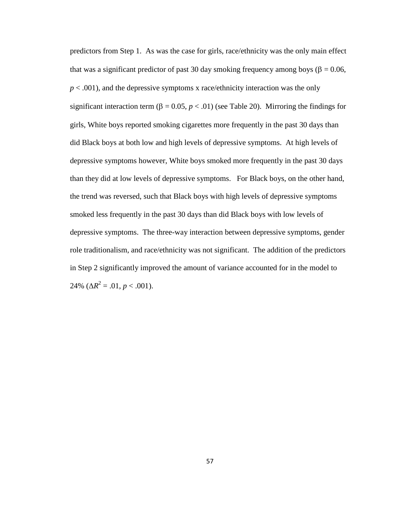predictors from Step 1. As was the case for girls, race/ethnicity was the only main effect that was a significant predictor of past 30 day smoking frequency among boys ( $\beta = 0.06$ ,  $p < .001$ ), and the depressive symptoms x race/ethnicity interaction was the only significant interaction term ( $\beta = 0.05$ ,  $p < .01$ ) (see Table 20). Mirroring the findings for girls, White boys reported smoking cigarettes more frequently in the past 30 days than did Black boys at both low and high levels of depressive symptoms. At high levels of depressive symptoms however, White boys smoked more frequently in the past 30 days than they did at low levels of depressive symptoms. For Black boys, on the other hand, the trend was reversed, such that Black boys with high levels of depressive symptoms smoked less frequently in the past 30 days than did Black boys with low levels of depressive symptoms. The three-way interaction between depressive symptoms, gender role traditionalism, and race/ethnicity was not significant. The addition of the predictors in Step 2 significantly improved the amount of variance accounted for in the model to 24% ( $\Delta R^2 = .01, p < .001$ ).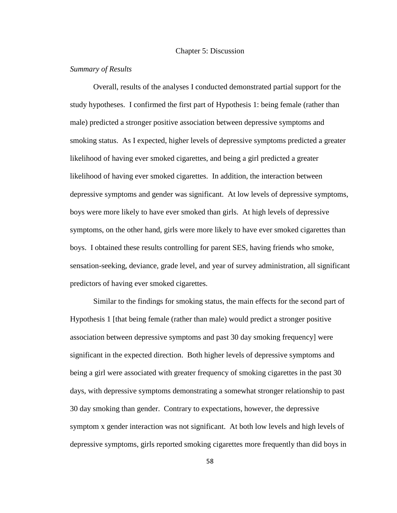#### Chapter 5: Discussion

## *Summary of Results*

Overall, results of the analyses I conducted demonstrated partial support for the study hypotheses. I confirmed the first part of Hypothesis 1: being female (rather than male) predicted a stronger positive association between depressive symptoms and smoking status. As I expected, higher levels of depressive symptoms predicted a greater likelihood of having ever smoked cigarettes, and being a girl predicted a greater likelihood of having ever smoked cigarettes. In addition, the interaction between depressive symptoms and gender was significant. At low levels of depressive symptoms, boys were more likely to have ever smoked than girls. At high levels of depressive symptoms, on the other hand, girls were more likely to have ever smoked cigarettes than boys. I obtained these results controlling for parent SES, having friends who smoke, sensation-seeking, deviance, grade level, and year of survey administration, all significant predictors of having ever smoked cigarettes.

Similar to the findings for smoking status, the main effects for the second part of Hypothesis 1 [that being female (rather than male) would predict a stronger positive association between depressive symptoms and past 30 day smoking frequency] were significant in the expected direction. Both higher levels of depressive symptoms and being a girl were associated with greater frequency of smoking cigarettes in the past 30 days, with depressive symptoms demonstrating a somewhat stronger relationship to past 30 day smoking than gender. Contrary to expectations, however, the depressive symptom x gender interaction was not significant. At both low levels and high levels of depressive symptoms, girls reported smoking cigarettes more frequently than did boys in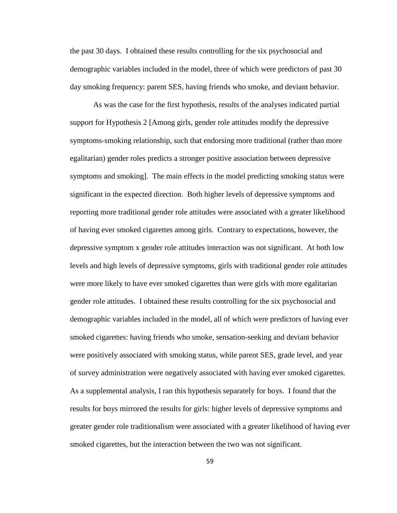the past 30 days. I obtained these results controlling for the six psychosocial and demographic variables included in the model, three of which were predictors of past 30 day smoking frequency: parent SES, having friends who smoke, and deviant behavior.

As was the case for the first hypothesis, results of the analyses indicated partial support for Hypothesis 2 [Among girls, gender role attitudes modify the depressive symptoms-smoking relationship, such that endorsing more traditional (rather than more egalitarian) gender roles predicts a stronger positive association between depressive symptoms and smoking]. The main effects in the model predicting smoking status were significant in the expected direction. Both higher levels of depressive symptoms and reporting more traditional gender role attitudes were associated with a greater likelihood of having ever smoked cigarettes among girls. Contrary to expectations, however, the depressive symptom x gender role attitudes interaction was not significant. At both low levels and high levels of depressive symptoms, girls with traditional gender role attitudes were more likely to have ever smoked cigarettes than were girls with more egalitarian gender role attitudes. I obtained these results controlling for the six psychosocial and demographic variables included in the model, all of which were predictors of having ever smoked cigarettes: having friends who smoke, sensation-seeking and deviant behavior were positively associated with smoking status, while parent SES, grade level, and year of survey administration were negatively associated with having ever smoked cigarettes. As a supplemental analysis, I ran this hypothesis separately for boys. I found that the results for boys mirrored the results for girls: higher levels of depressive symptoms and greater gender role traditionalism were associated with a greater likelihood of having ever smoked cigarettes, but the interaction between the two was not significant.

59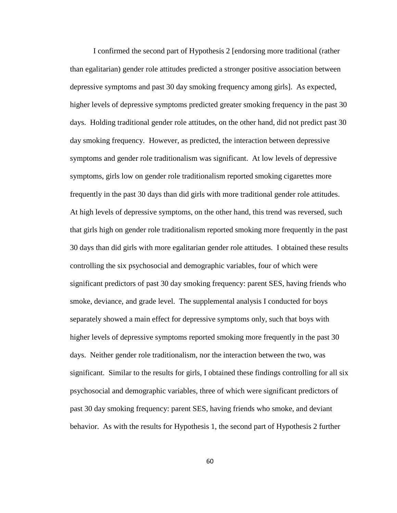I confirmed the second part of Hypothesis 2 [endorsing more traditional (rather than egalitarian) gender role attitudes predicted a stronger positive association between depressive symptoms and past 30 day smoking frequency among girls]. As expected, higher levels of depressive symptoms predicted greater smoking frequency in the past 30 days. Holding traditional gender role attitudes, on the other hand, did not predict past 30 day smoking frequency. However, as predicted, the interaction between depressive symptoms and gender role traditionalism was significant. At low levels of depressive symptoms, girls low on gender role traditionalism reported smoking cigarettes more frequently in the past 30 days than did girls with more traditional gender role attitudes. At high levels of depressive symptoms, on the other hand, this trend was reversed, such that girls high on gender role traditionalism reported smoking more frequently in the past 30 days than did girls with more egalitarian gender role attitudes. I obtained these results controlling the six psychosocial and demographic variables, four of which were significant predictors of past 30 day smoking frequency: parent SES, having friends who smoke, deviance, and grade level. The supplemental analysis I conducted for boys separately showed a main effect for depressive symptoms only, such that boys with higher levels of depressive symptoms reported smoking more frequently in the past 30 days. Neither gender role traditionalism, nor the interaction between the two, was significant. Similar to the results for girls, I obtained these findings controlling for all six psychosocial and demographic variables, three of which were significant predictors of past 30 day smoking frequency: parent SES, having friends who smoke, and deviant behavior. As with the results for Hypothesis 1, the second part of Hypothesis 2 further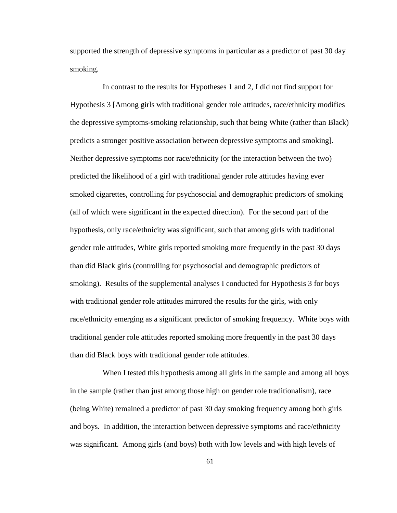supported the strength of depressive symptoms in particular as a predictor of past 30 day smoking.

 In contrast to the results for Hypotheses 1 and 2, I did not find support for Hypothesis 3 [Among girls with traditional gender role attitudes, race/ethnicity modifies the depressive symptoms-smoking relationship, such that being White (rather than Black) predicts a stronger positive association between depressive symptoms and smoking]. Neither depressive symptoms nor race/ethnicity (or the interaction between the two) predicted the likelihood of a girl with traditional gender role attitudes having ever smoked cigarettes, controlling for psychosocial and demographic predictors of smoking (all of which were significant in the expected direction). For the second part of the hypothesis, only race/ethnicity was significant, such that among girls with traditional gender role attitudes, White girls reported smoking more frequently in the past 30 days than did Black girls (controlling for psychosocial and demographic predictors of smoking). Results of the supplemental analyses I conducted for Hypothesis 3 for boys with traditional gender role attitudes mirrored the results for the girls, with only race/ethnicity emerging as a significant predictor of smoking frequency. White boys with traditional gender role attitudes reported smoking more frequently in the past 30 days than did Black boys with traditional gender role attitudes.

When I tested this hypothesis among all girls in the sample and among all boys in the sample (rather than just among those high on gender role traditionalism), race (being White) remained a predictor of past 30 day smoking frequency among both girls and boys. In addition, the interaction between depressive symptoms and race/ethnicity was significant. Among girls (and boys) both with low levels and with high levels of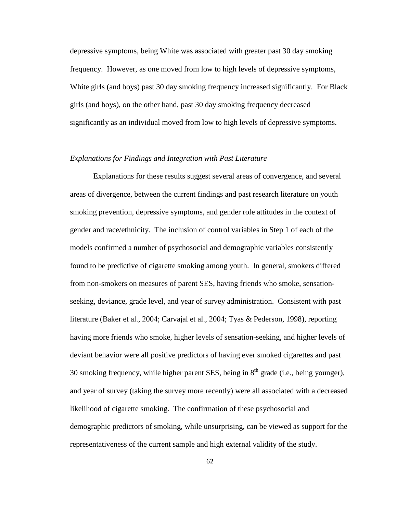depressive symptoms, being White was associated with greater past 30 day smoking frequency. However, as one moved from low to high levels of depressive symptoms, White girls (and boys) past 30 day smoking frequency increased significantly. For Black girls (and boys), on the other hand, past 30 day smoking frequency decreased significantly as an individual moved from low to high levels of depressive symptoms.

### *Explanations for Findings and Integration with Past Literature*

Explanations for these results suggest several areas of convergence, and several areas of divergence, between the current findings and past research literature on youth smoking prevention, depressive symptoms, and gender role attitudes in the context of gender and race/ethnicity. The inclusion of control variables in Step 1 of each of the models confirmed a number of psychosocial and demographic variables consistently found to be predictive of cigarette smoking among youth. In general, smokers differed from non-smokers on measures of parent SES, having friends who smoke, sensationseeking, deviance, grade level, and year of survey administration. Consistent with past literature (Baker et al., 2004; Carvajal et al., 2004; Tyas & Pederson, 1998), reporting having more friends who smoke, higher levels of sensation-seeking, and higher levels of deviant behavior were all positive predictors of having ever smoked cigarettes and past 30 smoking frequency, while higher parent SES, being in  $8<sup>th</sup>$  grade (i.e., being younger), and year of survey (taking the survey more recently) were all associated with a decreased likelihood of cigarette smoking. The confirmation of these psychosocial and demographic predictors of smoking, while unsurprising, can be viewed as support for the representativeness of the current sample and high external validity of the study.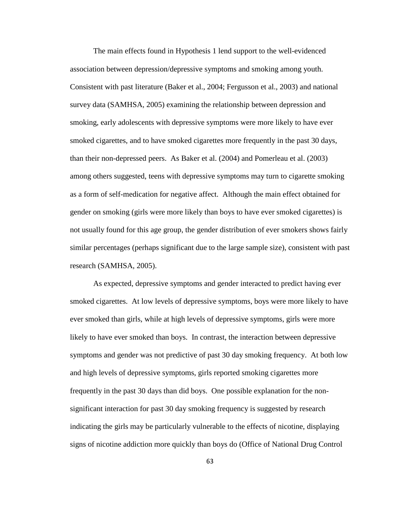The main effects found in Hypothesis 1 lend support to the well-evidenced association between depression/depressive symptoms and smoking among youth. Consistent with past literature (Baker et al., 2004; Fergusson et al., 2003) and national survey data (SAMHSA, 2005) examining the relationship between depression and smoking, early adolescents with depressive symptoms were more likely to have ever smoked cigarettes, and to have smoked cigarettes more frequently in the past 30 days, than their non-depressed peers. As Baker et al. (2004) and Pomerleau et al. (2003) among others suggested, teens with depressive symptoms may turn to cigarette smoking as a form of self-medication for negative affect. Although the main effect obtained for gender on smoking (girls were more likely than boys to have ever smoked cigarettes) is not usually found for this age group, the gender distribution of ever smokers shows fairly similar percentages (perhaps significant due to the large sample size), consistent with past research (SAMHSA, 2005).

As expected, depressive symptoms and gender interacted to predict having ever smoked cigarettes. At low levels of depressive symptoms, boys were more likely to have ever smoked than girls, while at high levels of depressive symptoms, girls were more likely to have ever smoked than boys. In contrast, the interaction between depressive symptoms and gender was not predictive of past 30 day smoking frequency. At both low and high levels of depressive symptoms, girls reported smoking cigarettes more frequently in the past 30 days than did boys. One possible explanation for the nonsignificant interaction for past 30 day smoking frequency is suggested by research indicating the girls may be particularly vulnerable to the effects of nicotine, displaying signs of nicotine addiction more quickly than boys do (Office of National Drug Control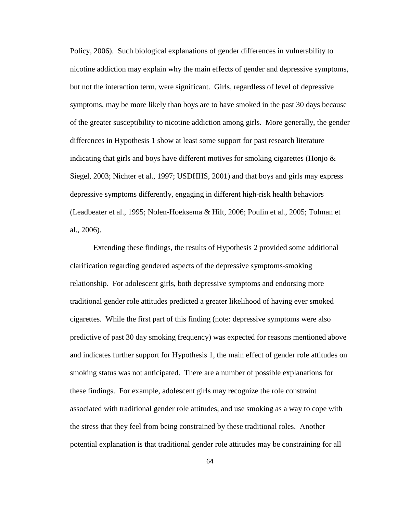Policy, 2006). Such biological explanations of gender differences in vulnerability to nicotine addiction may explain why the main effects of gender and depressive symptoms, but not the interaction term, were significant. Girls, regardless of level of depressive symptoms, may be more likely than boys are to have smoked in the past 30 days because of the greater susceptibility to nicotine addiction among girls. More generally, the gender differences in Hypothesis 1 show at least some support for past research literature indicating that girls and boys have different motives for smoking cigarettes (Honjo  $\&$ Siegel, 2003; Nichter et al., 1997; USDHHS, 2001) and that boys and girls may express depressive symptoms differently, engaging in different high-risk health behaviors (Leadbeater et al., 1995; Nolen-Hoeksema & Hilt, 2006; Poulin et al., 2005; Tolman et al., 2006).

Extending these findings, the results of Hypothesis 2 provided some additional clarification regarding gendered aspects of the depressive symptoms-smoking relationship. For adolescent girls, both depressive symptoms and endorsing more traditional gender role attitudes predicted a greater likelihood of having ever smoked cigarettes. While the first part of this finding (note: depressive symptoms were also predictive of past 30 day smoking frequency) was expected for reasons mentioned above and indicates further support for Hypothesis 1, the main effect of gender role attitudes on smoking status was not anticipated. There are a number of possible explanations for these findings. For example, adolescent girls may recognize the role constraint associated with traditional gender role attitudes, and use smoking as a way to cope with the stress that they feel from being constrained by these traditional roles. Another potential explanation is that traditional gender role attitudes may be constraining for all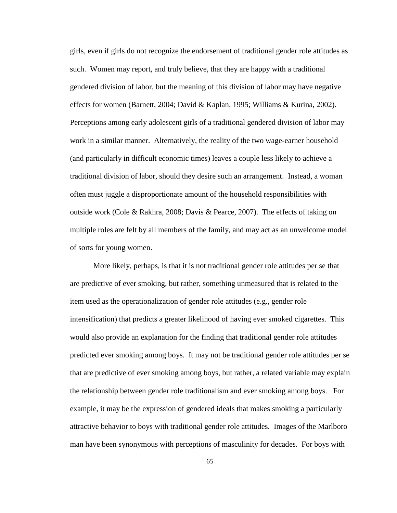girls, even if girls do not recognize the endorsement of traditional gender role attitudes as such. Women may report, and truly believe, that they are happy with a traditional gendered division of labor, but the meaning of this division of labor may have negative effects for women (Barnett, 2004; David & Kaplan, 1995; Williams & Kurina, 2002). Perceptions among early adolescent girls of a traditional gendered division of labor may work in a similar manner. Alternatively, the reality of the two wage-earner household (and particularly in difficult economic times) leaves a couple less likely to achieve a traditional division of labor, should they desire such an arrangement. Instead, a woman often must juggle a disproportionate amount of the household responsibilities with outside work (Cole & Rakhra, 2008; Davis & Pearce, 2007). The effects of taking on multiple roles are felt by all members of the family, and may act as an unwelcome model of sorts for young women.

More likely, perhaps, is that it is not traditional gender role attitudes per se that are predictive of ever smoking, but rather, something unmeasured that is related to the item used as the operationalization of gender role attitudes (e.g., gender role intensification) that predicts a greater likelihood of having ever smoked cigarettes. This would also provide an explanation for the finding that traditional gender role attitudes predicted ever smoking among boys. It may not be traditional gender role attitudes per se that are predictive of ever smoking among boys, but rather, a related variable may explain the relationship between gender role traditionalism and ever smoking among boys. For example, it may be the expression of gendered ideals that makes smoking a particularly attractive behavior to boys with traditional gender role attitudes. Images of the Marlboro man have been synonymous with perceptions of masculinity for decades. For boys with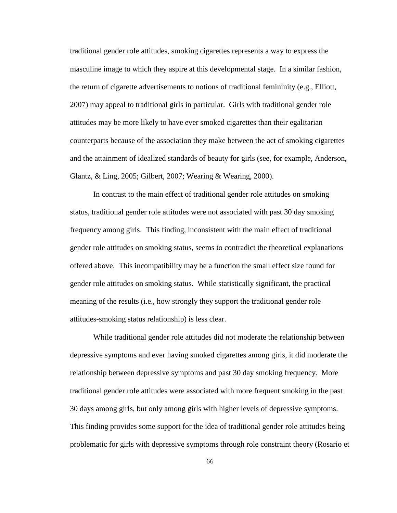traditional gender role attitudes, smoking cigarettes represents a way to express the masculine image to which they aspire at this developmental stage. In a similar fashion, the return of cigarette advertisements to notions of traditional femininity (e.g., Elliott, 2007) may appeal to traditional girls in particular. Girls with traditional gender role attitudes may be more likely to have ever smoked cigarettes than their egalitarian counterparts because of the association they make between the act of smoking cigarettes and the attainment of idealized standards of beauty for girls (see, for example, Anderson, Glantz, & Ling, 2005; Gilbert, 2007; Wearing & Wearing, 2000).

In contrast to the main effect of traditional gender role attitudes on smoking status, traditional gender role attitudes were not associated with past 30 day smoking frequency among girls. This finding, inconsistent with the main effect of traditional gender role attitudes on smoking status, seems to contradict the theoretical explanations offered above. This incompatibility may be a function the small effect size found for gender role attitudes on smoking status. While statistically significant, the practical meaning of the results (i.e., how strongly they support the traditional gender role attitudes-smoking status relationship) is less clear.

While traditional gender role attitudes did not moderate the relationship between depressive symptoms and ever having smoked cigarettes among girls, it did moderate the relationship between depressive symptoms and past 30 day smoking frequency. More traditional gender role attitudes were associated with more frequent smoking in the past 30 days among girls, but only among girls with higher levels of depressive symptoms. This finding provides some support for the idea of traditional gender role attitudes being problematic for girls with depressive symptoms through role constraint theory (Rosario et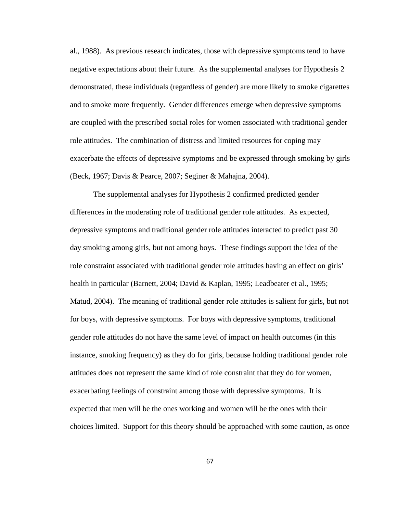al., 1988). As previous research indicates, those with depressive symptoms tend to have negative expectations about their future. As the supplemental analyses for Hypothesis 2 demonstrated, these individuals (regardless of gender) are more likely to smoke cigarettes and to smoke more frequently. Gender differences emerge when depressive symptoms are coupled with the prescribed social roles for women associated with traditional gender role attitudes. The combination of distress and limited resources for coping may exacerbate the effects of depressive symptoms and be expressed through smoking by girls (Beck, 1967; Davis & Pearce, 2007; Seginer & Mahajna, 2004).

The supplemental analyses for Hypothesis 2 confirmed predicted gender differences in the moderating role of traditional gender role attitudes. As expected, depressive symptoms and traditional gender role attitudes interacted to predict past 30 day smoking among girls, but not among boys. These findings support the idea of the role constraint associated with traditional gender role attitudes having an effect on girls' health in particular (Barnett, 2004; David & Kaplan, 1995; Leadbeater et al., 1995; Matud, 2004). The meaning of traditional gender role attitudes is salient for girls, but not for boys, with depressive symptoms. For boys with depressive symptoms, traditional gender role attitudes do not have the same level of impact on health outcomes (in this instance, smoking frequency) as they do for girls, because holding traditional gender role attitudes does not represent the same kind of role constraint that they do for women, exacerbating feelings of constraint among those with depressive symptoms. It is expected that men will be the ones working and women will be the ones with their choices limited. Support for this theory should be approached with some caution, as once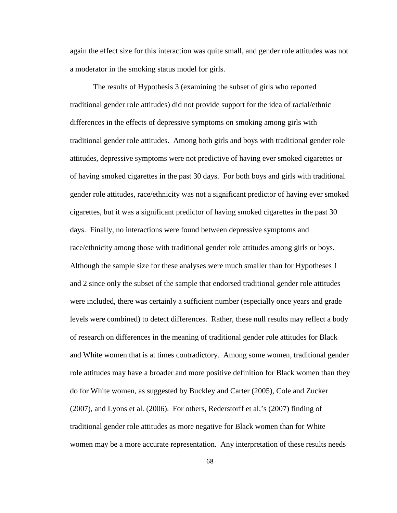again the effect size for this interaction was quite small, and gender role attitudes was not a moderator in the smoking status model for girls.

The results of Hypothesis 3 (examining the subset of girls who reported traditional gender role attitudes) did not provide support for the idea of racial/ethnic differences in the effects of depressive symptoms on smoking among girls with traditional gender role attitudes. Among both girls and boys with traditional gender role attitudes, depressive symptoms were not predictive of having ever smoked cigarettes or of having smoked cigarettes in the past 30 days. For both boys and girls with traditional gender role attitudes, race/ethnicity was not a significant predictor of having ever smoked cigarettes, but it was a significant predictor of having smoked cigarettes in the past 30 days. Finally, no interactions were found between depressive symptoms and race/ethnicity among those with traditional gender role attitudes among girls or boys. Although the sample size for these analyses were much smaller than for Hypotheses 1 and 2 since only the subset of the sample that endorsed traditional gender role attitudes were included, there was certainly a sufficient number (especially once years and grade levels were combined) to detect differences. Rather, these null results may reflect a body of research on differences in the meaning of traditional gender role attitudes for Black and White women that is at times contradictory. Among some women, traditional gender role attitudes may have a broader and more positive definition for Black women than they do for White women, as suggested by Buckley and Carter (2005), Cole and Zucker (2007), and Lyons et al. (2006). For others, Rederstorff et al.'s (2007) finding of traditional gender role attitudes as more negative for Black women than for White women may be a more accurate representation. Any interpretation of these results needs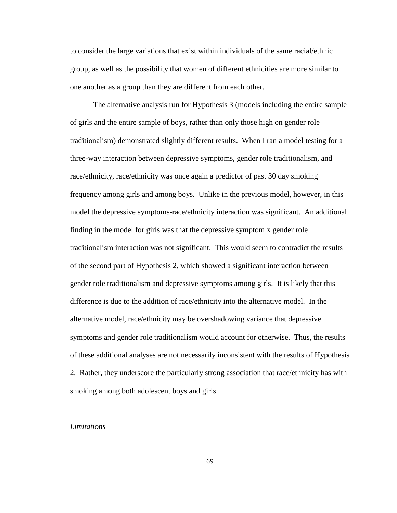to consider the large variations that exist within individuals of the same racial/ethnic group, as well as the possibility that women of different ethnicities are more similar to one another as a group than they are different from each other.

The alternative analysis run for Hypothesis 3 (models including the entire sample of girls and the entire sample of boys, rather than only those high on gender role traditionalism) demonstrated slightly different results. When I ran a model testing for a three-way interaction between depressive symptoms, gender role traditionalism, and race/ethnicity, race/ethnicity was once again a predictor of past 30 day smoking frequency among girls and among boys. Unlike in the previous model, however, in this model the depressive symptoms-race/ethnicity interaction was significant. An additional finding in the model for girls was that the depressive symptom x gender role traditionalism interaction was not significant. This would seem to contradict the results of the second part of Hypothesis 2, which showed a significant interaction between gender role traditionalism and depressive symptoms among girls. It is likely that this difference is due to the addition of race/ethnicity into the alternative model. In the alternative model, race/ethnicity may be overshadowing variance that depressive symptoms and gender role traditionalism would account for otherwise. Thus, the results of these additional analyses are not necessarily inconsistent with the results of Hypothesis 2. Rather, they underscore the particularly strong association that race/ethnicity has with smoking among both adolescent boys and girls.

#### *Limitations*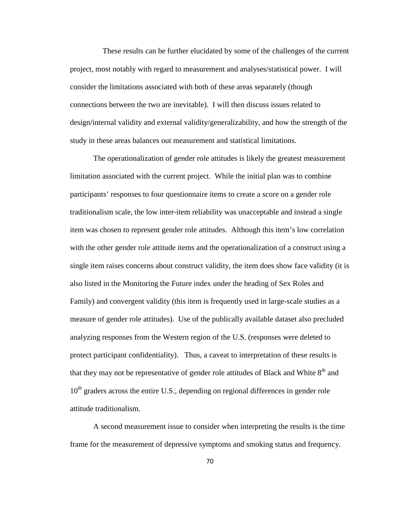These results can be further elucidated by some of the challenges of the current project, most notably with regard to measurement and analyses/statistical power. I will consider the limitations associated with both of these areas separately (though connections between the two are inevitable). I will then discuss issues related to design/internal validity and external validity/generalizability, and how the strength of the study in these areas balances out measurement and statistical limitations.

The operationalization of gender role attitudes is likely the greatest measurement limitation associated with the current project. While the initial plan was to combine participants' responses to four questionnaire items to create a score on a gender role traditionalism scale, the low inter-item reliability was unacceptable and instead a single item was chosen to represent gender role attitudes. Although this item's low correlation with the other gender role attitude items and the operationalization of a construct using a single item raises concerns about construct validity, the item does show face validity (it is also listed in the Monitoring the Future index under the heading of Sex Roles and Family) and convergent validity (this item is frequently used in large-scale studies as a measure of gender role attitudes). Use of the publically available dataset also precluded analyzing responses from the Western region of the U.S. (responses were deleted to protect participant confidentiality). Thus, a caveat to interpretation of these results is that they may not be representative of gender role attitudes of Black and White  $8<sup>th</sup>$  and  $10<sup>th</sup>$  graders across the entire U.S., depending on regional differences in gender role attitude traditionalism.

A second measurement issue to consider when interpreting the results is the time frame for the measurement of depressive symptoms and smoking status and frequency.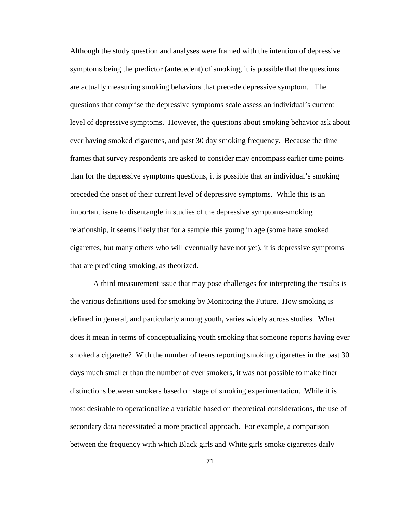Although the study question and analyses were framed with the intention of depressive symptoms being the predictor (antecedent) of smoking, it is possible that the questions are actually measuring smoking behaviors that precede depressive symptom. The questions that comprise the depressive symptoms scale assess an individual's current level of depressive symptoms. However, the questions about smoking behavior ask about ever having smoked cigarettes, and past 30 day smoking frequency. Because the time frames that survey respondents are asked to consider may encompass earlier time points than for the depressive symptoms questions, it is possible that an individual's smoking preceded the onset of their current level of depressive symptoms. While this is an important issue to disentangle in studies of the depressive symptoms-smoking relationship, it seems likely that for a sample this young in age (some have smoked cigarettes, but many others who will eventually have not yet), it is depressive symptoms that are predicting smoking, as theorized.

A third measurement issue that may pose challenges for interpreting the results is the various definitions used for smoking by Monitoring the Future. How smoking is defined in general, and particularly among youth, varies widely across studies. What does it mean in terms of conceptualizing youth smoking that someone reports having ever smoked a cigarette? With the number of teens reporting smoking cigarettes in the past 30 days much smaller than the number of ever smokers, it was not possible to make finer distinctions between smokers based on stage of smoking experimentation. While it is most desirable to operationalize a variable based on theoretical considerations, the use of secondary data necessitated a more practical approach. For example, a comparison between the frequency with which Black girls and White girls smoke cigarettes daily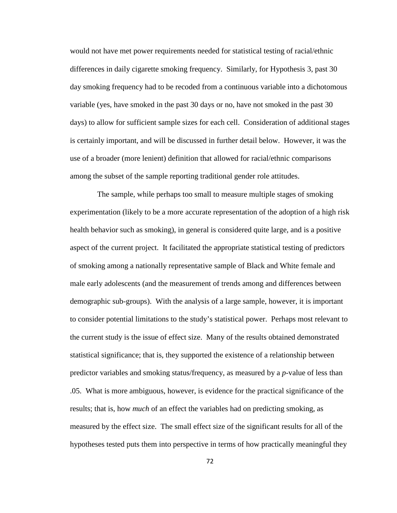would not have met power requirements needed for statistical testing of racial/ethnic differences in daily cigarette smoking frequency. Similarly, for Hypothesis 3, past 30 day smoking frequency had to be recoded from a continuous variable into a dichotomous variable (yes, have smoked in the past 30 days or no, have not smoked in the past 30 days) to allow for sufficient sample sizes for each cell. Consideration of additional stages is certainly important, and will be discussed in further detail below. However, it was the use of a broader (more lenient) definition that allowed for racial/ethnic comparisons among the subset of the sample reporting traditional gender role attitudes.

 The sample, while perhaps too small to measure multiple stages of smoking experimentation (likely to be a more accurate representation of the adoption of a high risk health behavior such as smoking), in general is considered quite large, and is a positive aspect of the current project. It facilitated the appropriate statistical testing of predictors of smoking among a nationally representative sample of Black and White female and male early adolescents (and the measurement of trends among and differences between demographic sub-groups). With the analysis of a large sample, however, it is important to consider potential limitations to the study's statistical power. Perhaps most relevant to the current study is the issue of effect size. Many of the results obtained demonstrated statistical significance; that is, they supported the existence of a relationship between predictor variables and smoking status/frequency, as measured by a *p*-value of less than .05. What is more ambiguous, however, is evidence for the practical significance of the results; that is, how *much* of an effect the variables had on predicting smoking, as measured by the effect size. The small effect size of the significant results for all of the hypotheses tested puts them into perspective in terms of how practically meaningful they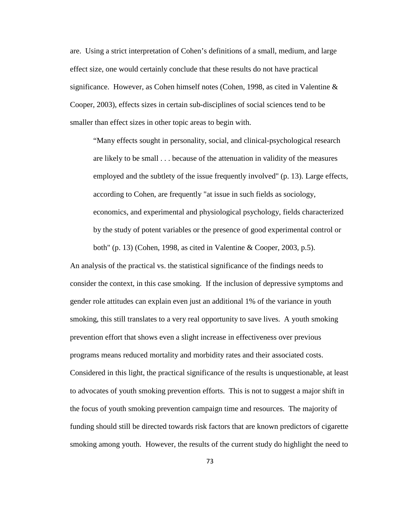are. Using a strict interpretation of Cohen's definitions of a small, medium, and large effect size, one would certainly conclude that these results do not have practical significance. However, as Cohen himself notes (Cohen, 1998, as cited in Valentine & Cooper, 2003), effects sizes in certain sub-disciplines of social sciences tend to be smaller than effect sizes in other topic areas to begin with.

"Many effects sought in personality, social, and clinical-psychological research are likely to be small . . . because of the attenuation in validity of the measures employed and the subtlety of the issue frequently involved" (p. 13). Large effects, according to Cohen, are frequently "at issue in such fields as sociology, economics, and experimental and physiological psychology, fields characterized by the study of potent variables or the presence of good experimental control or both" (p. 13) (Cohen, 1998, as cited in Valentine & Cooper, 2003, p.5).

An analysis of the practical vs. the statistical significance of the findings needs to consider the context, in this case smoking. If the inclusion of depressive symptoms and gender role attitudes can explain even just an additional 1% of the variance in youth smoking, this still translates to a very real opportunity to save lives. A youth smoking prevention effort that shows even a slight increase in effectiveness over previous programs means reduced mortality and morbidity rates and their associated costs. Considered in this light, the practical significance of the results is unquestionable, at least to advocates of youth smoking prevention efforts. This is not to suggest a major shift in the focus of youth smoking prevention campaign time and resources. The majority of funding should still be directed towards risk factors that are known predictors of cigarette smoking among youth. However, the results of the current study do highlight the need to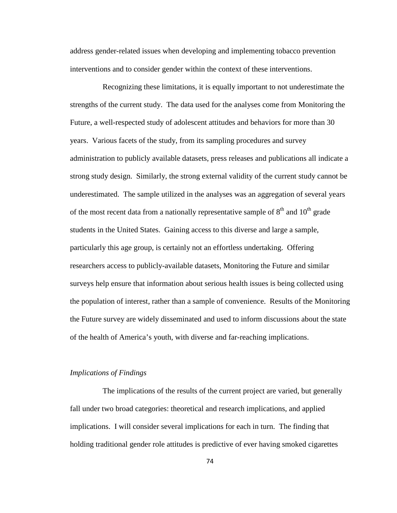address gender-related issues when developing and implementing tobacco prevention interventions and to consider gender within the context of these interventions.

 Recognizing these limitations, it is equally important to not underestimate the strengths of the current study. The data used for the analyses come from Monitoring the Future, a well-respected study of adolescent attitudes and behaviors for more than 30 years. Various facets of the study, from its sampling procedures and survey administration to publicly available datasets, press releases and publications all indicate a strong study design. Similarly, the strong external validity of the current study cannot be underestimated. The sample utilized in the analyses was an aggregation of several years of the most recent data from a nationally representative sample of  $8<sup>th</sup>$  and  $10<sup>th</sup>$  grade students in the United States. Gaining access to this diverse and large a sample, particularly this age group, is certainly not an effortless undertaking. Offering researchers access to publicly-available datasets, Monitoring the Future and similar surveys help ensure that information about serious health issues is being collected using the population of interest, rather than a sample of convenience. Results of the Monitoring the Future survey are widely disseminated and used to inform discussions about the state of the health of America's youth, with diverse and far-reaching implications.

# *Implications of Findings*

 The implications of the results of the current project are varied, but generally fall under two broad categories: theoretical and research implications, and applied implications. I will consider several implications for each in turn. The finding that holding traditional gender role attitudes is predictive of ever having smoked cigarettes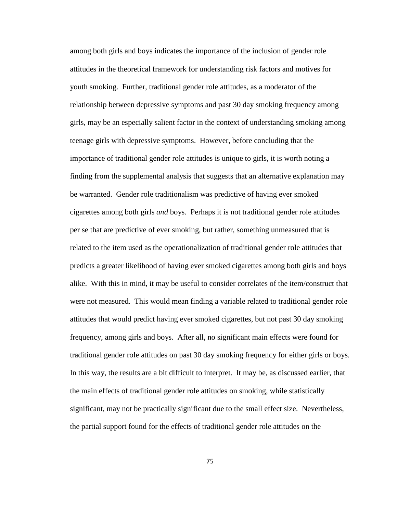among both girls and boys indicates the importance of the inclusion of gender role attitudes in the theoretical framework for understanding risk factors and motives for youth smoking. Further, traditional gender role attitudes, as a moderator of the relationship between depressive symptoms and past 30 day smoking frequency among girls, may be an especially salient factor in the context of understanding smoking among teenage girls with depressive symptoms. However, before concluding that the importance of traditional gender role attitudes is unique to girls, it is worth noting a finding from the supplemental analysis that suggests that an alternative explanation may be warranted. Gender role traditionalism was predictive of having ever smoked cigarettes among both girls *and* boys. Perhaps it is not traditional gender role attitudes per se that are predictive of ever smoking, but rather, something unmeasured that is related to the item used as the operationalization of traditional gender role attitudes that predicts a greater likelihood of having ever smoked cigarettes among both girls and boys alike. With this in mind, it may be useful to consider correlates of the item/construct that were not measured. This would mean finding a variable related to traditional gender role attitudes that would predict having ever smoked cigarettes, but not past 30 day smoking frequency, among girls and boys. After all, no significant main effects were found for traditional gender role attitudes on past 30 day smoking frequency for either girls or boys. In this way, the results are a bit difficult to interpret. It may be, as discussed earlier, that the main effects of traditional gender role attitudes on smoking, while statistically significant, may not be practically significant due to the small effect size. Nevertheless, the partial support found for the effects of traditional gender role attitudes on the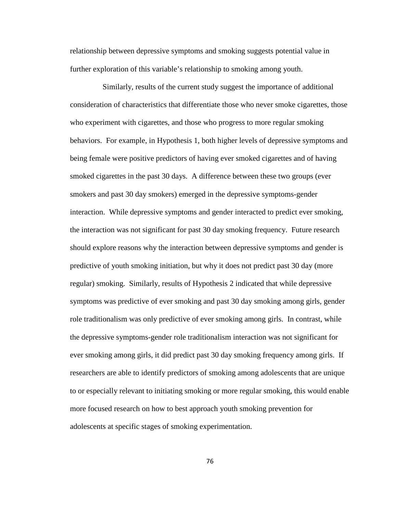relationship between depressive symptoms and smoking suggests potential value in further exploration of this variable's relationship to smoking among youth.

 Similarly, results of the current study suggest the importance of additional consideration of characteristics that differentiate those who never smoke cigarettes, those who experiment with cigarettes, and those who progress to more regular smoking behaviors. For example, in Hypothesis 1, both higher levels of depressive symptoms and being female were positive predictors of having ever smoked cigarettes and of having smoked cigarettes in the past 30 days. A difference between these two groups (ever smokers and past 30 day smokers) emerged in the depressive symptoms-gender interaction. While depressive symptoms and gender interacted to predict ever smoking, the interaction was not significant for past 30 day smoking frequency. Future research should explore reasons why the interaction between depressive symptoms and gender is predictive of youth smoking initiation, but why it does not predict past 30 day (more regular) smoking. Similarly, results of Hypothesis 2 indicated that while depressive symptoms was predictive of ever smoking and past 30 day smoking among girls, gender role traditionalism was only predictive of ever smoking among girls. In contrast, while the depressive symptoms-gender role traditionalism interaction was not significant for ever smoking among girls, it did predict past 30 day smoking frequency among girls. If researchers are able to identify predictors of smoking among adolescents that are unique to or especially relevant to initiating smoking or more regular smoking, this would enable more focused research on how to best approach youth smoking prevention for adolescents at specific stages of smoking experimentation.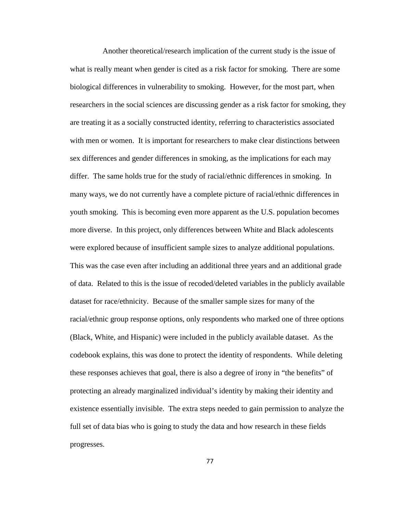Another theoretical/research implication of the current study is the issue of what is really meant when gender is cited as a risk factor for smoking. There are some biological differences in vulnerability to smoking. However, for the most part, when researchers in the social sciences are discussing gender as a risk factor for smoking, they are treating it as a socially constructed identity, referring to characteristics associated with men or women. It is important for researchers to make clear distinctions between sex differences and gender differences in smoking, as the implications for each may differ. The same holds true for the study of racial/ethnic differences in smoking. In many ways, we do not currently have a complete picture of racial/ethnic differences in youth smoking. This is becoming even more apparent as the U.S. population becomes more diverse. In this project, only differences between White and Black adolescents were explored because of insufficient sample sizes to analyze additional populations. This was the case even after including an additional three years and an additional grade of data. Related to this is the issue of recoded/deleted variables in the publicly available dataset for race/ethnicity. Because of the smaller sample sizes for many of the racial/ethnic group response options, only respondents who marked one of three options (Black, White, and Hispanic) were included in the publicly available dataset. As the codebook explains, this was done to protect the identity of respondents. While deleting these responses achieves that goal, there is also a degree of irony in "the benefits" of protecting an already marginalized individual's identity by making their identity and existence essentially invisible. The extra steps needed to gain permission to analyze the full set of data bias who is going to study the data and how research in these fields progresses.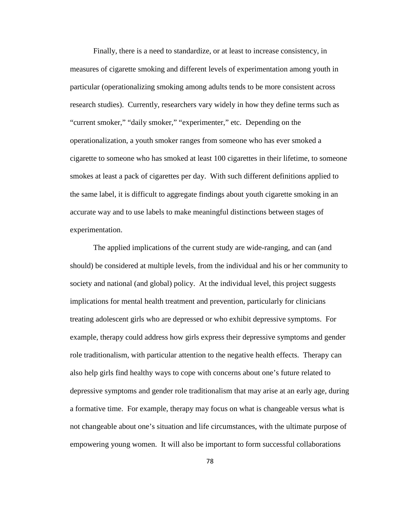Finally, there is a need to standardize, or at least to increase consistency, in measures of cigarette smoking and different levels of experimentation among youth in particular (operationalizing smoking among adults tends to be more consistent across research studies). Currently, researchers vary widely in how they define terms such as "current smoker," "daily smoker," "experimenter," etc. Depending on the operationalization, a youth smoker ranges from someone who has ever smoked a cigarette to someone who has smoked at least 100 cigarettes in their lifetime, to someone smokes at least a pack of cigarettes per day. With such different definitions applied to the same label, it is difficult to aggregate findings about youth cigarette smoking in an accurate way and to use labels to make meaningful distinctions between stages of experimentation.

The applied implications of the current study are wide-ranging, and can (and should) be considered at multiple levels, from the individual and his or her community to society and national (and global) policy. At the individual level, this project suggests implications for mental health treatment and prevention, particularly for clinicians treating adolescent girls who are depressed or who exhibit depressive symptoms. For example, therapy could address how girls express their depressive symptoms and gender role traditionalism, with particular attention to the negative health effects. Therapy can also help girls find healthy ways to cope with concerns about one's future related to depressive symptoms and gender role traditionalism that may arise at an early age, during a formative time. For example, therapy may focus on what is changeable versus what is not changeable about one's situation and life circumstances, with the ultimate purpose of empowering young women. It will also be important to form successful collaborations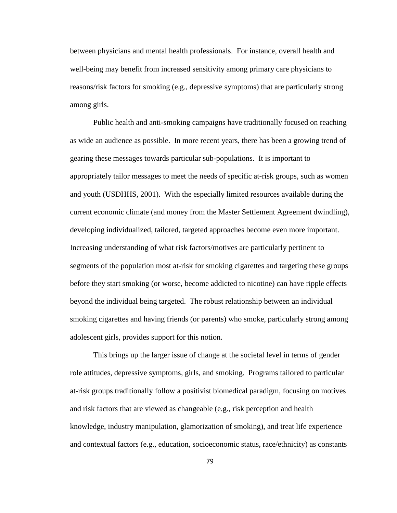between physicians and mental health professionals. For instance, overall health and well-being may benefit from increased sensitivity among primary care physicians to reasons/risk factors for smoking (e.g., depressive symptoms) that are particularly strong among girls.

Public health and anti-smoking campaigns have traditionally focused on reaching as wide an audience as possible. In more recent years, there has been a growing trend of gearing these messages towards particular sub-populations. It is important to appropriately tailor messages to meet the needs of specific at-risk groups, such as women and youth (USDHHS, 2001). With the especially limited resources available during the current economic climate (and money from the Master Settlement Agreement dwindling), developing individualized, tailored, targeted approaches become even more important. Increasing understanding of what risk factors/motives are particularly pertinent to segments of the population most at-risk for smoking cigarettes and targeting these groups before they start smoking (or worse, become addicted to nicotine) can have ripple effects beyond the individual being targeted. The robust relationship between an individual smoking cigarettes and having friends (or parents) who smoke, particularly strong among adolescent girls, provides support for this notion.

This brings up the larger issue of change at the societal level in terms of gender role attitudes, depressive symptoms, girls, and smoking. Programs tailored to particular at-risk groups traditionally follow a positivist biomedical paradigm, focusing on motives and risk factors that are viewed as changeable (e.g., risk perception and health knowledge, industry manipulation, glamorization of smoking), and treat life experience and contextual factors (e.g., education, socioeconomic status, race/ethnicity) as constants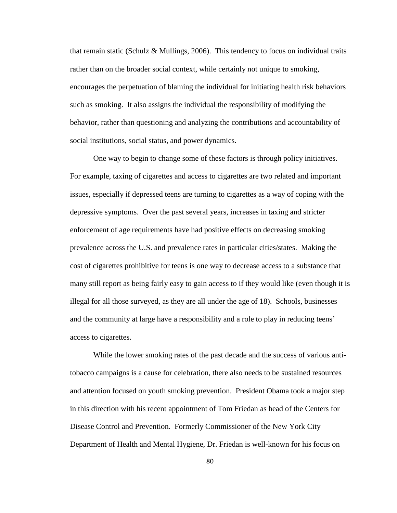that remain static (Schulz & Mullings, 2006). This tendency to focus on individual traits rather than on the broader social context, while certainly not unique to smoking, encourages the perpetuation of blaming the individual for initiating health risk behaviors such as smoking. It also assigns the individual the responsibility of modifying the behavior, rather than questioning and analyzing the contributions and accountability of social institutions, social status, and power dynamics.

One way to begin to change some of these factors is through policy initiatives. For example, taxing of cigarettes and access to cigarettes are two related and important issues, especially if depressed teens are turning to cigarettes as a way of coping with the depressive symptoms. Over the past several years, increases in taxing and stricter enforcement of age requirements have had positive effects on decreasing smoking prevalence across the U.S. and prevalence rates in particular cities/states. Making the cost of cigarettes prohibitive for teens is one way to decrease access to a substance that many still report as being fairly easy to gain access to if they would like (even though it is illegal for all those surveyed, as they are all under the age of 18). Schools, businesses and the community at large have a responsibility and a role to play in reducing teens' access to cigarettes.

While the lower smoking rates of the past decade and the success of various antitobacco campaigns is a cause for celebration, there also needs to be sustained resources and attention focused on youth smoking prevention. President Obama took a major step in this direction with his recent appointment of Tom Friedan as head of the Centers for Disease Control and Prevention. Formerly Commissioner of the New York City Department of Health and Mental Hygiene, Dr. Friedan is well-known for his focus on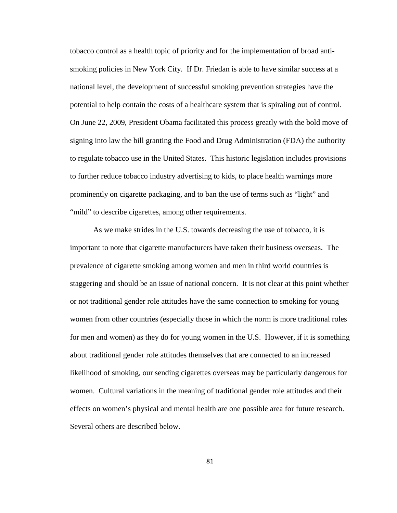tobacco control as a health topic of priority and for the implementation of broad antismoking policies in New York City. If Dr. Friedan is able to have similar success at a national level, the development of successful smoking prevention strategies have the potential to help contain the costs of a healthcare system that is spiraling out of control. On June 22, 2009, President Obama facilitated this process greatly with the bold move of signing into law the bill granting the Food and Drug Administration (FDA) the authority to regulate tobacco use in the United States. This historic legislation includes provisions to further reduce tobacco industry advertising to kids, to place health warnings more prominently on cigarette packaging, and to ban the use of terms such as "light" and "mild" to describe cigarettes, among other requirements.

As we make strides in the U.S. towards decreasing the use of tobacco, it is important to note that cigarette manufacturers have taken their business overseas. The prevalence of cigarette smoking among women and men in third world countries is staggering and should be an issue of national concern. It is not clear at this point whether or not traditional gender role attitudes have the same connection to smoking for young women from other countries (especially those in which the norm is more traditional roles for men and women) as they do for young women in the U.S. However, if it is something about traditional gender role attitudes themselves that are connected to an increased likelihood of smoking, our sending cigarettes overseas may be particularly dangerous for women. Cultural variations in the meaning of traditional gender role attitudes and their effects on women's physical and mental health are one possible area for future research. Several others are described below.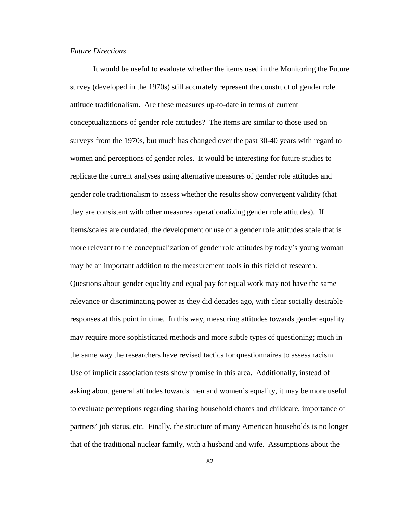### *Future Directions*

It would be useful to evaluate whether the items used in the Monitoring the Future survey (developed in the 1970s) still accurately represent the construct of gender role attitude traditionalism. Are these measures up-to-date in terms of current conceptualizations of gender role attitudes? The items are similar to those used on surveys from the 1970s, but much has changed over the past 30-40 years with regard to women and perceptions of gender roles. It would be interesting for future studies to replicate the current analyses using alternative measures of gender role attitudes and gender role traditionalism to assess whether the results show convergent validity (that they are consistent with other measures operationalizing gender role attitudes). If items/scales are outdated, the development or use of a gender role attitudes scale that is more relevant to the conceptualization of gender role attitudes by today's young woman may be an important addition to the measurement tools in this field of research. Questions about gender equality and equal pay for equal work may not have the same relevance or discriminating power as they did decades ago, with clear socially desirable responses at this point in time. In this way, measuring attitudes towards gender equality may require more sophisticated methods and more subtle types of questioning; much in the same way the researchers have revised tactics for questionnaires to assess racism. Use of implicit association tests show promise in this area. Additionally, instead of asking about general attitudes towards men and women's equality, it may be more useful to evaluate perceptions regarding sharing household chores and childcare, importance of partners' job status, etc. Finally, the structure of many American households is no longer that of the traditional nuclear family, with a husband and wife. Assumptions about the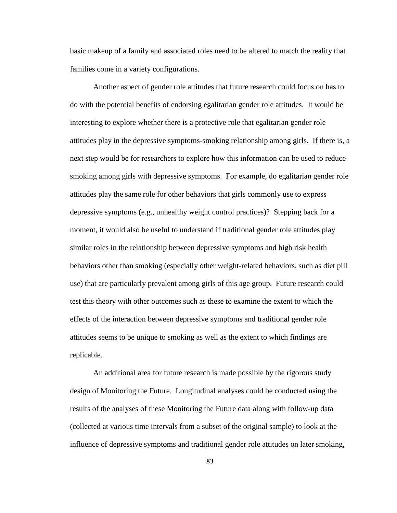basic makeup of a family and associated roles need to be altered to match the reality that families come in a variety configurations.

Another aspect of gender role attitudes that future research could focus on has to do with the potential benefits of endorsing egalitarian gender role attitudes. It would be interesting to explore whether there is a protective role that egalitarian gender role attitudes play in the depressive symptoms-smoking relationship among girls. If there is, a next step would be for researchers to explore how this information can be used to reduce smoking among girls with depressive symptoms. For example, do egalitarian gender role attitudes play the same role for other behaviors that girls commonly use to express depressive symptoms (e.g., unhealthy weight control practices)? Stepping back for a moment, it would also be useful to understand if traditional gender role attitudes play similar roles in the relationship between depressive symptoms and high risk health behaviors other than smoking (especially other weight-related behaviors, such as diet pill use) that are particularly prevalent among girls of this age group. Future research could test this theory with other outcomes such as these to examine the extent to which the effects of the interaction between depressive symptoms and traditional gender role attitudes seems to be unique to smoking as well as the extent to which findings are replicable.

An additional area for future research is made possible by the rigorous study design of Monitoring the Future. Longitudinal analyses could be conducted using the results of the analyses of these Monitoring the Future data along with follow-up data (collected at various time intervals from a subset of the original sample) to look at the influence of depressive symptoms and traditional gender role attitudes on later smoking,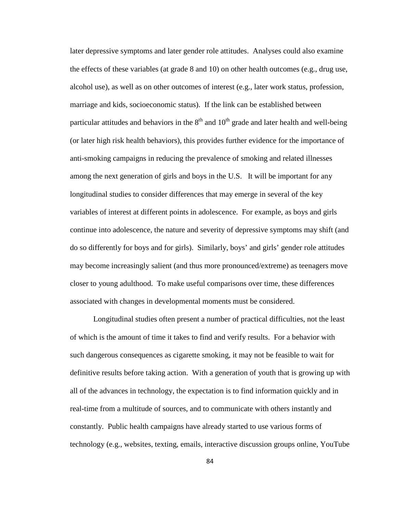later depressive symptoms and later gender role attitudes. Analyses could also examine the effects of these variables (at grade 8 and 10) on other health outcomes (e.g., drug use, alcohol use), as well as on other outcomes of interest (e.g., later work status, profession, marriage and kids, socioeconomic status). If the link can be established between particular attitudes and behaviors in the  $8<sup>th</sup>$  and  $10<sup>th</sup>$  grade and later health and well-being (or later high risk health behaviors), this provides further evidence for the importance of anti-smoking campaigns in reducing the prevalence of smoking and related illnesses among the next generation of girls and boys in the U.S. It will be important for any longitudinal studies to consider differences that may emerge in several of the key variables of interest at different points in adolescence. For example, as boys and girls continue into adolescence, the nature and severity of depressive symptoms may shift (and do so differently for boys and for girls). Similarly, boys' and girls' gender role attitudes may become increasingly salient (and thus more pronounced/extreme) as teenagers move closer to young adulthood. To make useful comparisons over time, these differences associated with changes in developmental moments must be considered.

Longitudinal studies often present a number of practical difficulties, not the least of which is the amount of time it takes to find and verify results. For a behavior with such dangerous consequences as cigarette smoking, it may not be feasible to wait for definitive results before taking action. With a generation of youth that is growing up with all of the advances in technology, the expectation is to find information quickly and in real-time from a multitude of sources, and to communicate with others instantly and constantly. Public health campaigns have already started to use various forms of technology (e.g., websites, texting, emails, interactive discussion groups online, YouTube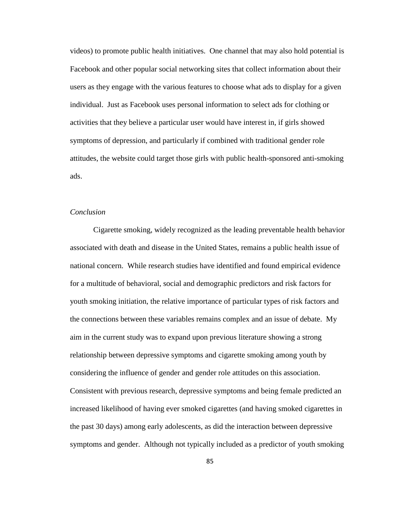videos) to promote public health initiatives. One channel that may also hold potential is Facebook and other popular social networking sites that collect information about their users as they engage with the various features to choose what ads to display for a given individual. Just as Facebook uses personal information to select ads for clothing or activities that they believe a particular user would have interest in, if girls showed symptoms of depression, and particularly if combined with traditional gender role attitudes, the website could target those girls with public health-sponsored anti-smoking ads.

## *Conclusion*

Cigarette smoking, widely recognized as the leading preventable health behavior associated with death and disease in the United States, remains a public health issue of national concern. While research studies have identified and found empirical evidence for a multitude of behavioral, social and demographic predictors and risk factors for youth smoking initiation, the relative importance of particular types of risk factors and the connections between these variables remains complex and an issue of debate. My aim in the current study was to expand upon previous literature showing a strong relationship between depressive symptoms and cigarette smoking among youth by considering the influence of gender and gender role attitudes on this association. Consistent with previous research, depressive symptoms and being female predicted an increased likelihood of having ever smoked cigarettes (and having smoked cigarettes in the past 30 days) among early adolescents, as did the interaction between depressive symptoms and gender. Although not typically included as a predictor of youth smoking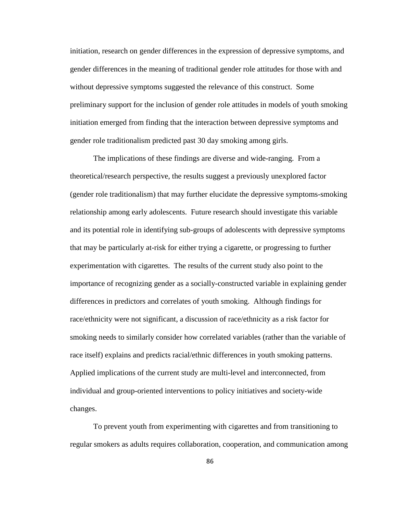initiation, research on gender differences in the expression of depressive symptoms, and gender differences in the meaning of traditional gender role attitudes for those with and without depressive symptoms suggested the relevance of this construct. Some preliminary support for the inclusion of gender role attitudes in models of youth smoking initiation emerged from finding that the interaction between depressive symptoms and gender role traditionalism predicted past 30 day smoking among girls.

The implications of these findings are diverse and wide-ranging. From a theoretical/research perspective, the results suggest a previously unexplored factor (gender role traditionalism) that may further elucidate the depressive symptoms-smoking relationship among early adolescents. Future research should investigate this variable and its potential role in identifying sub-groups of adolescents with depressive symptoms that may be particularly at-risk for either trying a cigarette, or progressing to further experimentation with cigarettes. The results of the current study also point to the importance of recognizing gender as a socially-constructed variable in explaining gender differences in predictors and correlates of youth smoking. Although findings for race/ethnicity were not significant, a discussion of race/ethnicity as a risk factor for smoking needs to similarly consider how correlated variables (rather than the variable of race itself) explains and predicts racial/ethnic differences in youth smoking patterns. Applied implications of the current study are multi-level and interconnected, from individual and group-oriented interventions to policy initiatives and society-wide changes.

To prevent youth from experimenting with cigarettes and from transitioning to regular smokers as adults requires collaboration, cooperation, and communication among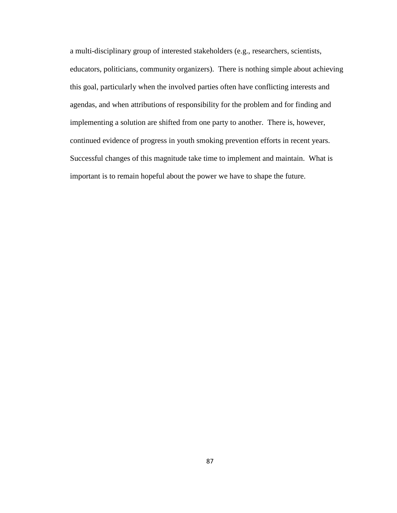a multi-disciplinary group of interested stakeholders (e.g., researchers, scientists, educators, politicians, community organizers). There is nothing simple about achieving this goal, particularly when the involved parties often have conflicting interests and agendas, and when attributions of responsibility for the problem and for finding and implementing a solution are shifted from one party to another. There is, however, continued evidence of progress in youth smoking prevention efforts in recent years. Successful changes of this magnitude take time to implement and maintain. What is important is to remain hopeful about the power we have to shape the future.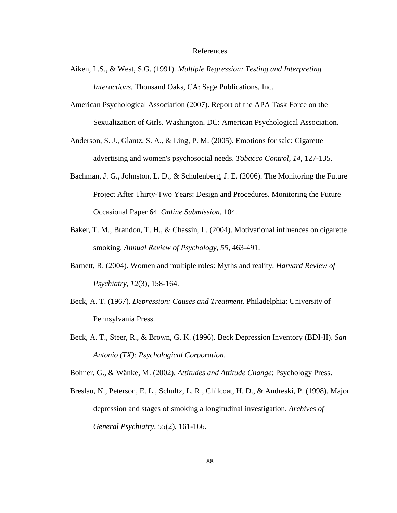#### References

- Aiken, L.S., & West, S.G. (1991). *Multiple Regression: Testing and Interpreting Interactions.* Thousand Oaks, CA: Sage Publications, Inc.
- American Psychological Association (2007). Report of the APA Task Force on the Sexualization of Girls. Washington, DC: American Psychological Association.
- Anderson, S. J., Glantz, S. A., & Ling, P. M. (2005). Emotions for sale: Cigarette advertising and women's psychosocial needs. *Tobacco Control, 14*, 127-135.
- Bachman, J. G., Johnston, L. D., & Schulenberg, J. E. (2006). The Monitoring the Future Project After Thirty-Two Years: Design and Procedures. Monitoring the Future Occasional Paper 64. *Online Submission*, 104.
- Baker, T. M., Brandon, T. H., & Chassin, L. (2004). Motivational influences on cigarette smoking. *Annual Review of Psychology, 55*, 463-491.
- Barnett, R. (2004). Women and multiple roles: Myths and reality. *Harvard Review of Psychiatry, 12*(3), 158-164.
- Beck, A. T. (1967). *Depression: Causes and Treatment*. Philadelphia: University of Pennsylvania Press.
- Beck, A. T., Steer, R., & Brown, G. K. (1996). Beck Depression Inventory (BDI-II). *San Antonio (TX): Psychological Corporation*.

Bohner, G., & Wänke, M. (2002). *Attitudes and Attitude Change*: Psychology Press.

Breslau, N., Peterson, E. L., Schultz, L. R., Chilcoat, H. D., & Andreski, P. (1998). Major depression and stages of smoking a longitudinal investigation. *Archives of General Psychiatry, 55*(2), 161-166.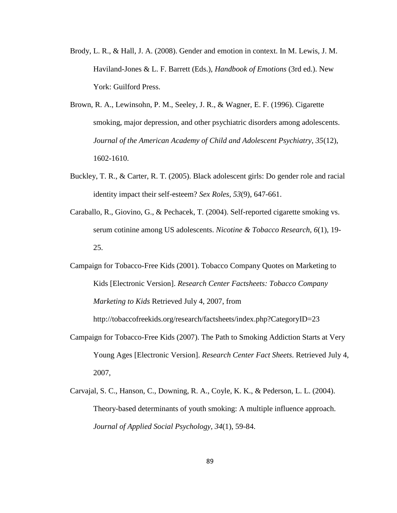- Brody, L. R., & Hall, J. A. (2008). Gender and emotion in context. In M. Lewis, J. M. Haviland-Jones & L. F. Barrett (Eds.), *Handbook of Emotions* (3rd ed.). New York: Guilford Press.
- Brown, R. A., Lewinsohn, P. M., Seeley, J. R., & Wagner, E. F. (1996). Cigarette smoking, major depression, and other psychiatric disorders among adolescents. *Journal of the American Academy of Child and Adolescent Psychiatry, 35*(12), 1602-1610.
- Buckley, T. R., & Carter, R. T. (2005). Black adolescent girls: Do gender role and racial identity impact their self-esteem? *Sex Roles, 53*(9), 647-661.
- Caraballo, R., Giovino, G., & Pechacek, T. (2004). Self-reported cigarette smoking vs. serum cotinine among US adolescents. *Nicotine & Tobacco Research, 6*(1), 19- 25.
- Campaign for Tobacco-Free Kids (2001). Tobacco Company Quotes on Marketing to Kids [Electronic Version]. *Research Center Factsheets: Tobacco Company Marketing to Kids* Retrieved July 4, 2007, from

http://tobaccofreekids.org/research/factsheets/index.php?CategoryID=23

- Campaign for Tobacco-Free Kids (2007). The Path to Smoking Addiction Starts at Very Young Ages [Electronic Version]. *Research Center Fact Sheets*. Retrieved July 4, 2007,
- Carvajal, S. C., Hanson, C., Downing, R. A., Coyle, K. K., & Pederson, L. L. (2004). Theory-based determinants of youth smoking: A multiple influence approach. *Journal of Applied Social Psychology, 34*(1), 59-84.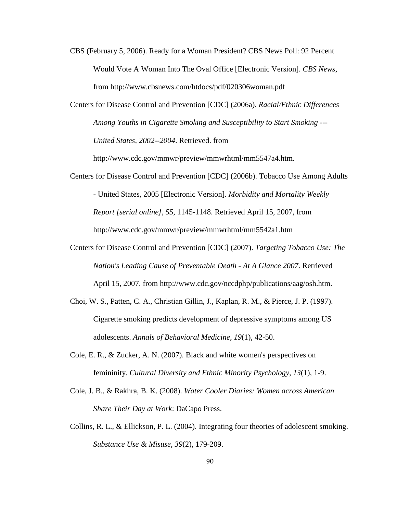- CBS (February 5, 2006). Ready for a Woman President? CBS News Poll: 92 Percent Would Vote A Woman Into The Oval Office [Electronic Version]. *CBS News*, from http://www.cbsnews.com/htdocs/pdf/020306woman.pdf
- Centers for Disease Control and Prevention [CDC] (2006a). *Racial/Ethnic Differences Among Youths in Cigarette Smoking and Susceptibility to Start Smoking --- United States, 2002--2004*. Retrieved. from

http://www.cdc.gov/mmwr/preview/mmwrhtml/mm5547a4.htm.

- Centers for Disease Control and Prevention [CDC] (2006b). Tobacco Use Among Adults - United States, 2005 [Electronic Version]. *Morbidity and Mortality Weekly Report [serial online]*, *55*, 1145-1148. Retrieved April 15, 2007, from http://www.cdc.gov/mmwr/preview/mmwrhtml/mm5542a1.htm
- Centers for Disease Control and Prevention [CDC] (2007). *Targeting Tobacco Use: The Nation's Leading Cause of Preventable Death - At A Glance 2007*. Retrieved April 15, 2007. from http://www.cdc.gov/nccdphp/publications/aag/osh.htm.
- Choi, W. S., Patten, C. A., Christian Gillin, J., Kaplan, R. M., & Pierce, J. P. (1997). Cigarette smoking predicts development of depressive symptoms among US adolescents. *Annals of Behavioral Medicine, 19*(1), 42-50.
- Cole, E. R., & Zucker, A. N. (2007). Black and white women's perspectives on femininity. *Cultural Diversity and Ethnic Minority Psychology, 13*(1), 1-9.
- Cole, J. B., & Rakhra, B. K. (2008). *Water Cooler Diaries: Women across American Share Their Day at Work*: DaCapo Press.
- Collins, R. L., & Ellickson, P. L. (2004). Integrating four theories of adolescent smoking. *Substance Use & Misuse, 39*(2), 179-209.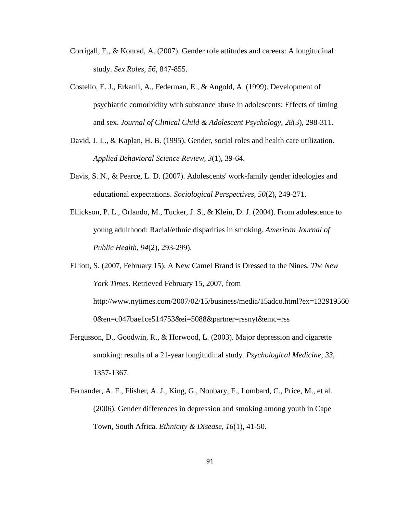- Corrigall, E., & Konrad, A. (2007). Gender role attitudes and careers: A longitudinal study. *Sex Roles, 56*, 847-855.
- Costello, E. J., Erkanli, A., Federman, E., & Angold, A. (1999). Development of psychiatric comorbidity with substance abuse in adolescents: Effects of timing and sex. *Journal of Clinical Child & Adolescent Psychology, 28*(3), 298-311.
- David, J. L., & Kaplan, H. B. (1995). Gender, social roles and health care utilization. *Applied Behavioral Science Review, 3*(1), 39-64.
- Davis, S. N., & Pearce, L. D. (2007). Adolescents' work-family gender ideologies and educational expectations. *Sociological Perspectives, 50*(2), 249-271.
- Ellickson, P. L., Orlando, M., Tucker, J. S., & Klein, D. J. (2004). From adolescence to young adulthood: Racial/ethnic disparities in smoking. *American Journal of Public Health, 94*(2), 293-299).

Elliott, S. (2007, February 15). A New Camel Brand is Dressed to the Nines*. The New York Times*. Retrieved February 15, 2007, from http://www.nytimes.com/2007/02/15/business/media/15adco.html?ex=132919560 0&en=c047bae1ce514753&ei=5088&partner=rssnyt&emc=rss

- Fergusson, D., Goodwin, R., & Horwood, L. (2003). Major depression and cigarette smoking: results of a 21-year longitudinal study. *Psychological Medicine, 33*, 1357-1367.
- Fernander, A. F., Flisher, A. J., King, G., Noubary, F., Lombard, C., Price, M., et al. (2006). Gender differences in depression and smoking among youth in Cape Town, South Africa. *Ethnicity & Disease, 16*(1), 41-50.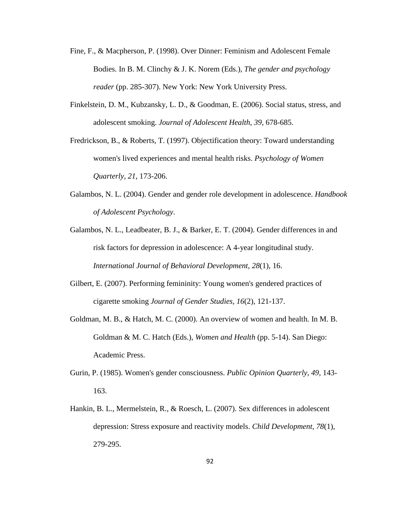- Fine, F., & Macpherson, P. (1998). Over Dinner: Feminism and Adolescent Female Bodies. In B. M. Clinchy & J. K. Norem (Eds.), *The gender and psychology reader* (pp. 285-307). New York: New York University Press.
- Finkelstein, D. M., Kubzansky, L. D., & Goodman, E. (2006). Social status, stress, and adolescent smoking. *Journal of Adolescent Health, 39*, 678-685.
- Fredrickson, B., & Roberts, T. (1997). Objectification theory: Toward understanding women's lived experiences and mental health risks. *Psychology of Women Quarterly, 21*, 173-206.
- Galambos, N. L. (2004). Gender and gender role development in adolescence. *Handbook of Adolescent Psychology*.
- Galambos, N. L., Leadbeater, B. J., & Barker, E. T. (2004). Gender differences in and risk factors for depression in adolescence: A 4-year longitudinal study. *International Journal of Behavioral Development, 28*(1), 16.
- Gilbert, E. (2007). Performing femininity: Young women's gendered practices of cigarette smoking *Journal of Gender Studies, 16*(2), 121-137.
- Goldman, M. B., & Hatch, M. C. (2000). An overview of women and health. In M. B. Goldman & M. C. Hatch (Eds.), *Women and Health* (pp. 5-14). San Diego: Academic Press.
- Gurin, P. (1985). Women's gender consciousness. *Public Opinion Quarterly, 49*, 143- 163.
- Hankin, B. L., Mermelstein, R., & Roesch, L. (2007). Sex differences in adolescent depression: Stress exposure and reactivity models. *Child Development, 78*(1), 279-295.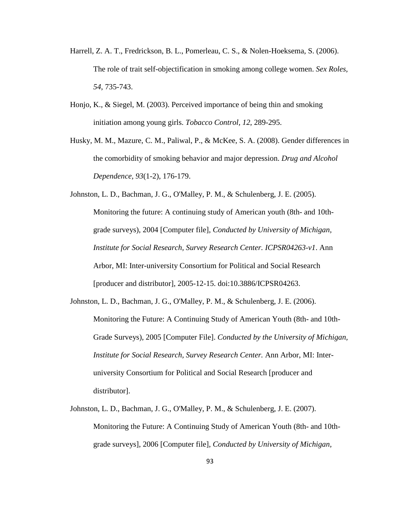- Harrell, Z. A. T., Fredrickson, B. L., Pomerleau, C. S., & Nolen-Hoeksema, S. (2006). The role of trait self-objectification in smoking among college women. *Sex Roles, 54*, 735-743.
- Honjo, K., & Siegel, M. (2003). Perceived importance of being thin and smoking initiation among young girls. *Tobacco Control, 12*, 289-295.
- Husky, M. M., Mazure, C. M., Paliwal, P., & McKee, S. A. (2008). Gender differences in the comorbidity of smoking behavior and major depression. *Drug and Alcohol Dependence, 93*(1-2), 176-179.

Johnston, L. D., Bachman, J. G., O'Malley, P. M., & Schulenberg, J. E. (2005). Monitoring the future: A continuing study of American youth (8th- and 10thgrade surveys), 2004 [Computer file], *Conducted by University of Michigan, Institute for Social Research, Survey Research Center. ICPSR04263-v1*. Ann Arbor, MI: Inter-university Consortium for Political and Social Research [producer and distributor], 2005-12-15. doi:10.3886/ICPSR04263.

- Johnston, L. D., Bachman, J. G., O'Malley, P. M., & Schulenberg, J. E. (2006). Monitoring the Future: A Continuing Study of American Youth (8th- and 10th-Grade Surveys), 2005 [Computer File]. *Conducted by the University of Michigan, Institute for Social Research, Survey Research Center.* Ann Arbor, MI: Interuniversity Consortium for Political and Social Research [producer and distributor].
- Johnston, L. D., Bachman, J. G., O'Malley, P. M., & Schulenberg, J. E. (2007). Monitoring the Future: A Continuing Study of American Youth (8th- and 10thgrade surveys], 2006 [Computer file], *Conducted by University of Michigan,*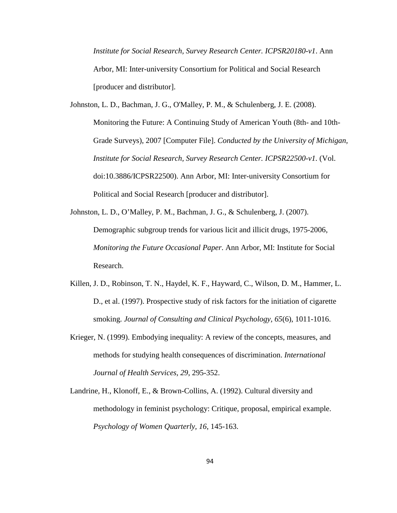*Institute for Social Research, Survey Research Center. ICPSR20180-v1*. Ann Arbor, MI: Inter-university Consortium for Political and Social Research [producer and distributor].

Johnston, L. D., Bachman, J. G., O'Malley, P. M., & Schulenberg, J. E. (2008). Monitoring the Future: A Continuing Study of American Youth (8th- and 10th-Grade Surveys), 2007 [Computer File]. *Conducted by the University of Michigan, Institute for Social Research, Survey Research Center. ICPSR22500-v1.* (Vol. doi:10.3886/ICPSR22500). Ann Arbor, MI: Inter-university Consortium for Political and Social Research [producer and distributor].

- Johnston, L. D., O'Malley, P. M., Bachman, J. G., & Schulenberg, J. (2007). Demographic subgroup trends for various licit and illicit drugs, 1975-2006, *Monitoring the Future Occasional Paper*. Ann Arbor, MI: Institute for Social Research.
- Killen, J. D., Robinson, T. N., Haydel, K. F., Hayward, C., Wilson, D. M., Hammer, L. D., et al. (1997). Prospective study of risk factors for the initiation of cigarette smoking. *Journal of Consulting and Clinical Psychology, 65*(6), 1011-1016.
- Krieger, N. (1999). Embodying inequality: A review of the concepts, measures, and methods for studying health consequences of discrimination. *International Journal of Health Services, 29*, 295-352.
- Landrine, H., Klonoff, E., & Brown-Collins, A. (1992). Cultural diversity and methodology in feminist psychology: Critique, proposal, empirical example. *Psychology of Women Quarterly, 16*, 145-163.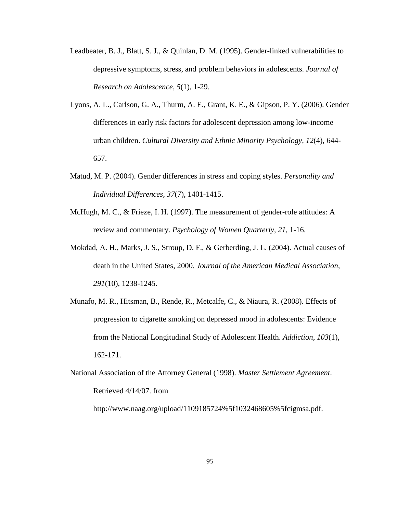- Leadbeater, B. J., Blatt, S. J., & Quinlan, D. M. (1995). Gender-linked vulnerabilities to depressive symptoms, stress, and problem behaviors in adolescents. *Journal of Research on Adolescence, 5*(1), 1-29.
- Lyons, A. L., Carlson, G. A., Thurm, A. E., Grant, K. E., & Gipson, P. Y. (2006). Gender differences in early risk factors for adolescent depression among low-income urban children. *Cultural Diversity and Ethnic Minority Psychology, 12*(4), 644- 657.
- Matud, M. P. (2004). Gender differences in stress and coping styles. *Personality and Individual Differences, 37*(7), 1401-1415.
- McHugh, M. C., & Frieze, I. H. (1997). The measurement of gender-role attitudes: A review and commentary. *Psychology of Women Quarterly, 21*, 1-16.
- Mokdad, A. H., Marks, J. S., Stroup, D. F., & Gerberding, J. L. (2004). Actual causes of death in the United States, 2000. *Journal of the American Medical Association, 291*(10), 1238-1245.
- Munafo, M. R., Hitsman, B., Rende, R., Metcalfe, C., & Niaura, R. (2008). Effects of progression to cigarette smoking on depressed mood in adolescents: Evidence from the National Longitudinal Study of Adolescent Health. *Addiction, 103*(1), 162-171.
- National Association of the Attorney General (1998). *Master Settlement Agreement*. Retrieved 4/14/07. from

http://www.naag.org/upload/1109185724%5f1032468605%5fcigmsa.pdf.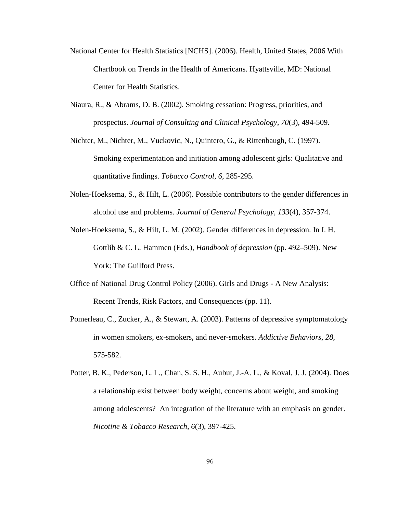- National Center for Health Statistics [NCHS]. (2006). Health, United States, 2006 With Chartbook on Trends in the Health of Americans. Hyattsville, MD: National Center for Health Statistics.
- Niaura, R., & Abrams, D. B. (2002). Smoking cessation: Progress, priorities, and prospectus. *Journal of Consulting and Clinical Psychology, 70*(3), 494-509.
- Nichter, M., Nichter, M., Vuckovic, N., Quintero, G., & Rittenbaugh, C. (1997). Smoking experimentation and initiation among adolescent girls: Qualitative and quantitative findings. *Tobacco Control, 6*, 285-295.
- Nolen-Hoeksema, S., & Hilt, L. (2006). Possible contributors to the gender differences in alcohol use and problems. *Journal of General Psychology, 133*(4), 357-374.
- Nolen-Hoeksema, S., & Hilt, L. M. (2002). Gender differences in depression. In I. H. Gottlib & C. L. Hammen (Eds.), *Handbook of depression* (pp. 492–509). New York: The Guilford Press.
- Office of National Drug Control Policy (2006). Girls and Drugs A New Analysis: Recent Trends, Risk Factors, and Consequences (pp. 11).
- Pomerleau, C., Zucker, A., & Stewart, A. (2003). Patterns of depressive symptomatology in women smokers, ex-smokers, and never-smokers. *Addictive Behaviors, 28*, 575-582.
- Potter, B. K., Pederson, L. L., Chan, S. S. H., Aubut, J.-A. L., & Koval, J. J. (2004). Does a relationship exist between body weight, concerns about weight, and smoking among adolescents? An integration of the literature with an emphasis on gender. *Nicotine & Tobacco Research, 6*(3), 397-425.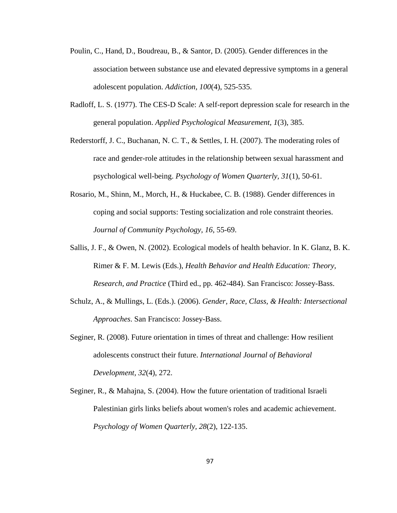- Poulin, C., Hand, D., Boudreau, B., & Santor, D. (2005). Gender differences in the association between substance use and elevated depressive symptoms in a general adolescent population. *Addiction, 100*(4), 525-535.
- Radloff, L. S. (1977). The CES-D Scale: A self-report depression scale for research in the general population. *Applied Psychological Measurement, 1*(3), 385.
- Rederstorff, J. C., Buchanan, N. C. T., & Settles, I. H. (2007). The moderating roles of race and gender-role attitudes in the relationship between sexual harassment and psychological well-being. *Psychology of Women Quarterly, 31*(1), 50-61.
- Rosario, M., Shinn, M., Morch, H., & Huckabee, C. B. (1988). Gender differences in coping and social supports: Testing socialization and role constraint theories. *Journal of Community Psychology, 16*, 55-69.
- Sallis, J. F., & Owen, N. (2002). Ecological models of health behavior. In K. Glanz, B. K. Rimer & F. M. Lewis (Eds.), *Health Behavior and Health Education: Theory, Research, and Practice* (Third ed., pp. 462-484). San Francisco: Jossey-Bass.
- Schulz, A., & Mullings, L. (Eds.). (2006). *Gender, Race, Class, & Health: Intersectional Approaches*. San Francisco: Jossey-Bass.
- Seginer, R. (2008). Future orientation in times of threat and challenge: How resilient adolescents construct their future. *International Journal of Behavioral Development, 32*(4), 272.
- Seginer, R., & Mahajna, S. (2004). How the future orientation of traditional Israeli Palestinian girls links beliefs about women's roles and academic achievement. *Psychology of Women Quarterly, 28*(2), 122-135.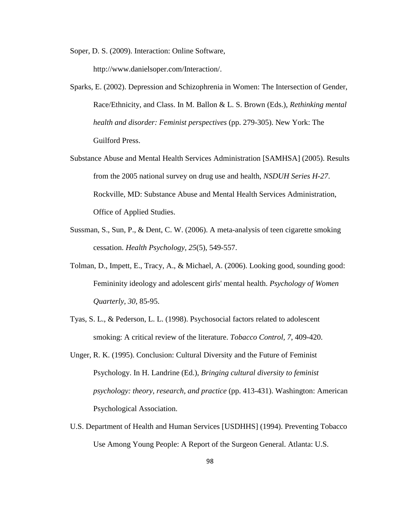Soper, D. S. (2009). Interaction: Online Software,

http://www.danielsoper.com/Interaction/.

- Sparks, E. (2002). Depression and Schizophrenia in Women: The Intersection of Gender, Race/Ethnicity, and Class. In M. Ballon & L. S. Brown (Eds.), *Rethinking mental health and disorder: Feminist perspectives* (pp. 279-305). New York: The Guilford Press.
- Substance Abuse and Mental Health Services Administration [SAMHSA] (2005). Results from the 2005 national survey on drug use and health, *NSDUH Series H-27*. Rockville, MD: Substance Abuse and Mental Health Services Administration, Office of Applied Studies.
- Sussman, S., Sun, P., & Dent, C. W. (2006). A meta-analysis of teen cigarette smoking cessation. *Health Psychology, 25*(5), 549-557.
- Tolman, D., Impett, E., Tracy, A., & Michael, A. (2006). Looking good, sounding good: Femininity ideology and adolescent girls' mental health. *Psychology of Women Quarterly, 30*, 85-95.
- Tyas, S. L., & Pederson, L. L. (1998). Psychosocial factors related to adolescent smoking: A critical review of the literature. *Tobacco Control, 7*, 409-420.
- Unger, R. K. (1995). Conclusion: Cultural Diversity and the Future of Feminist Psychology. In H. Landrine (Ed.), *Bringing cultural diversity to feminist psychology: theory, research, and practice* (pp. 413-431). Washington: American Psychological Association.
- U.S. Department of Health and Human Services [USDHHS] (1994). Preventing Tobacco Use Among Young People: A Report of the Surgeon General. Atlanta: U.S.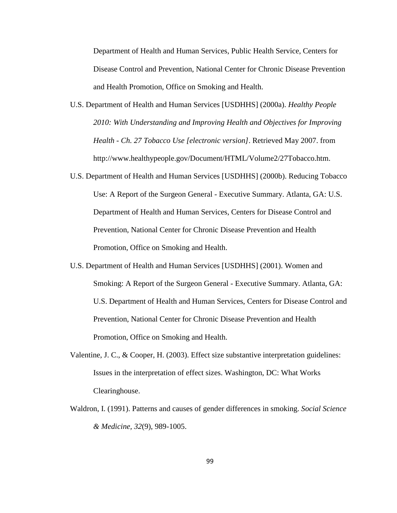Department of Health and Human Services, Public Health Service, Centers for Disease Control and Prevention, National Center for Chronic Disease Prevention and Health Promotion, Office on Smoking and Health.

- U.S. Department of Health and Human Services [USDHHS] (2000a). *Healthy People 2010: With Understanding and Improving Health and Objectives for Improving Health - Ch. 27 Tobacco Use [electronic version]*. Retrieved May 2007. from http://www.healthypeople.gov/Document/HTML/Volume2/27Tobacco.htm.
- U.S. Department of Health and Human Services [USDHHS] (2000b). Reducing Tobacco Use: A Report of the Surgeon General - Executive Summary. Atlanta, GA: U.S. Department of Health and Human Services, Centers for Disease Control and Prevention, National Center for Chronic Disease Prevention and Health Promotion, Office on Smoking and Health.
- U.S. Department of Health and Human Services [USDHHS] (2001). Women and Smoking: A Report of the Surgeon General - Executive Summary. Atlanta, GA: U.S. Department of Health and Human Services, Centers for Disease Control and Prevention, National Center for Chronic Disease Prevention and Health Promotion, Office on Smoking and Health.
- Valentine, J. C., & Cooper, H. (2003). Effect size substantive interpretation guidelines: Issues in the interpretation of effect sizes. Washington, DC: What Works Clearinghouse.
- Waldron, I. (1991). Patterns and causes of gender differences in smoking. *Social Science & Medicine, 32*(9), 989-1005.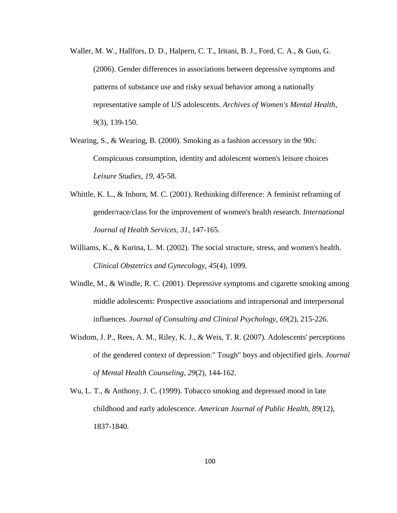- Waller, M. W., Hallfors, D. D., Halpern, C. T., Iritani, B. J., Ford, C. A., & Guo, G. (2006). Gender differences in associations between depressive symptoms and patterns of substance use and risky sexual behavior among a nationally representative sample of US adolescents. *Archives of Women's Mental Health, 9*(3), 139-150.
- Wearing, S., & Wearing, B. (2000). Smoking as a fashion accessory in the 90s: Conspicuous consumption, identity and adolescent women's leisure choices *Leisure Studies, 19*, 45-58.
- Whittle, K. L., & Inhorn, M. C. (2001). Rethinking difference: A feminist reframing of gender/race/class for the improvement of women's health research. *International Journal of Health Services, 31*, 147-165.
- Williams, K., & Kurina, L. M. (2002). The social structure, stress, and women's health. *Clinical Obstetrics and Gynecology, 45*(4), 1099.
- Windle, M., & Windle, R. C. (2001). Depressive symptoms and cigarette smoking among middle adolescents: Prospective associations and intrapersonal and interpersonal influences. *Journal of Consulting and Clinical Psychology, 69*(2), 215-226.
- Wisdom, J. P., Rees, A. M., Riley, K. J., & Weis, T. R. (2007). Adolescents' perceptions of the gendered context of depression:" Tough" boys and objectified girls. *Journal of Mental Health Counseling, 29*(2), 144-162.
- Wu, L. T., & Anthony, J. C. (1999). Tobacco smoking and depressed mood in late childhood and early adolescence. *American Journal of Public Health, 89*(12), 1837-1840.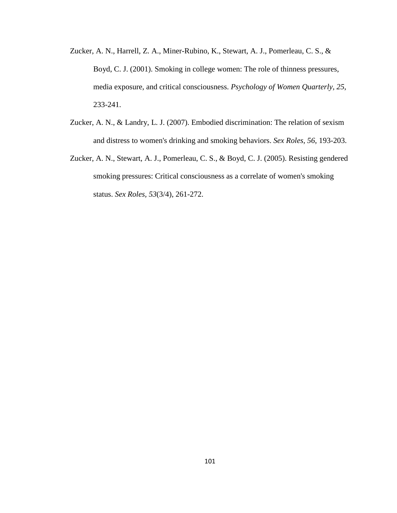- Zucker, A. N., Harrell, Z. A., Miner-Rubino, K., Stewart, A. J., Pomerleau, C. S., & Boyd, C. J. (2001). Smoking in college women: The role of thinness pressures, media exposure, and critical consciousness. *Psychology of Women Quarterly, 25*, 233-241.
- Zucker, A. N., & Landry, L. J. (2007). Embodied discrimination: The relation of sexism and distress to women's drinking and smoking behaviors. *Sex Roles, 56*, 193-203.
- Zucker, A. N., Stewart, A. J., Pomerleau, C. S., & Boyd, C. J. (2005). Resisting gendered smoking pressures: Critical consciousness as a correlate of women's smoking status. *Sex Roles, 53*(3/4), 261-272.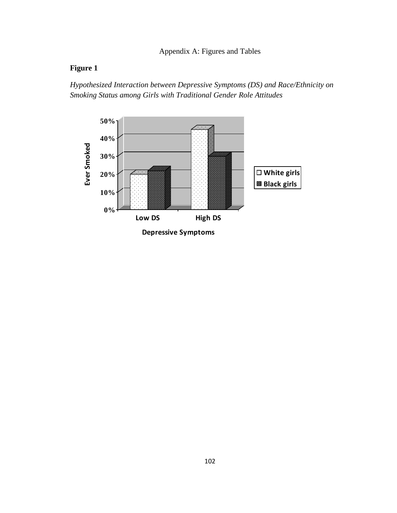# **Figure 1**

*Hypothesized Interaction between Depressive Symptoms (DS) and Race/Ethnicity on Smoking Status among Girls with Traditional Gender Role Attitudes* 



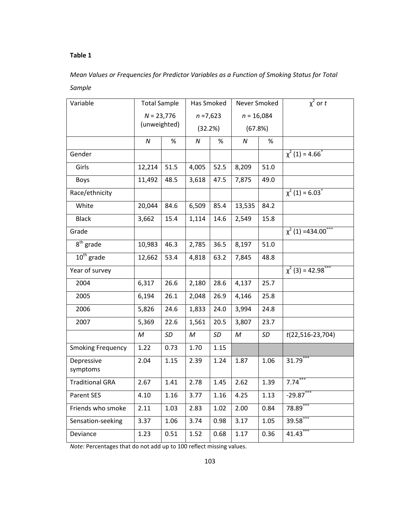# Mean Values or Frequencies for Predictor Variables as a Function of Smoking Status for Total Sample

| Variable                 |              | <b>Total Sample</b> |         | Has Smoked  | Never Smoked |      | $\chi^2$ or t                       |
|--------------------------|--------------|---------------------|---------|-------------|--------------|------|-------------------------------------|
|                          |              | $N = 23,776$        |         | $n = 7,623$ | $n = 16,084$ |      |                                     |
|                          | (unweighted) |                     | (32.2%) |             | (67.8%)      |      |                                     |
|                          | N            | %                   | N       | %           | ${\cal N}$   | %    |                                     |
| Gender                   |              |                     |         |             |              |      | $\chi^2$ (1) = 4.66 <sup>*</sup>    |
| Girls                    | 12,214       | 51.5                | 4,005   | 52.5        | 8,209        | 51.0 |                                     |
| <b>Boys</b>              | 11,492       | 48.5                | 3,618   | 47.5        | 7,875        | 49.0 |                                     |
| Race/ethnicity           |              |                     |         |             |              |      | $\chi^2$ (1) = 6.03 <sup>*</sup>    |
| White                    | 20,044       | 84.6                | 6,509   | 85.4        | 13,535       | 84.2 |                                     |
| <b>Black</b>             | 3,662        | 15.4                | 1,114   | 14.6        | 2,549        | 15.8 |                                     |
| Grade                    |              |                     |         |             |              |      | $\chi^2$ (1) =434.00 <sup>*</sup>   |
| 8 <sup>th</sup> grade    | 10,983       | 46.3                | 2,785   | 36.5        | 8,197        | 51.0 |                                     |
| $10^{th}$ grade          | 12,662       | 53.4                | 4,818   | 63.2        | 7,845        | 48.8 |                                     |
| Year of survey           |              |                     |         |             |              |      | $\chi^2$ (3) = 42.98 <sup>***</sup> |
| 2004                     | 6,317        | 26.6                | 2,180   | 28.6        | 4,137        | 25.7 |                                     |
| 2005                     | 6,194        | 26.1                | 2,048   | 26.9        | 4,146        | 25.8 |                                     |
| 2006                     | 5,826        | 24.6                | 1,833   | 24.0        | 3,994        | 24.8 |                                     |
| 2007                     | 5,369        | 22.6                | 1,561   | 20.5        | 3,807        | 23.7 |                                     |
|                          | M            | SD                  | M       | SD          | M            | SD   | $t(22,516-23,704)$                  |
| <b>Smoking Frequency</b> | 1.22         | 0.73                | 1.70    | 1.15        |              |      |                                     |
| Depressive<br>symptoms   | 2.04         | 1.15                | 2.39    | 1.24        | 1.87         | 1.06 | $31.79***$                          |
| <b>Traditional GRA</b>   | 2.67         | 1.41                | 2.78    | 1.45        | 2.62         | 1.39 | $7.74***$                           |
| Parent SES               | 4.10         | 1.16                | 3.77    | 1.16        | 4.25         | 1.13 | $-29.87***$                         |
| Friends who smoke        | 2.11         | 1.03                | 2.83    | 1.02        | 2.00         | 0.84 | 78.89                               |
| Sensation-seeking        | 3.37         | 1.06                | 3.74    | 0.98        | 3.17         | 1.05 | 39.58                               |
| Deviance                 | 1.23         | 0.51                | 1.52    | 0.68        | 1.17         | 0.36 | $41.43***$                          |

Note: Percentages that do not add up to 100 reflect missing values.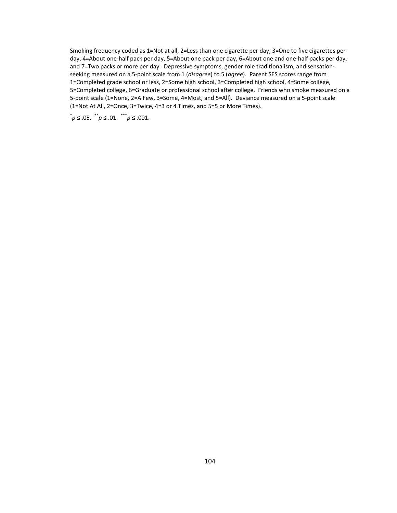Smoking frequency coded as 1=Not at all, 2=Less than one cigarette per day, 3=One to five cigarettes per day, 4=About one-half pack per day, 5=About one pack per day, 6=About one and one-half packs per day, and 7=Two packs or more per day. Depressive symptoms, gender role traditionalism, and sensationseeking measured on a 5-point scale from 1 (disagree) to 5 (agree). Parent SES scores range from 1=Completed grade school or less, 2=Some high school, 3=Completed high school, 4=Some college, 5=Completed college, 6=Graduate or professional school after college. Friends who smoke measured on a 5-point scale (1=None, 2=A Few, 3=Some, 4=Most, and 5=All). Deviance measured on a 5-point scale (1=Not At All, 2=Once, 3=Twice, 4=3 or 4 Times, and 5=5 or More Times).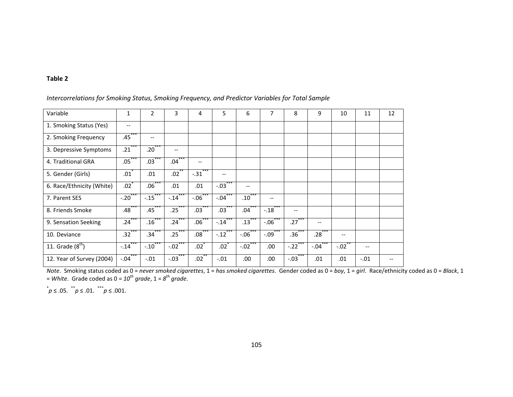| Variable                  | $\mathbf{1}$         | $\overline{2}$      | 3                       | 4                 | 5                   | 6                 | 7                    | 8                             | 9                                                   | 10     | 11                       | 12 |
|---------------------------|----------------------|---------------------|-------------------------|-------------------|---------------------|-------------------|----------------------|-------------------------------|-----------------------------------------------------|--------|--------------------------|----|
| 1. Smoking Status (Yes)   | $- -$                |                     |                         |                   |                     |                   |                      |                               |                                                     |        |                          |    |
| 2. Smoking Frequency      | $.45***$             | $-$                 |                         |                   |                     |                   |                      |                               |                                                     |        |                          |    |
| 3. Depressive Symptoms    | $.21***$             | $.20^{\degree}$     | $\qquad \qquad -$       |                   |                     |                   |                      |                               |                                                     |        |                          |    |
| 4. Traditional GRA        | $.05***$             | $.03^{\degree}$     | ***<br>.04 <sup>°</sup> | $\qquad \qquad -$ |                     |                   |                      |                               |                                                     |        |                          |    |
| 5. Gender (Girls)         | .01                  | .01                 | $.02$ **                | $-.31$            | --                  |                   |                      |                               |                                                     |        |                          |    |
| 6. Race/Ethnicity (White) | $.02$ <sup>*</sup>   | $.06***$            | .01                     | .01               | $-.03$ ***          | $\qquad \qquad -$ |                      |                               |                                                     |        |                          |    |
| 7. Parent SES             | $-.20$               | $-.15$              | $-.14$                  | $-.06$            | $-.04$              | .10 <sup>°</sup>  | --                   |                               |                                                     |        |                          |    |
| 8. Friends Smoke          | .48 <sup>°</sup>     | .45                 | .25                     | .03               | .03                 | .04               | $-18$                | $\hspace{0.05cm} \textbf{--}$ |                                                     |        |                          |    |
| 9. Sensation Seeking      | .24                  | .16                 | .24                     | .06 <sup>2</sup>  | $-.14$              | .13 <sup>°</sup>  | $-.06$               | .27                           | $\hspace{0.05cm} -\hspace{0.05cm} -\hspace{0.05cm}$ |        |                          |    |
| 10. Deviance              | $.32***$             | .34 <sup>°</sup>    | $.25***$                | .08 <sup>°</sup>  | $-.12$ <sup>*</sup> | $-.06$            | $-.09$ <sup>**</sup> | $.36*$                        | .28                                                 | $-$    |                          |    |
| 11. Grade $(8th)$         | $-.14$ <sup>-1</sup> | $-.10$ <sup>*</sup> | $-.02$ ***              | .02 <sup>°</sup>  | .02                 | $-.02$            | .00                  | $-.22$ ***                    | ***<br>$-.04$                                       | $-.02$ | $\overline{\phantom{m}}$ |    |
| 12. Year of Survey (2004) | ***<br>$-.04$        | $-.01$              | ***<br>$-.03$           | .02 <sup>°</sup>  | $-.01$              | .00.              | .00                  | $-03$                         | .01                                                 | .01    | $-.01$                   |    |

Intercorrelations for Smoking Status, Smoking Frequency, and Predictor Variables for Total Sample

Note. Smoking status coded as  $0 = never smoothed$  cigarettes,  $1 = has$  smoked cigarettes. Gender coded as  $0 = boy$ ,  $1 = girl$ . Race/ethnicity coded as  $0 = Black$ , 1 = White. Grade coded as  $0 = 10^{\text{th}}$  grade,  $1 = 8^{\text{th}}$  grade.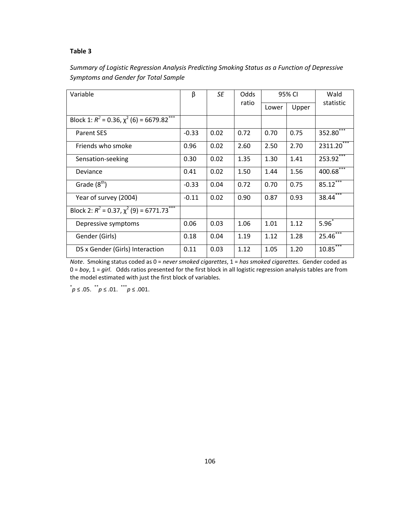| Variable                                                                | β       | SE   | <b>Odds</b> |       | 95% CI | Wald                   |
|-------------------------------------------------------------------------|---------|------|-------------|-------|--------|------------------------|
|                                                                         |         |      | ratio       | Lower | Upper  | statistic              |
| Block 1: $R^2$ = 0.36, $\overline{\chi^2}$ (6) = 6679.82 <sup>***</sup> |         |      |             |       |        |                        |
| <b>Parent SES</b>                                                       | $-0.33$ | 0.02 | 0.72        | 0.70  | 0.75   | 352.80***              |
| Friends who smoke                                                       | 0.96    | 0.02 | 2.60        | 2.50  | 2.70   | 2311.20                |
| Sensation-seeking                                                       | 0.30    | 0.02 | 1.35        | 1.30  | 1.41   | $253.92***$            |
| Deviance                                                                | 0.41    | 0.02 | 1.50        | 1.44  | 1.56   | $400.68***$            |
| Grade $(8th)$                                                           | $-0.33$ | 0.04 | 0.72        | 0.70  | 0.75   | 85.12                  |
| Year of survey (2004)                                                   | $-0.11$ | 0.02 | 0.90        | 0.87  | 0.93   | 38.44                  |
| Block 2: $R^2 = 0.37$ , $\overline{\chi^2(9)} = 6771.73$ <sup>***</sup> |         |      |             |       |        |                        |
| Depressive symptoms                                                     | 0.06    | 0.03 | 1.06        | 1.01  | 1.12   | $5.96^{*}$             |
| Gender (Girls)                                                          | 0.18    | 0.04 | 1.19        | 1.12  | 1.28   | $25.46***$             |
| DS x Gender (Girls) Interaction                                         | 0.11    | 0.03 | 1.12        | 1.05  | 1.20   | $10.85$ <sup>***</sup> |

# Summary of Logistic Regression Analysis Predicting Smoking Status as a Function of Depressive Symptoms and Gender for Total Sample

Note. Smoking status coded as 0 = never smoked cigarettes, 1 = has smoked cigarettes. Gender coded as  $0 = boy$ ,  $1 = girl$ . Odds ratios presented for the first block in all logistic regression analysis tables are from the model estimated with just the first block of variables.

 $^*p \leq .05.$   $^*p \leq .01.$   $^{**}p \leq .001.$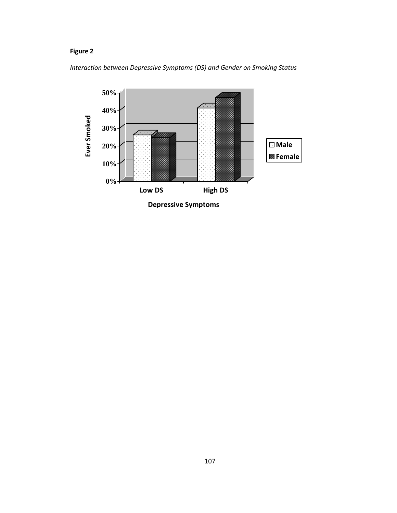# Figure 2

Interaction between Depressive Symptoms (DS) and Gender on Smoking Status

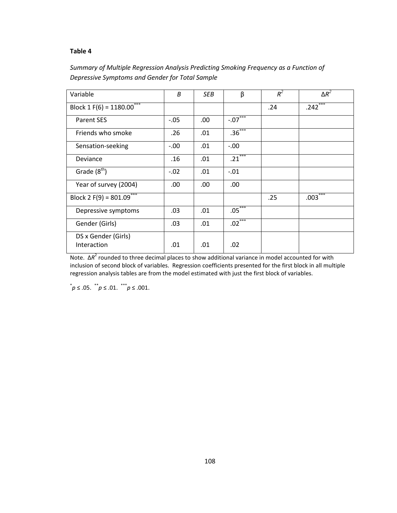## Summary of Multiple Regression Analysis Predicting Smoking Frequency as a Function of Depressive Symptoms and Gender for Total Sample

| Variable                           | B       | SEB | β                    | $R^2$ | $\Delta R^2$ |
|------------------------------------|---------|-----|----------------------|-------|--------------|
| Block 1 F(6) = $1180.00***$        |         |     |                      | .24   | $.242***$    |
| <b>Parent SES</b>                  | $-.05$  | .00 | $-07$ <sup>***</sup> |       |              |
| Friends who smoke                  | .26     | .01 | $.36***$             |       |              |
| Sensation-seeking                  | $-0.00$ | .01 | $-0.00$              |       |              |
| Deviance                           | .16     | .01 | $.21***$             |       |              |
| Grade $(8th)$                      | $-.02$  | .01 | $-.01$               |       |              |
| Year of survey (2004)              | .00     | .00 | .00                  |       |              |
| Block 2 F(9) = $801.09***$         |         |     |                      | .25   | $.003***$    |
| Depressive symptoms                | .03     | .01 | $.05***$             |       |              |
| Gender (Girls)                     | .03     | .01 | $.02***$             |       |              |
| DS x Gender (Girls)<br>Interaction | .01     | .01 | .02                  |       |              |

Note.  $ΔR<sup>2</sup>$  rounded to three decimal places to show additional variance in model accounted for with inclusion of second block of variables. Regression coefficients presented for the first block in all multiple regression analysis tables are from the model estimated with just the first block of variables.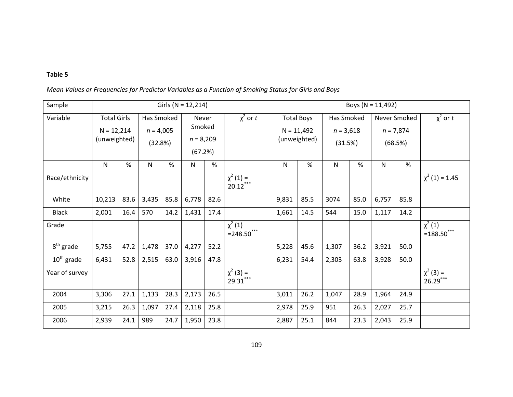|  |  |  | Mean Values or Frequencies for Predictor Variables as a Function of Smoking Status for Girls and Boys |
|--|--|--|-------------------------------------------------------------------------------------------------------|
|--|--|--|-------------------------------------------------------------------------------------------------------|

| Sample         |                                                    | Girls ( $N = 12,214$ ) |                                      |      |                                           |      |                                         | Boys ( $N = 11,492$ ) |                                                   |       |                                      |                                        |      |                              |
|----------------|----------------------------------------------------|------------------------|--------------------------------------|------|-------------------------------------------|------|-----------------------------------------|-----------------------|---------------------------------------------------|-------|--------------------------------------|----------------------------------------|------|------------------------------|
| Variable       | <b>Total Girls</b><br>$N = 12,214$<br>(unweighted) |                        | Has Smoked<br>$n = 4,005$<br>(32.8%) |      | Never<br>Smoked<br>$n = 8,209$<br>(67.2%) |      | $\chi^2$ or t                           |                       | <b>Total Boys</b><br>$N = 11,492$<br>(unweighted) |       | Has Smoked<br>$n = 3,618$<br>(31.5%) | Never Smoked<br>$n = 7,874$<br>(68.5%) |      | $\chi^2$ or t                |
|                | N                                                  | %                      | N                                    | %    | Ν                                         | $\%$ |                                         | $\mathsf{N}$          | %                                                 | N     | $\%$                                 | N                                      | $\%$ |                              |
| Race/ethnicity |                                                    |                        |                                      |      |                                           |      | $\overline{\chi}^2$ (1) =<br>$20.12***$ |                       |                                                   |       |                                      |                                        |      | $\chi^2$ (1) = 1.45          |
| White          | 10,213                                             | 83.6                   | 3,435                                | 85.8 | 6,778                                     | 82.6 |                                         | 9,831                 | 85.5                                              | 3074  | 85.0                                 | 6,757                                  | 85.8 |                              |
| <b>Black</b>   | 2,001                                              | 16.4                   | 570                                  | 14.2 | 1,431                                     | 17.4 |                                         | 1,661                 | 14.5                                              | 544   | 15.0                                 | 1,117                                  | 14.2 |                              |
| Grade          |                                                    |                        |                                      |      |                                           |      | $\chi^{2}(1)$<br>$= 248.50$ ***         |                       |                                                   |       |                                      |                                        |      | $\chi^2(1)$<br>$=188.50***$  |
| $8th$ grade    | 5,755                                              | 47.2                   | 1,478                                | 37.0 | 4,277                                     | 52.2 |                                         | 5,228                 | 45.6                                              | 1,307 | 36.2                                 | 3,921                                  | 50.0 |                              |
| $10th$ grade   | 6,431                                              | 52.8                   | 2,515                                | 63.0 | 3,916                                     | 47.8 |                                         | 6,231                 | 54.4                                              | 2,303 | 63.8                                 | 3,928                                  | 50.0 |                              |
| Year of survey |                                                    |                        |                                      |      |                                           |      | $\chi^2$ (3) =<br>29.31***              |                       |                                                   |       |                                      |                                        |      | $\chi^2$ (3) =<br>$26.29***$ |
| 2004           | 3,306                                              | 27.1                   | 1,133                                | 28.3 | 2,173                                     | 26.5 |                                         | 3,011                 | 26.2                                              | 1,047 | 28.9                                 | 1,964                                  | 24.9 |                              |
| 2005           | 3,215                                              | 26.3                   | 1,097                                | 27.4 | 2,118                                     | 25.8 |                                         | 2,978                 | 25.9                                              | 951   | 26.3                                 | 2,027                                  | 25.7 |                              |
| 2006           | 2,939                                              | 24.1                   | 989                                  | 24.7 | 1,950                                     | 23.8 |                                         | 2,887                 | 25.1                                              | 844   | 23.3                                 | 2,043                                  | 25.9 |                              |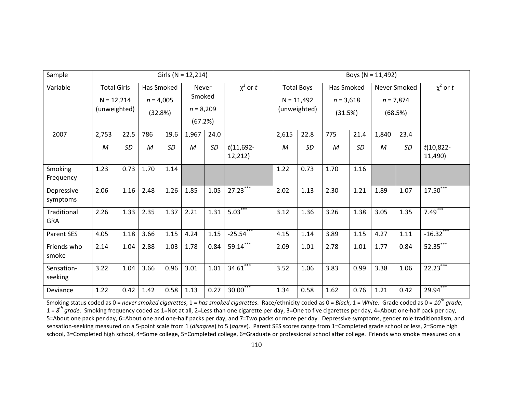| Sample                    | Girls ( $N = 12,214$ )                             |           |                                      |           |                                           |      |                        |                                                   | Boys ( $N = 11,492$ ) |                                      |      |                                        |           |                         |  |
|---------------------------|----------------------------------------------------|-----------|--------------------------------------|-----------|-------------------------------------------|------|------------------------|---------------------------------------------------|-----------------------|--------------------------------------|------|----------------------------------------|-----------|-------------------------|--|
| Variable                  | <b>Total Girls</b><br>$N = 12,214$<br>(unweighted) |           | Has Smoked<br>$n = 4,005$<br>(32.8%) |           | Never<br>Smoked<br>$n = 8,209$<br>(67.2%) |      | $\chi^2$ or t          | <b>Total Boys</b><br>$N = 11,492$<br>(unweighted) |                       | Has Smoked<br>$n = 3,618$<br>(31.5%) |      | Never Smoked<br>$n = 7,874$<br>(68.5%) |           | $\chi^2$ or t           |  |
| 2007                      | 2,753                                              | 22.5      | 786                                  | 19.6      | 1,967                                     | 24.0 |                        | 2,615                                             | 22.8                  | 775                                  | 21.4 | 1,840                                  | 23.4      |                         |  |
|                           | M                                                  | <b>SD</b> | M                                    | <b>SD</b> | $\boldsymbol{M}$                          | SD   | $t(11,692-$<br>12,212) | $\mathcal M$                                      | <b>SD</b>             | $\mathcal M$                         | SD   | M                                      | <b>SD</b> | $t(10,822 -$<br>11,490) |  |
| Smoking<br>Frequency      | 1.23                                               | 0.73      | 1.70                                 | 1.14      |                                           |      |                        | 1.22                                              | 0.73                  | 1.70                                 | 1.16 |                                        |           |                         |  |
| Depressive<br>symptoms    | 2.06                                               | 1.16      | 2.48                                 | 1.26      | 1.85                                      | 1.05 | $27.23***$             | 2.02                                              | 1.13                  | 2.30                                 | 1.21 | 1.89                                   | 1.07      | $17.50***$              |  |
| Traditional<br><b>GRA</b> | 2.26                                               | 1.33      | 2.35                                 | 1.37      | 2.21                                      | 1.31 | $5.03***$              | 3.12                                              | 1.36                  | 3.26                                 | 1.38 | 3.05                                   | 1.35      | $7.49***$               |  |
| <b>Parent SES</b>         | 4.05                                               | 1.18      | 3.66                                 | 1.15      | 4.24                                      | 1.15 | $-25.54***$            | 4.15                                              | 1.14                  | 3.89                                 | 1.15 | 4.27                                   | 1.11      | $-16.32$                |  |
| Friends who<br>smoke      | 2.14                                               | 1.04      | 2.88                                 | 1.03      | 1.78                                      | 0.84 | 59.14                  | 2.09                                              | 1.01                  | 2.78                                 | 1.01 | 1.77                                   | 0.84      | 52.35                   |  |
| Sensation-<br>seeking     | 3.22                                               | 1.04      | 3.66                                 | 0.96      | 3.01                                      | 1.01 | $34.61***$             | 3.52                                              | 1.06                  | 3.83                                 | 0.99 | 3.38                                   | 1.06      | $22.23***$              |  |
| Deviance                  | 1.22                                               | 0.42      | 1.42                                 | 0.58      | 1.13                                      | 0.27 | $30.00***$             | 1.34                                              | 0.58                  | 1.62                                 | 0.76 | 1.21                                   | 0.42      | $29.94***$              |  |

Smoking status coded as 0 = never smoked cigarettes, 1 = has smoked cigarettes. Race/ethnicity coded as 0 = Black, 1 = White. Grade coded as 0 =  $10^{th}$  grade,  $1 = 8^{th}$  grade. Smoking frequency coded as 1=Not at all, 2=Less than one cigarette per day, 3=One to five cigarettes per day, 4=About one-half pack per day, 5=About one pack per day, 6=About one and one-half packs per day, and 7=Two packs or more per day. Depressive symptoms, gender role traditionalism, and sensation-seeking measured on a 5-point scale from 1 (disagree) to 5 (agree). Parent SES scores range from 1=Completed grade school or less, 2=Some high school, 3=Completed high school, 4=Some college, 5=Completed college, 6=Graduate or professional school after college. Friends who smoke measured on a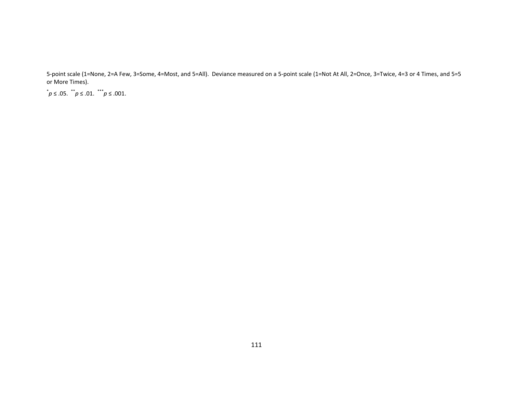5-point scale (1=None, 2=A Few, 3=Some, 4=Most, and 5=All). Deviance measured on a 5-point scale (1=Not At All, 2=Once, 3=Twice, 4=3 or 4 Times, and 5=5or More Times).

 $p \leq .05$ .  $p^*$  ≤ .01. \*\*\* $p \le .001$ .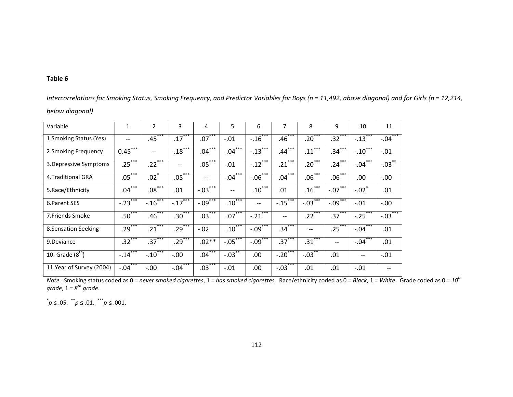| Variable                  | 1             | 2                  | 3             | 4                    | 5                      | 6                      | 7                     | 8                 | 9                 | 10                         | 11                   |
|---------------------------|---------------|--------------------|---------------|----------------------|------------------------|------------------------|-----------------------|-------------------|-------------------|----------------------------|----------------------|
| 1. Smoking Status (Yes)   | --            | $.45***$           | $.17***$      | $.07***$             | $-.01$                 | $-16$ <sup>***</sup>   | $.46***$              | $.20***$          | $.32***$          | $-0.13$                    | $-.04***$            |
| 2. Smoking Frequency      | ***<br>0.45   | $-$                | $.18***$      | $.04***$             | $.04***$               | $-13$ <sup>***</sup>   | $.44***$              | ***<br>.11        | $.34***$          | ***<br>$-.10$ <sup>*</sup> | $-.01$               |
| 3. Depressive Symptoms    | $.25***$      | $.22***$           | $- -$         | $.05***$             | .01                    | $-12$ <sup>***</sup>   | ***<br>.21            | $.20***$          | $.24***$          | ***<br>$-.04$              | $-.03$               |
| 4. Traditional GRA        | $.05***$      | $.02$ <sup>*</sup> | $.05***$      |                      | ***<br>$.04^{\degree}$ | $-0.06***$             | ***<br>.04            | $.06***$          | $.06***$          | .00                        | $-.00$               |
| 5.Race/Ethnicity          | $***$<br>.04  | $.08***$           | .01           | $-.03$ ***           | $-$                    | ***<br>$.10^{\degree}$ | .01                   | $.16***$          | $-0.07***$        | $-.02$                     | .01                  |
| 6. Parent SES             | $-.23$        | $-.16$ ***         | $-.17$        | $-09$ <sup>***</sup> | ***<br>$.10^\circ$     | $- -$                  | $-.15$                | ***<br>$-.03$     | $-0.09***$        | $-.01$                     | $-.00$               |
| 7. Friends Smoke          | $.50***$      | $.46***$           | $.30***$      | $.03***$             | $.07***$               | ***<br>$-.21$          | $- -$                 | $.22***$          | $.37***$          | $-.25$                     | $-.03$ <sup>**</sup> |
| 8. Sensation Seeking      | $.29***$      | $.21***$           | $.29***$      | $-.02$               | $.10***$               | $-09$ <sup>***</sup>   | $.34***$              | $\qquad \qquad -$ | $.25***$          | $***$<br>$-.04$            | .01                  |
| 9.Deviance                | $.32***$      | $.37***$           | $.29***$      | $.02**$              | $-05$                  | $-09$ <sup>***</sup>   | $.37***$              | $.31***$          | $\qquad \qquad -$ | ***<br>$-.04$              | .01                  |
| 10. Grade $(8th)$         | ***<br>$-.14$ | $-10***$           | $-.00$        | $.04***$             | $-0.03$ **             | .00                    | $-.20$ <sup>***</sup> | $-.03$ **         | .01               | $-$                        | $-.01$               |
| 11. Year of Survey (2004) | ***<br>$-.04$ | $-.00$             | ***<br>$-.04$ | $.03***$             | $-.01$                 | .00                    | $-.03$                | .01               | .01               | $-.01$                     |                      |

Intercorrelations for Smoking Status, Smoking Frequency, and Predictor Variables for Boys (n = 11,492, above diagonal) and for Girls (n = 12,214, below diagonal)

Note. Smoking status coded as 0 = *never smoked cigarettes,* 1 = *has smoked cigarettes. Race/ethnicity coded as* 0 = *Black,* 1 = White. Grade coded as 0 = 10<sup>th</sup> grade,  $1 = 8^{th}$  grade.

 $^*p$  ≤ .05.  $p^*$  ≤ .01.  $\stackrel{***}{p}$  ≤ .001.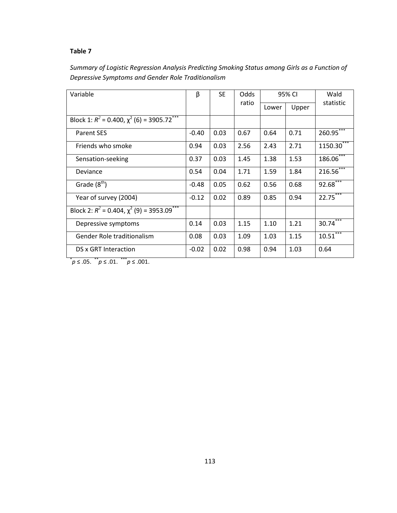| Summary of Logistic Regression Analysis Predicting Smoking Status among Girls as a Function of |
|------------------------------------------------------------------------------------------------|
| Depressive Symptoms and Gender Role Traditionalism                                             |

| Variable                                                       | β       | <b>SE</b> | Odds  |       | 95% CI | Wald         |
|----------------------------------------------------------------|---------|-----------|-------|-------|--------|--------------|
|                                                                |         |           | ratio | Lower | Upper  | statistic    |
| Block 1: $R^2$ = 0.400, $\chi^2$ (6) = 3905.72 <sup>***</sup>  |         |           |       |       |        |              |
| <b>Parent SES</b>                                              | $-0.40$ | 0.03      | 0.67  | 0.64  | 0.71   | $260.95***$  |
| Friends who smoke                                              | 0.94    | 0.03      | 2.56  | 2.43  | 2.71   | $1150.30***$ |
| Sensation-seeking                                              | 0.37    | 0.03      | 1.45  | 1.38  | 1.53   | $186.06***$  |
| Deviance                                                       | 0.54    | 0.04      | 1.71  | 1.59  | 1.84   | $216.56***$  |
| Grade $(8th)$                                                  | $-0.48$ | 0.05      | 0.62  | 0.56  | 0.68   | $92.68***$   |
| Year of survey (2004)                                          | $-0.12$ | 0.02      | 0.89  | 0.85  | 0.94   | $22.75***$   |
| Block 2: $R^2 = 0.404$ , $\chi^2$ (9) = 3953.09 <sup>***</sup> |         |           |       |       |        |              |
| Depressive symptoms                                            | 0.14    | 0.03      | 1.15  | 1.10  | 1.21   | $30.74***$   |
| Gender Role traditionalism                                     | 0.08    | 0.03      | 1.09  | 1.03  | 1.15   | $10.51***$   |
| DS x GRT Interaction                                           | $-0.02$ | 0.02      | 0.98  | 0.94  | 1.03   | 0.64         |

 $p \leq .05.$  \* p ≤ .01. \* \* p ≤ .001.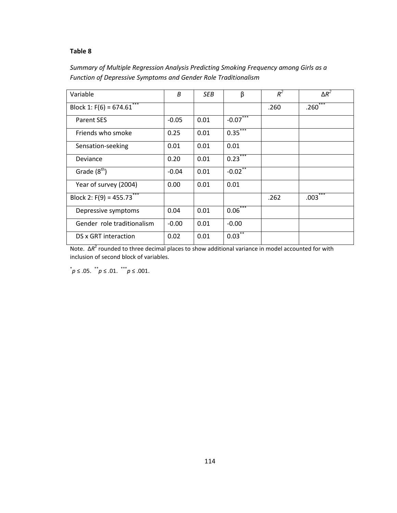# Summary of Multiple Regression Analysis Predicting Smoking Frequency among Girls as a Function of Depressive Symptoms and Gender Role Traditionalism

| Variable                   | B       | SEB  | β          | $R^2$ | $\Delta R^2$             |
|----------------------------|---------|------|------------|-------|--------------------------|
| Block 1: $F(6) = 674.61$   |         |      |            | .260  | ***<br>.260              |
| <b>Parent SES</b>          | $-0.05$ | 0.01 | $-0.07***$ |       |                          |
| Friends who smoke          | 0.25    | 0.01 | $0.35***$  |       |                          |
| Sensation-seeking          | 0.01    | 0.01 | 0.01       |       |                          |
| Deviance                   | 0.20    | 0.01 | $0.23***$  |       |                          |
| Grade $(8th)$              | $-0.04$ | 0.01 | $-0.02$ ** |       |                          |
| Year of survey (2004)      | 0.00    | 0.01 | 0.01       |       |                          |
| Block 2: $F(9) = 455.73$   |         |      |            | .262  | ***<br>.003 <sup>°</sup> |
| Depressive symptoms        | 0.04    | 0.01 | $0.06***$  |       |                          |
| Gender role traditionalism | $-0.00$ | 0.01 | $-0.00$    |       |                          |
| DS x GRT interaction       | 0.02    | 0.01 | $0.03***$  |       |                          |

Note.  $ΔR<sup>2</sup>$  rounded to three decimal places to show additional variance in model accounted for with inclusion of second block of variables.

 $^*p \leq .05.$   $^*p \leq .01.$   $^**p \leq .001.$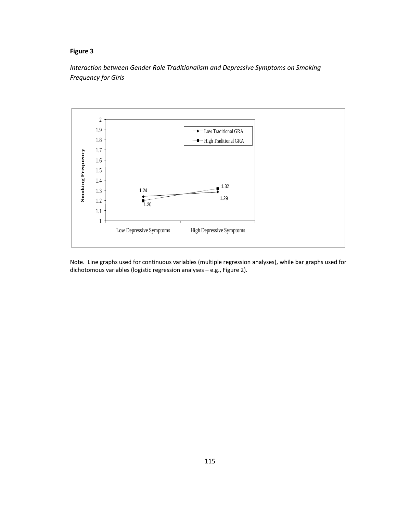## Figure 3

Interaction between Gender Role Traditionalism and Depressive Symptoms on Smoking Frequency for Girls



Note. Line graphs used for continuous variables (multiple regression analyses), while bar graphs used for dichotomous variables (logistic regression analyses – e.g., Figure 2).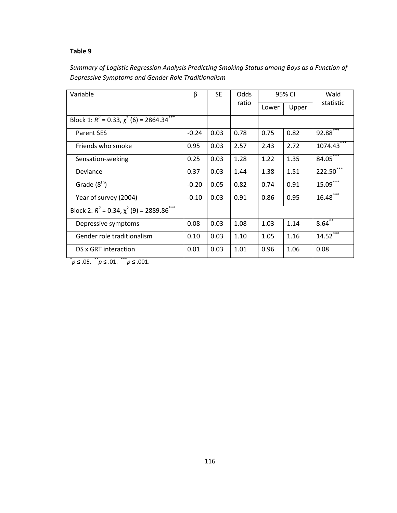| Summary of Logistic Regression Analysis Predicting Smoking Status among Boys as a Function of |
|-----------------------------------------------------------------------------------------------|
| Depressive Symptoms and Gender Role Traditionalism                                            |

| Variable                                                      | β       | <b>SE</b> | Odds  |       | 95% CI | Wald        |  |
|---------------------------------------------------------------|---------|-----------|-------|-------|--------|-------------|--|
|                                                               |         |           | ratio | Lower | Upper  | statistic   |  |
| Block 1: $R^2 = 0.33$ , $\chi^2$ (6) = 2864.34 <sup>***</sup> |         |           |       |       |        |             |  |
| <b>Parent SES</b>                                             | $-0.24$ | 0.03      | 0.78  | 0.75  | 0.82   | 92.88       |  |
| Friends who smoke                                             | 0.95    | 0.03      | 2.57  | 2.43  | 2.72   | 1074.43     |  |
| Sensation-seeking                                             | 0.25    | 0.03      | 1.28  | 1.22  | 1.35   | $84.05***$  |  |
| Deviance                                                      | 0.37    | 0.03      | 1.44  | 1.38  | 1.51   | $222.50***$ |  |
| Grade $(8th)$                                                 | $-0.20$ | 0.05      | 0.82  | 0.74  | 0.91   | 15.09       |  |
| Year of survey (2004)                                         | $-0.10$ | 0.03      | 0.91  | 0.86  | 0.95   | $16.48***$  |  |
| Block 2: $R^2$ = 0.34, $\chi^2$ (9) = 2889.86 <sup>***</sup>  |         |           |       |       |        |             |  |
| Depressive symptoms                                           | 0.08    | 0.03      | 1.08  | 1.03  | 1.14   | $8.64^{**}$ |  |
| Gender role traditionalism                                    | 0.10    | 0.03      | 1.10  | 1.05  | 1.16   | $14.52***$  |  |
| DS x GRT interaction                                          | 0.01    | 0.03      | 1.01  | 0.96  | 1.06   | 0.08        |  |

 $p \leq .05.$  \* p ≤ .01. \* \* p ≤ .001.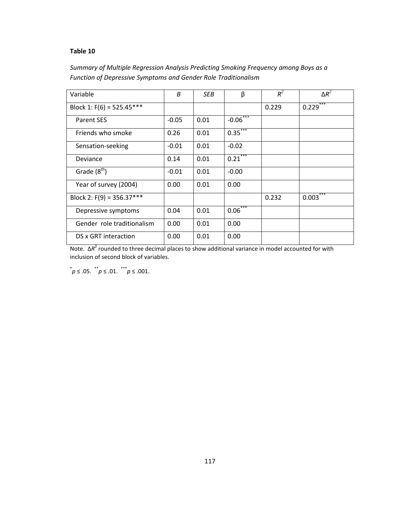# Summary of Multiple Regression Analysis Predicting Smoking Frequency among Boys as a Function of Depressive Symptoms and Gender Role Traditionalism

| Variable                    | B       | SEB. | β                     | $R^2$ | $\Delta R^2$ |
|-----------------------------|---------|------|-----------------------|-------|--------------|
| Block 1: $F(6) = 525.45***$ |         |      |                       | 0.229 | ***<br>0.229 |
| <b>Parent SES</b>           | $-0.05$ | 0.01 | $-0.06***$            |       |              |
| Friends who smoke           | 0.26    | 0.01 | $0.35$ <sup>***</sup> |       |              |
| Sensation-seeking           | $-0.01$ | 0.01 | $-0.02$               |       |              |
| Deviance                    | 0.14    | 0.01 | $0.21***$             |       |              |
| Grade $(8th)$               | $-0.01$ | 0.01 | $-0.00$               |       |              |
| Year of survey (2004)       | 0.00    | 0.01 | 0.00                  |       |              |
| Block 2: $F(9) = 356.37***$ |         |      |                       | 0.232 | ***<br>0.003 |
| Depressive symptoms         | 0.04    | 0.01 | $0.06***$             |       |              |
| Gender role traditionalism  | 0.00    | 0.01 | 0.00                  |       |              |
| DS x GRT interaction        | 0.00    | 0.01 | 0.00                  |       |              |

Note.  $ΔR<sup>2</sup>$  rounded to three decimal places to show additional variance in model accounted for with inclusion of second block of variables.

 $^*p \leq .05.$   $^*p \leq .01.$   $^{**}p \leq .001.$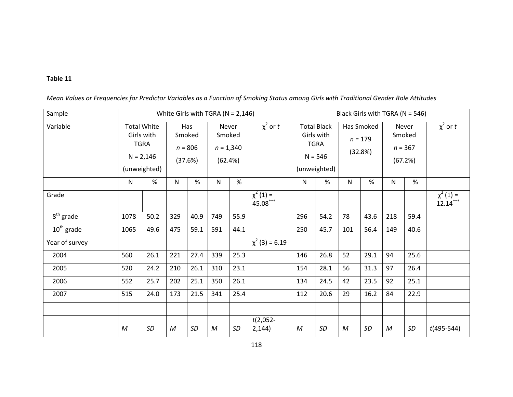| Sample                           |      |                                                                                |              |                                       | White Girls with TGRA ( $N = 2,146$ )     |           |                             | Black Girls with TGRA (N = 546)                                              |      |                                    |           |                                                |           |                             |
|----------------------------------|------|--------------------------------------------------------------------------------|--------------|---------------------------------------|-------------------------------------------|-----------|-----------------------------|------------------------------------------------------------------------------|------|------------------------------------|-----------|------------------------------------------------|-----------|-----------------------------|
| Variable                         |      | <b>Total White</b><br>Girls with<br><b>TGRA</b><br>$N = 2,146$<br>(unweighted) |              | Has<br>Smoked<br>$n = 806$<br>(37.6%) | Never<br>Smoked<br>$n = 1,340$<br>(62.4%) |           | $\chi^2$ or t               | <b>Total Black</b><br>Girls with<br><b>TGRA</b><br>$N = 546$<br>(unweighted) |      | Has Smoked<br>$n = 179$<br>(32.8%) |           | <b>Never</b><br>Smoked<br>$n = 367$<br>(67.2%) |           | $\chi^2$ or t               |
|                                  | N    | %                                                                              | N            | %                                     | ${\sf N}$                                 | $\%$      |                             | N                                                                            | %    | $\mathsf{N}$                       | %         | N                                              | %         |                             |
| Grade                            |      |                                                                                |              |                                       |                                           |           | $\chi^2(1) =$<br>$45.08***$ |                                                                              |      |                                    |           |                                                |           | $\chi^2(1) =$<br>$12.14***$ |
| $\overline{8}^{\text{th}}$ grade | 1078 | 50.2                                                                           | 329          | 40.9                                  | 749                                       | 55.9      |                             | 296                                                                          | 54.2 | 78                                 | 43.6      | 218                                            | 59.4      |                             |
| $10th$ grade                     | 1065 | 49.6                                                                           | 475          | 59.1                                  | 591                                       | 44.1      |                             | 250                                                                          | 45.7 | 101                                | 56.4      | 149                                            | 40.6      |                             |
| Year of survey                   |      |                                                                                |              |                                       |                                           |           | $\chi^2$ (3) = 6.19         |                                                                              |      |                                    |           |                                                |           |                             |
| 2004                             | 560  | 26.1                                                                           | 221          | 27.4                                  | 339                                       | 25.3      |                             | 146                                                                          | 26.8 | 52                                 | 29.1      | 94                                             | 25.6      |                             |
| 2005                             | 520  | 24.2                                                                           | 210          | 26.1                                  | 310                                       | 23.1      |                             | 154                                                                          | 28.1 | 56                                 | 31.3      | 97                                             | 26.4      |                             |
| 2006                             | 552  | 25.7                                                                           | 202          | 25.1                                  | 350                                       | 26.1      |                             | 134                                                                          | 24.5 | 42                                 | 23.5      | 92                                             | 25.1      |                             |
| 2007                             | 515  | 24.0                                                                           | 173          | 21.5                                  | 341                                       | 25.4      |                             | 112                                                                          | 20.6 | 29                                 | 16.2      | 84                                             | 22.9      |                             |
|                                  |      |                                                                                |              |                                       |                                           |           |                             |                                                                              |      |                                    |           |                                                |           |                             |
|                                  | M    | <b>SD</b>                                                                      | $\mathcal M$ | SD                                    | $\mathcal M$                              | <b>SD</b> | $t(2,052 -$<br>2,144)       | M                                                                            | SD   | M                                  | <b>SD</b> | M                                              | <b>SD</b> | $t(495-544)$                |

Mean Values or Frequencies for Predictor Variables as a Function of Smoking Status among Girls with Traditional Gender Role Attitudes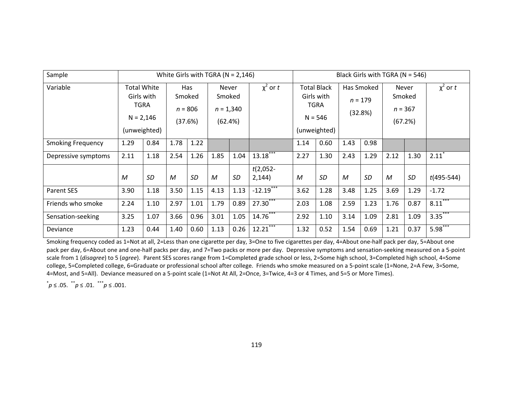| Sample                   |      |                                                                         |      |                                       | White Girls with TGRA ( $N = 2,146$ )            |           |                       | Black Girls with TGRA ( $N = 546$ )                                   |      |                                    |      |                                                |      |                     |  |
|--------------------------|------|-------------------------------------------------------------------------|------|---------------------------------------|--------------------------------------------------|-----------|-----------------------|-----------------------------------------------------------------------|------|------------------------------------|------|------------------------------------------------|------|---------------------|--|
| Variable                 |      | <b>Total White</b><br>Girls with<br>TGRA<br>$N = 2,146$<br>(unweighted) |      | Has<br>Smoked<br>$n = 806$<br>(37.6%) | <b>Never</b><br>Smoked<br>$n = 1,340$<br>(62.4%) |           | $\chi^2$ or t         | <b>Total Black</b><br>Girls with<br>TGRA<br>$N = 546$<br>(unweighted) |      | Has Smoked<br>$n = 179$<br>(32.8%) |      | <b>Never</b><br>Smoked<br>$n = 367$<br>(67.2%) |      | $\chi^2$ or t       |  |
| <b>Smoking Frequency</b> | 1.29 | 0.84                                                                    | 1.78 | 1.22                                  |                                                  |           |                       | 1.14                                                                  | 0.60 | 1.43                               | 0.98 |                                                |      |                     |  |
| Depressive symptoms      | 2.11 | 1.18                                                                    | 2.54 | 1.26                                  | 1.85                                             | 1.04      | $13.18***$            | 2.27                                                                  | 1.30 | 2.43                               | 1.29 | 2.12                                           | 1.30 | $2.11$ <sup>*</sup> |  |
|                          | M    | SD                                                                      | M    | SD                                    | M                                                | <b>SD</b> | $t(2,052 -$<br>2,144) | M                                                                     | SD   | M                                  | SD   | M                                              | SD   | $t(495-544)$        |  |
| <b>Parent SES</b>        | 3.90 | 1.18                                                                    | 3.50 | 1.15                                  | 4.13                                             | 1.13      | $-12.19$              | 3.62                                                                  | 1.28 | 3.48                               | 1.25 | 3.69                                           | 1.29 | $-1.72$             |  |
| Friends who smoke        | 2.24 | 1.10                                                                    | 2.97 | 1.01                                  | 1.79                                             | 0.89      | $27.30^{***}$         | 2.03                                                                  | 1.08 | 2.59                               | 1.23 | 1.76                                           | 0.87 | $8.11***$           |  |
| Sensation-seeking        | 3.25 | 1.07                                                                    | 3.66 | 0.96                                  | 3.01                                             | 1.05      | $14.76***$            | 2.92                                                                  | 1.10 | 3.14                               | 1.09 | 2.81                                           | 1.09 | $3.35***$           |  |
| Deviance                 | 1.23 | 0.44                                                                    | 1.40 | 0.60                                  | 1.13                                             | 0.26      | 12.21                 | 1.32                                                                  | 0.52 | 1.54                               | 0.69 | 1.21                                           | 0.37 | $5.98***$           |  |

Smoking frequency coded as 1=Not at all, 2=Less than one cigarette per day, 3=One to five cigarettes per day, 4=About one-half pack per day, 5=About one pack per day, 6=About one and one-half packs per day, and 7=Two packs or more per day. Depressive symptoms and sensation-seeking measured on a 5-point scale from 1 (disagree) to 5 (agree). Parent SES scores range from 1=Completed grade school or less, 2=Some high school, 3=Completed high school, 4=Some college, 5=Completed college, 6=Graduate or professional school after college. Friends who smoke measured on a 5-point scale (1=None, 2=A Few, 3=Some, 4=Most, and 5=All). Deviance measured on a 5-point scale (1=Not At All, 2=Once, 3=Twice, 4=3 or 4 Times, and 5=5 or More Times).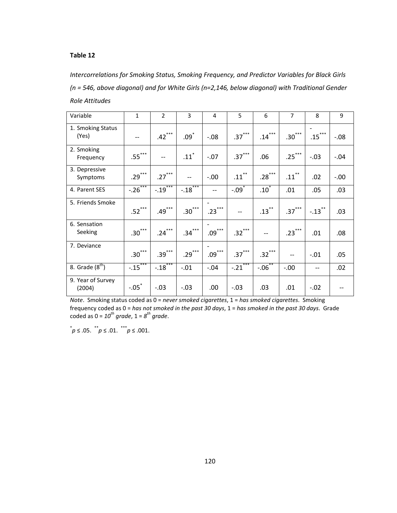Intercorrelations for Smoking Status, Smoking Frequency, and Predictor Variables for Black Girls (n = 546, above diagonal) and for White Girls (n=2,146, below diagonal) with Traditional Gender Role Attitudes

| Variable                    | $\mathbf{1}$ | $\overline{2}$ | 3                  | $\overline{4}$               | 5             | 6                  | $\overline{7}$ | 8                    | 9       |
|-----------------------------|--------------|----------------|--------------------|------------------------------|---------------|--------------------|----------------|----------------------|---------|
| 1. Smoking Status<br>(Yes)  | --           | $.42***$       | $.09$ <sup>*</sup> | $-.08$                       | $.37***$      | $.14***$           | $.30***$       | $.15***$             | $-0.08$ |
| 2. Smoking<br>Frequency     | $.55***$     |                | $.11$ <sup>*</sup> | $-.07$                       | $.37***$      | .06                | $.25***$       | $-.03$               | $-0.04$ |
| 3. Depressive<br>Symptoms   | $.29***$     | $.27***$       |                    | $-.00$                       | $.11***$      | $.28***$           | $.11***$       | .02                  | $-0.00$ |
| 4. Parent SES               | $-0.26***$   | $-0.19***$     | $-.18$             | $-$                          | $-.09*$       | $.10$ <sup>*</sup> | .01            | .05                  | .03     |
| 5. Friends Smoke            | $.52***$     | $.49***$       | $.30***$           | $.23***$                     |               | $.13***$           | $.37***$       | $-.13$ <sup>**</sup> | .03     |
| 6. Sensation<br>Seeking     | $.30***$     | $.24***$       | $.34***$           | $.09***$                     | $.32***$      |                    | $.23***$       | .01                  | .08     |
| 7. Deviance                 | $.30***$     | $.39***$       | $.29***$           | $.09$ $\hspace{0.1cm}^{***}$ | $.37***$      | $.32***$           | $- -$          | $-.01$               | .05     |
| 8. Grade $(8th)$            | $-15***$     | $-.18$ ***     | $-.01$             | $-.04$                       | ***<br>$-.21$ | $-06^{**}$         | $-.00$         | --                   | .02     |
| 9. Year of Survey<br>(2004) | $-.05^*$     | $-.03$         | $-.03$             | .00                          | $-.03$        | .03                | .01            | $-.02$               |         |

Note. Smoking status coded as 0 = never smoked cigarettes, 1 = has smoked cigarettes. Smoking frequency coded as 0 = has not smoked in the past 30 days, 1 = has smoked in the past 30 days. Grade coded as  $0 = 10^{th}$  grade,  $1 = 8^{th}$  grade.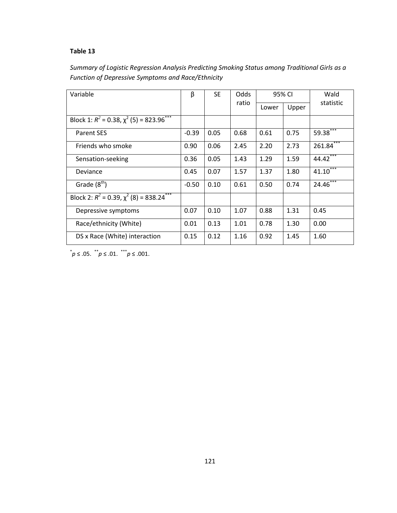| Summary of Logistic Regression Analysis Predicting Smoking Status among Traditional Girls as a |  |
|------------------------------------------------------------------------------------------------|--|
| Function of Depressive Symptoms and Race/Ethnicity                                             |  |

| Variable                                                     | β       | <b>SE</b> | Odds  | 95% CI |       | Wald        |  |
|--------------------------------------------------------------|---------|-----------|-------|--------|-------|-------------|--|
|                                                              |         |           | ratio | Lower  | Upper | statistic   |  |
| Block 1: $R^2$ = 0.38, $\chi^2$ (5) = 823.96 <sup>***</sup>  |         |           |       |        |       |             |  |
| <b>Parent SES</b>                                            | $-0.39$ | 0.05      | 0.68  | 0.61   | 0.75  | 59.38***    |  |
| Friends who smoke                                            | 0.90    | 0.06      | 2.45  | 2.20   | 2.73  | $261.84***$ |  |
| Sensation-seeking                                            | 0.36    | 0.05      | 1.43  | 1.29   | 1.59  | $44.42***$  |  |
| Deviance                                                     | 0.45    | 0.07      | 1.57  | 1.37   | 1.80  | $41.10***$  |  |
| Grade $(8th)$                                                | $-0.50$ | 0.10      | 0.61  | 0.50   | 0.74  | $24.46***$  |  |
| Block 2: $R^2 = 0.39$ , $\chi^2$ (8) = 838.24 <sup>***</sup> |         |           |       |        |       |             |  |
| Depressive symptoms                                          | 0.07    | 0.10      | 1.07  | 0.88   | 1.31  | 0.45        |  |
| Race/ethnicity (White)                                       | 0.01    | 0.13      | 1.01  | 0.78   | 1.30  | 0.00        |  |
| DS x Race (White) interaction                                | 0.15    | 0.12      | 1.16  | 0.92   | 1.45  | 1.60        |  |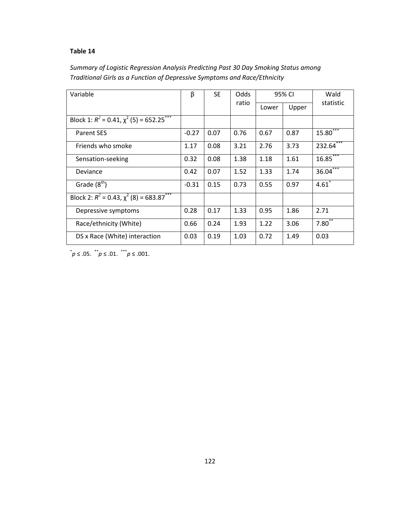| Summary of Logistic Regression Analysis Predicting Past 30 Day Smoking Status among |
|-------------------------------------------------------------------------------------|
| Traditional Girls as a Function of Depressive Symptoms and Race/Ethnicity           |

| Variable                                        | β       | <b>SE</b> | Odds  |       | 95% CI | Wald                |  |
|-------------------------------------------------|---------|-----------|-------|-------|--------|---------------------|--|
|                                                 |         |           | ratio | Lower | Upper  | statistic           |  |
| Block 1: $R^2$ = 0.41, $\chi^2$ (5) = 652.25*** |         |           |       |       |        |                     |  |
| <b>Parent SES</b>                               | $-0.27$ | 0.07      | 0.76  | 0.67  | 0.87   | 15.80 <sup>°</sup>  |  |
| Friends who smoke                               | 1.17    | 0.08      | 3.21  | 2.76  | 3.73   | $232.64***$         |  |
| Sensation-seeking                               | 0.32    | 0.08      | 1.38  | 1.18  | 1.61   | 16.85               |  |
| Deviance                                        | 0.42    | 0.07      | 1.52  | 1.33  | 1.74   | $36.04***$          |  |
| Grade $(8th)$                                   | $-0.31$ | 0.15      | 0.73  | 0.55  | 0.97   | $4.61$ <sup>*</sup> |  |
| Block 2: $R^2 = 0.43, \chi^2(8) = 683.87$ ***   |         |           |       |       |        |                     |  |
| Depressive symptoms                             | 0.28    | 0.17      | 1.33  | 0.95  | 1.86   | 2.71                |  |
| Race/ethnicity (White)                          | 0.66    | 0.24      | 1.93  | 1.22  | 3.06   | $7.80^{**}$         |  |
| DS x Race (White) interaction                   | 0.03    | 0.19      | 1.03  | 0.72  | 1.49   | 0.03                |  |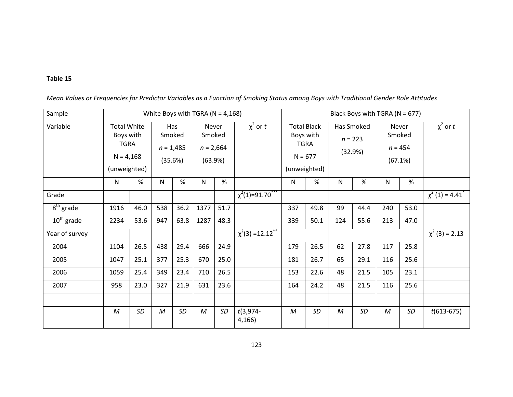| Sample         |                                                                               |      |                  |                                         | White Boys with TGRA ( $N = 4,168$ )      |      |                         | Black Boys with TGRA (N = 677)                                              |           |                                    |      |                                         |           |                                  |  |
|----------------|-------------------------------------------------------------------------------|------|------------------|-----------------------------------------|-------------------------------------------|------|-------------------------|-----------------------------------------------------------------------------|-----------|------------------------------------|------|-----------------------------------------|-----------|----------------------------------|--|
| Variable       | <b>Total White</b><br>Boys with<br><b>TGRA</b><br>$N = 4,168$<br>(unweighted) |      |                  | Has<br>Smoked<br>$n = 1,485$<br>(35.6%) | Never<br>Smoked<br>$n = 2,664$<br>(63.9%) |      | $\chi^2$ or t           | <b>Total Black</b><br>Boys with<br><b>TGRA</b><br>$N = 677$<br>(unweighted) |           | Has Smoked<br>$n = 223$<br>(32.9%) |      | Never<br>Smoked<br>$n = 454$<br>(67.1%) |           | $\chi^2$ or t                    |  |
|                | N                                                                             | %    | N                | %                                       | N                                         | %    |                         | $\mathsf{N}$                                                                | $\%$      | ${\sf N}$                          | $\%$ | ${\sf N}$                               | $\%$      |                                  |  |
| Grade          |                                                                               |      |                  |                                         |                                           |      | $\chi^2(1) = 91.70$ *** |                                                                             |           |                                    |      |                                         |           | $\chi^2$ (1) = 4.41 <sup>*</sup> |  |
| $8th$ grade    | 1916                                                                          | 46.0 | 538              | 36.2                                    | 1377                                      | 51.7 |                         | 337                                                                         | 49.8      | 99                                 | 44.4 | 240                                     | 53.0      |                                  |  |
| $10th$ grade   | 2234                                                                          | 53.6 | 947              | 63.8                                    | 1287                                      | 48.3 |                         | 339                                                                         | 50.1      | 124                                | 55.6 | 213                                     | 47.0      |                                  |  |
| Year of survey |                                                                               |      |                  |                                         |                                           |      | $\chi^2(3) = 12.12$     |                                                                             |           |                                    |      |                                         |           | $\chi^2$ (3) = 2.13              |  |
| 2004           | 1104                                                                          | 26.5 | 438              | 29.4                                    | 666                                       | 24.9 |                         | 179                                                                         | 26.5      | 62                                 | 27.8 | 117                                     | 25.8      |                                  |  |
| 2005           | 1047                                                                          | 25.1 | 377              | 25.3                                    | 670                                       | 25.0 |                         | 181                                                                         | 26.7      | 65                                 | 29.1 | 116                                     | 25.6      |                                  |  |
| 2006           | 1059                                                                          | 25.4 | 349              | 23.4                                    | 710                                       | 26.5 |                         | 153                                                                         | 22.6      | 48                                 | 21.5 | 105                                     | 23.1      |                                  |  |
| 2007           | 958                                                                           | 23.0 | 327              | 21.9                                    | 631                                       | 23.6 |                         | 164                                                                         | 24.2      | 48                                 | 21.5 | 116                                     | 25.6      |                                  |  |
|                |                                                                               |      |                  |                                         |                                           |      |                         |                                                                             |           |                                    |      |                                         |           |                                  |  |
|                | $\boldsymbol{M}$                                                              | SD   | $\boldsymbol{M}$ | SD                                      | $\cal M$                                  | SD   | $t(3,974-$<br>4,166     | $\mathcal M$                                                                | <b>SD</b> | $\boldsymbol{M}$                   | SD   | $\cal M$                                | <b>SD</b> | $t(613-675)$                     |  |

Mean Values or Frequencies for Predictor Variables as a Function of Smoking Status among Boys with Traditional Gender Role Attitudes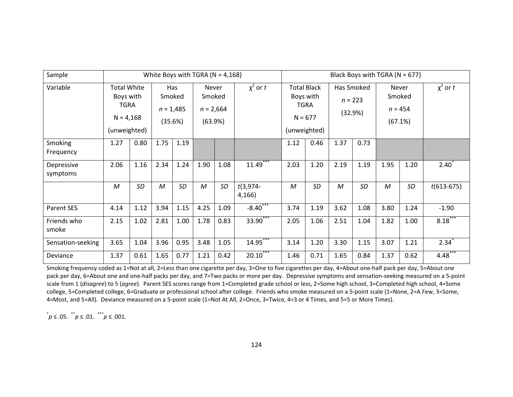| Sample                 |                                                                               |           |      |                                         | White Boys with TGRA ( $N = 4,168$ )      |           |                     | Black Boys with TGRA ( $N = 677$ )                                          |           |                                    |           |                                         |      |                  |  |  |
|------------------------|-------------------------------------------------------------------------------|-----------|------|-----------------------------------------|-------------------------------------------|-----------|---------------------|-----------------------------------------------------------------------------|-----------|------------------------------------|-----------|-----------------------------------------|------|------------------|--|--|
| Variable               | <b>Total White</b><br>Boys with<br><b>TGRA</b><br>$N = 4,168$<br>(unweighted) |           |      | Has<br>Smoked<br>$n = 1,485$<br>(35.6%) | Never<br>Smoked<br>$n = 2,664$<br>(63.9%) |           | $\chi^2$ or t       | <b>Total Black</b><br>Boys with<br><b>TGRA</b><br>$N = 677$<br>(unweighted) |           | Has Smoked<br>$n = 223$<br>(32.9%) |           | Never<br>Smoked<br>$n = 454$<br>(67.1%) |      | $\chi^2$ or t    |  |  |
| Smoking<br>Frequency   | 1.27                                                                          | 0.80      | 1.75 | 1.19                                    |                                           |           |                     | 1.12                                                                        | 0.46      | 1.37                               | 0.73      |                                         |      |                  |  |  |
| Depressive<br>symptoms | 2.06                                                                          | 1.16      | 2.34 | 1.24                                    | 1.90                                      | 1.08      | $11.49***$          | 2.03                                                                        | 1.20      | 2.19                               | 1.19      | 1.95                                    | 1.20 | $2.40^{\degree}$ |  |  |
|                        | M                                                                             | <b>SD</b> | M    | SD                                      | M                                         | <b>SD</b> | $t(3,974-$<br>4,166 | $\mathcal M$                                                                | <b>SD</b> | M                                  | <b>SD</b> | M                                       | SD   | $t(613-675)$     |  |  |
| Parent SES             | 4.14                                                                          | 1.12      | 3.94 | 1.15                                    | 4.25                                      | 1.09      | $-8.40***$          | 3.74                                                                        | 1.19      | 3.62                               | 1.08      | 3.80                                    | 1.24 | $-1.90$          |  |  |
| Friends who<br>smoke   | 2.15                                                                          | 1.02      | 2.81 | 1.00                                    | 1.78                                      | 0.83      | 33.90***            | 2.05                                                                        | 1.06      | 2.51                               | 1.04      | 1.82                                    | 1.00 | $8.18***$        |  |  |
| Sensation-seeking      | 3.65                                                                          | 1.04      | 3.96 | 0.95                                    | 3.48                                      | 1.05      | $14.95***$          | 3.14                                                                        | 1.20      | 3.30                               | 1.15      | 3.07                                    | 1.21 | $2.34*$          |  |  |
| Deviance               | 1.37                                                                          | 0.61      | 1.65 | 0.77                                    | 1.21                                      | 0.42      | $20.10***$          | 1.46                                                                        | 0.71      | 1.65                               | 0.84      | 1.37                                    | 0.62 | 4.48             |  |  |

Smoking frequency coded as 1=Not at all, 2=Less than one cigarette per day, 3=One to five cigarettes per day, 4=About one-half pack per day, 5=About one pack per day, 6=About one and one-half packs per day, and 7=Two packs or more per day. Depressive symptoms and sensation-seeking measured on a 5-point scale from 1 (disagree) to 5 (agree). Parent SES scores range from 1=Completed grade school or less, 2=Some high school, 3=Completed high school, 4=Some college, 5=Completed college, 6=Graduate or professional school after college. Friends who smoke measured on a 5-point scale (1=None, 2=A Few, 3=Some, 4=Most, and 5=All). Deviance measured on a 5-point scale (1=Not At All, 2=Once, 3=Twice, 4=3 or 4 Times, and 5=5 or More Times).

 $p \leq .05$ .  $p^*$  ≤ .01.  $\stackrel{***}{p} \le .001.$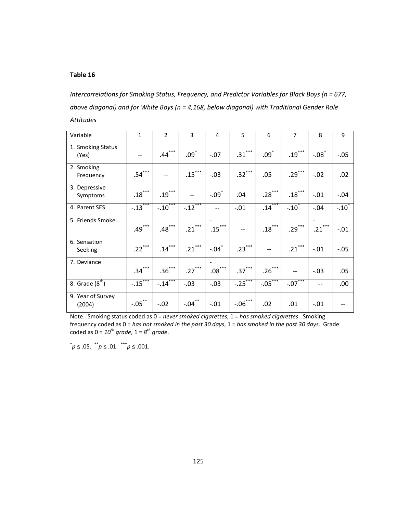Intercorrelations for Smoking Status, Frequency, and Predictor Variables for Black Boys (n = 677, above diagonal) and for White Boys (n = 4,168, below diagonal) with Traditional Gender Role Attitudes

| Variable                    | $\mathbf{1}$ | $\overline{2}$ | 3                  | 4                   | 5          | 6                  | $\overline{7}$ | 8                   | 9          |
|-----------------------------|--------------|----------------|--------------------|---------------------|------------|--------------------|----------------|---------------------|------------|
| 1. Smoking Status<br>(Yes)  |              | $.44***$       | $.09$ <sup>*</sup> | $-.07$              | $.31***$   | $.09$ <sup>*</sup> | $.19$ ***      | $-.08$ <sup>*</sup> | $-.05$     |
| 2. Smoking<br>Frequency     | $.54***$     |                | $.15***$           | $-.03$              | $.32***$   | .05                | $.29***$       | $-.02$              | .02        |
| 3. Depressive<br>Symptoms   | $.18$ ***    | $.19***$       |                    | $-.09$ <sup>*</sup> | .04        | $.28***$           | $.18***$       | $-.01$              | $-.04$     |
| 4. Parent SES               | $-.13$       | $-.10$ ***     | $-.12$             | --                  | $-.01$     | $.14***$           | $-.10^*$       | $-.04$              | $-.10^{*}$ |
| 5. Friends Smoke            | $.49***$     | $.48$ ***      | $.21***$           | $.15***$            |            | $.18***$           | $.29***$       | $.21***$            | $-.01$     |
| 6. Sensation<br>Seeking     | $.22***$     | $.14***$       | $.21***$           | $-.04$ <sup>*</sup> | $.23***$   |                    | $.21***$       | $-.01$              | $-.05$     |
| 7. Deviance                 | $.34***$     | $.36***$       | $.27***$           | $.08\dots$          | $.37***$   | $.26***$           | $-$            | $-.03$              | .05        |
| 8. Grade $(8^{th})$         | $-15***$     | $-14***$       | $-.03$             | $-.03$              | $-0.25***$ | $-05***$           | $-07***$       | --                  | .00.       |
| 9. Year of Survey<br>(2004) | $-.05$ **    | $-.02$         | $-.04$ **          | $-.01$              | $-.06***$  | .02                | .01            | $-.01$              |            |

Note. Smoking status coded as 0 = never smoked cigarettes, 1 = has smoked cigarettes. Smoking frequency coded as 0 = has not smoked in the past 30 days, 1 = has smoked in the past 30 days. Grade coded as  $0 = 10^{th}$  grade,  $1 = 8^{th}$  grade.

 $p \leq .05.$   $\binom{4}{10} \leq .01.$   $\binom{4}{10} \leq .001.$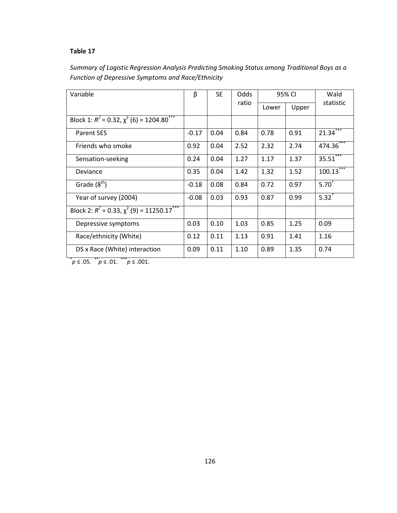| Summary of Logistic Regression Analysis Predicting Smoking Status among Traditional Boys as a |
|-----------------------------------------------------------------------------------------------|
| Function of Depressive Symptoms and Race/Ethnicity                                            |

| Variable                                                                | β       | <b>SE</b> | Odds  |       | 95% CI | Wald        |  |
|-------------------------------------------------------------------------|---------|-----------|-------|-------|--------|-------------|--|
|                                                                         |         |           | ratio | Lower | Upper  | statistic   |  |
| Block 1: $R^2 = 0.32$ , $\overline{\chi^2(6)} = 1204.80$ <sup>***</sup> |         |           |       |       |        |             |  |
| <b>Parent SES</b>                                                       | $-0.17$ | 0.04      | 0.84  | 0.78  | 0.91   | 21.34       |  |
| Friends who smoke                                                       | 0.92    | 0.04      | 2.52  | 2.32  | 2.74   | 474.36 ***  |  |
| Sensation-seeking                                                       | 0.24    | 0.04      | 1.27  | 1.17  | 1.37   | $35.51***$  |  |
| Deviance                                                                | 0.35    | 0.04      | 1.42  | 1.32  | 1.52   | $100.13***$ |  |
| Grade $(8th)$                                                           | $-0.18$ | 0.08      | 0.84  | 0.72  | 0.97   | $5.70*$     |  |
| Year of survey (2004)                                                   | $-0.08$ | 0.03      | 0.93  | 0.87  | 0.99   | $5.32^{*}$  |  |
| Block 2: $R^2 = 0.33$ , $\chi^2$ (9) = 11250.17***                      |         |           |       |       |        |             |  |
| Depressive symptoms                                                     | 0.03    | 0.10      | 1.03  | 0.85  | 1.25   | 0.09        |  |
| Race/ethnicity (White)                                                  | 0.12    | 0.11      | 1.13  | 0.91  | 1.41   | 1.16        |  |
| DS x Race (White) interaction<br>$**$<br>***                            | 0.09    | 0.11      | 1.10  | 0.89  | 1.35   | 0.74        |  |

 $p \leq .05.$  \* p ≤ .01. \* \* p ≤ .001.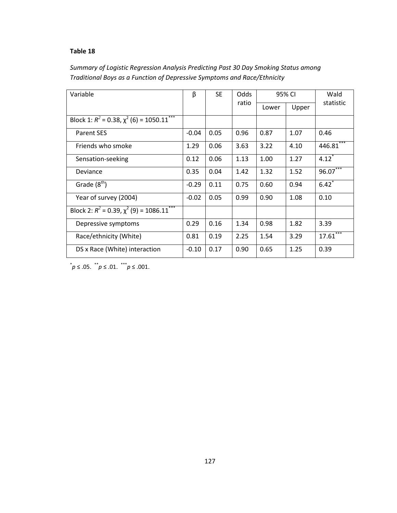| Summary of Logistic Regression Analysis Predicting Past 30 Day Smoking Status among |
|-------------------------------------------------------------------------------------|
| Traditional Boys as a Function of Depressive Symptoms and Race/Ethnicity            |

| Variable                                                      | β       | <b>SE</b> | Odds  | 95% CI |       | Wald                |  |
|---------------------------------------------------------------|---------|-----------|-------|--------|-------|---------------------|--|
|                                                               |         |           | ratio | Lower  | Upper | statistic           |  |
| Block 1: $R^2$ = 0.38, $\chi^2$ (6) = 1050.11 <sup>*</sup>    |         |           |       |        |       |                     |  |
| <b>Parent SES</b>                                             | $-0.04$ | 0.05      | 0.96  | 0.87   | 1.07  | 0.46                |  |
| Friends who smoke                                             | 1.29    | 0.06      | 3.63  | 3.22   | 4.10  | $446.81$ ***        |  |
| Sensation-seeking                                             | 0.12    | 0.06      | 1.13  | 1.00   | 1.27  | $4.12$ <sup>*</sup> |  |
| Deviance                                                      | 0.35    | 0.04      | 1.42  | 1.32   | 1.52  | $96.07***$          |  |
| Grade $(8th)$                                                 | $-0.29$ | 0.11      | 0.75  | 0.60   | 0.94  | $6.42^{*}$          |  |
| Year of survey (2004)                                         | $-0.02$ | 0.05      | 0.99  | 0.90   | 1.08  | 0.10                |  |
| Block $2: R^2 = 0.39$ , $\chi^2$ (9) = 1086.11 <sup>***</sup> |         |           |       |        |       |                     |  |
| Depressive symptoms                                           | 0.29    | 0.16      | 1.34  | 0.98   | 1.82  | 3.39                |  |
| Race/ethnicity (White)                                        | 0.81    | 0.19      | 2.25  | 1.54   | 3.29  | $17.61***$          |  |
| DS x Race (White) interaction                                 | $-0.10$ | 0.17      | 0.90  | 0.65   | 1.25  | 0.39                |  |

 $p^*$  ≤ .05.  $p^*$  ≤ .01.  $p^*$  ≤ .001.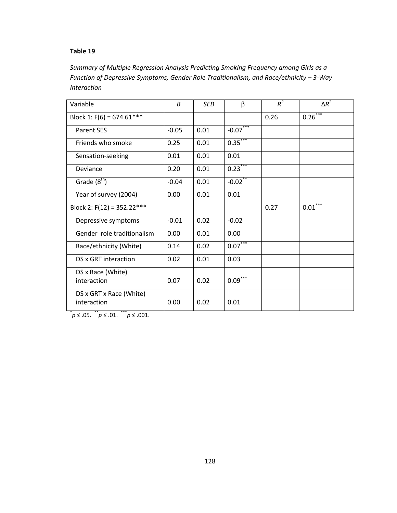Summary of Multiple Regression Analysis Predicting Smoking Frequency among Girls as a Function of Depressive Symptoms, Gender Role Traditionalism, and Race/ethnicity – 3-Way Interaction

| Variable                               | $\boldsymbol{B}$ | <b>SEB</b> | β            | $R^2$ | $\Delta R^2$ |
|----------------------------------------|------------------|------------|--------------|-------|--------------|
| Block 1: $F(6) = 674.61***$            |                  |            |              | 0.26  | $0.26***$    |
| <b>Parent SES</b>                      | $-0.05$          | 0.01       | $-0.07***$   |       |              |
| Friends who smoke                      | 0.25             | 0.01       | $0.35***$    |       |              |
| Sensation-seeking                      | 0.01             | 0.01       | 0.01         |       |              |
| Deviance                               | 0.20             | 0.01       | $0.23***$    |       |              |
| Grade $(8th)$                          | $-0.04$          | 0.01       | $-0.02$ **   |       |              |
| Year of survey (2004)                  | 0.00             | 0.01       | 0.01         |       |              |
| Block 2: $F(12) = 352.22***$           |                  |            |              | 0.27  | $0.01***$    |
| Depressive symptoms                    | $-0.01$          | 0.02       | $-0.02$      |       |              |
| Gender role traditionalism             | 0.00             | 0.01       | 0.00         |       |              |
| Race/ethnicity (White)                 | 0.14             | 0.02       | $0.07***$    |       |              |
| DS x GRT interaction                   | 0.02             | 0.01       | 0.03         |       |              |
| DS x Race (White)<br>interaction       | 0.07             | 0.02       | $0.09\dotsm$ |       |              |
| DS x GRT x Race (White)<br>interaction | 0.00             | 0.02       | 0.01         |       |              |

 $p \leq .05.$  \* p ≤ .01. \* \* p ≤ .001.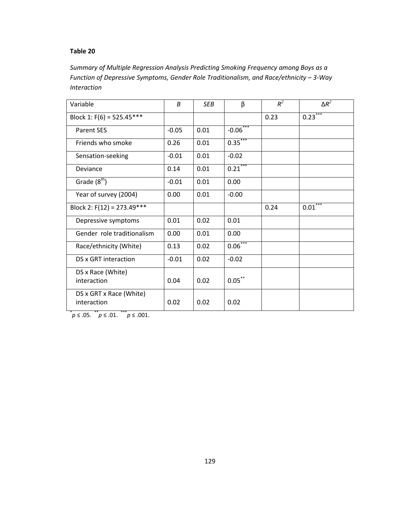Summary of Multiple Regression Analysis Predicting Smoking Frequency among Boys as a Function of Depressive Symptoms, Gender Role Traditionalism, and Race/ethnicity – 3-Way Interaction

| Variable                               | $\boldsymbol{B}$ | <b>SEB</b> | β          | $R^2$ | $\Delta R^2$ |
|----------------------------------------|------------------|------------|------------|-------|--------------|
| Block 1: $F(6) = 525.45***$            |                  |            |            | 0.23  | $0.23***$    |
| <b>Parent SES</b>                      | $-0.05$          | 0.01       | $-0.06***$ |       |              |
| Friends who smoke                      | 0.26             | 0.01       | $0.35***$  |       |              |
| Sensation-seeking                      | $-0.01$          | 0.01       | $-0.02$    |       |              |
| Deviance                               | 0.14             | 0.01       | $0.21***$  |       |              |
| Grade $(8^{th})$                       | $-0.01$          | 0.01       | 0.00       |       |              |
| Year of survey (2004)                  | 0.00             | 0.01       | $-0.00$    |       |              |
| Block 2: $F(12) = 273.49***$           |                  |            |            | 0.24  | $0.01***$    |
| Depressive symptoms                    | 0.01             | 0.02       | 0.01       |       |              |
| Gender role traditionalism             | 0.00             | 0.01       | 0.00       |       |              |
| Race/ethnicity (White)                 | 0.13             | 0.02       | $0.06***$  |       |              |
| DS x GRT interaction                   | $-0.01$          | 0.02       | $-0.02$    |       |              |
| DS x Race (White)<br>interaction       | 0.04             | 0.02       | $0.05***$  |       |              |
| DS x GRT x Race (White)<br>interaction | 0.02             | 0.02       | 0.02       |       |              |

 $p \leq .05.$  \* p ≤ .01. \* \* p ≤ .001.